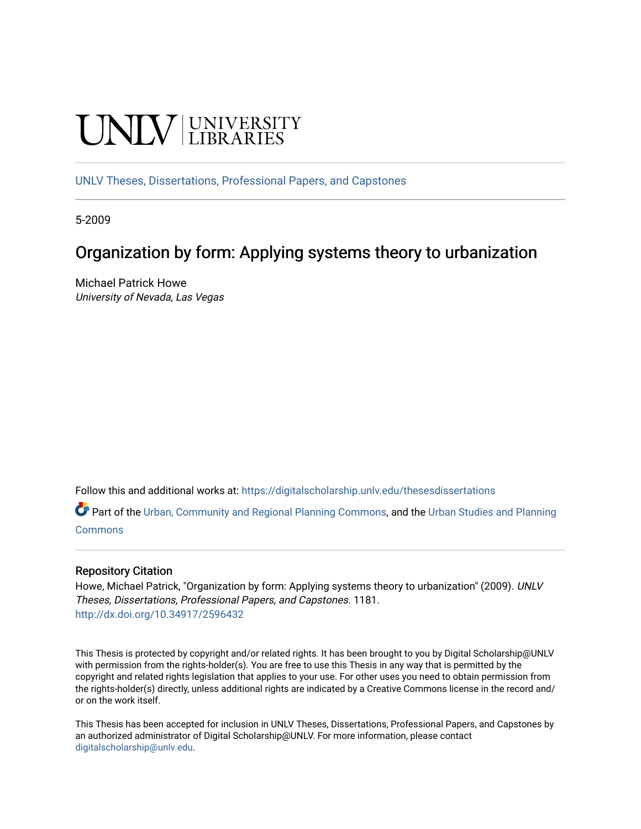# **UNIVERSITY**

[UNLV Theses, Dissertations, Professional Papers, and Capstones](https://digitalscholarship.unlv.edu/thesesdissertations)

5-2009

# Organization by form: Applying systems theory to urbanization

Michael Patrick Howe University of Nevada, Las Vegas

Follow this and additional works at: [https://digitalscholarship.unlv.edu/thesesdissertations](https://digitalscholarship.unlv.edu/thesesdissertations?utm_source=digitalscholarship.unlv.edu%2Fthesesdissertations%2F1181&utm_medium=PDF&utm_campaign=PDFCoverPages)

Part of the [Urban, Community and Regional Planning Commons](http://network.bepress.com/hgg/discipline/776?utm_source=digitalscholarship.unlv.edu%2Fthesesdissertations%2F1181&utm_medium=PDF&utm_campaign=PDFCoverPages), and the [Urban Studies and Planning](http://network.bepress.com/hgg/discipline/436?utm_source=digitalscholarship.unlv.edu%2Fthesesdissertations%2F1181&utm_medium=PDF&utm_campaign=PDFCoverPages)  **[Commons](http://network.bepress.com/hgg/discipline/436?utm_source=digitalscholarship.unlv.edu%2Fthesesdissertations%2F1181&utm_medium=PDF&utm_campaign=PDFCoverPages)** 

#### Repository Citation

Howe, Michael Patrick, "Organization by form: Applying systems theory to urbanization" (2009). UNLV Theses, Dissertations, Professional Papers, and Capstones. 1181. <http://dx.doi.org/10.34917/2596432>

This Thesis is protected by copyright and/or related rights. It has been brought to you by Digital Scholarship@UNLV with permission from the rights-holder(s). You are free to use this Thesis in any way that is permitted by the copyright and related rights legislation that applies to your use. For other uses you need to obtain permission from the rights-holder(s) directly, unless additional rights are indicated by a Creative Commons license in the record and/ or on the work itself.

This Thesis has been accepted for inclusion in UNLV Theses, Dissertations, Professional Papers, and Capstones by an authorized administrator of Digital Scholarship@UNLV. For more information, please contact [digitalscholarship@unlv.edu](mailto:digitalscholarship@unlv.edu).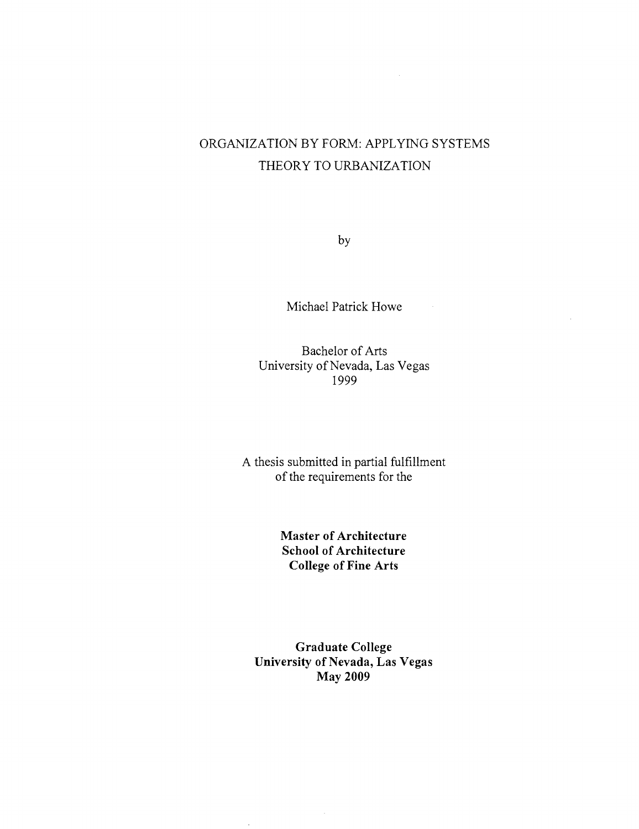## ORGANIZATION BY FORM: APPLYING SYSTEMS THEORY TO URBANIZATION

by

Michael Patrick Howe

Bachelor of Arts University of Nevada, Las Vegas 1999

A thesis submitted in partial fulfillment of the requirements for the

> **Master of Architecture School of Architecture College of Fine Arts**

**Graduate College University of Nevada, Las Vegas May 2009**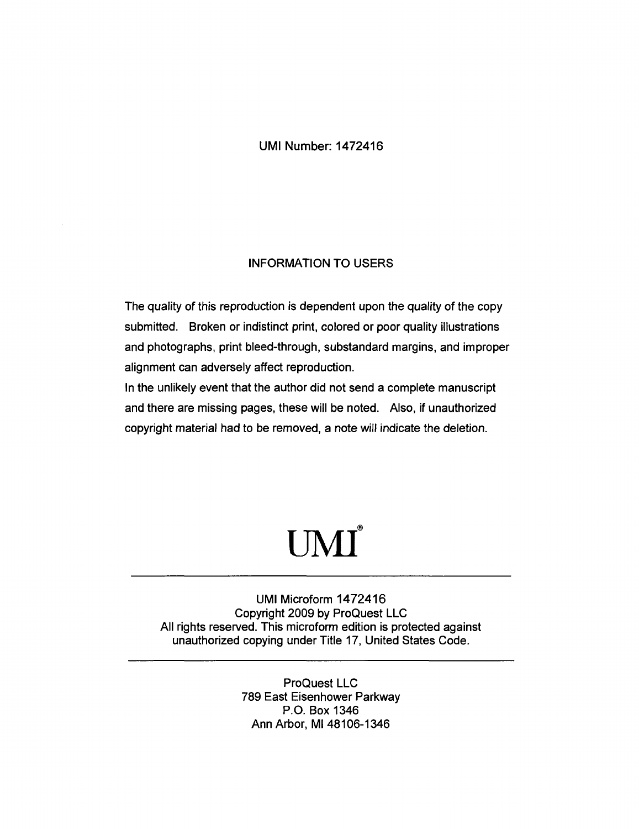#### UMI Number: 1472416

#### INFORMATION TO USERS

The quality of this reproduction is dependent upon the quality of the copy submitted. Broken or indistinct print, colored or poor quality illustrations and photographs, print bleed-through, substandard margins, and improper alignment can adversely affect reproduction.

In the unlikely event that the author did not send a complete manuscript and there are missing pages, these will be noted. Also, if unauthorized copyright material had to be removed, a note will indicate the deletion.

# $\textbf{UMI}^\circ$

UMI Microform 1472416 Copyright 2009 by ProQuest LLC All rights reserved. This microform edition is protected against unauthorized copying under Title 17, United States Code.

> ProQuest LLC 789 East Eisenhower Parkway P.O. Box 1346 Ann Arbor, Ml 48106-1346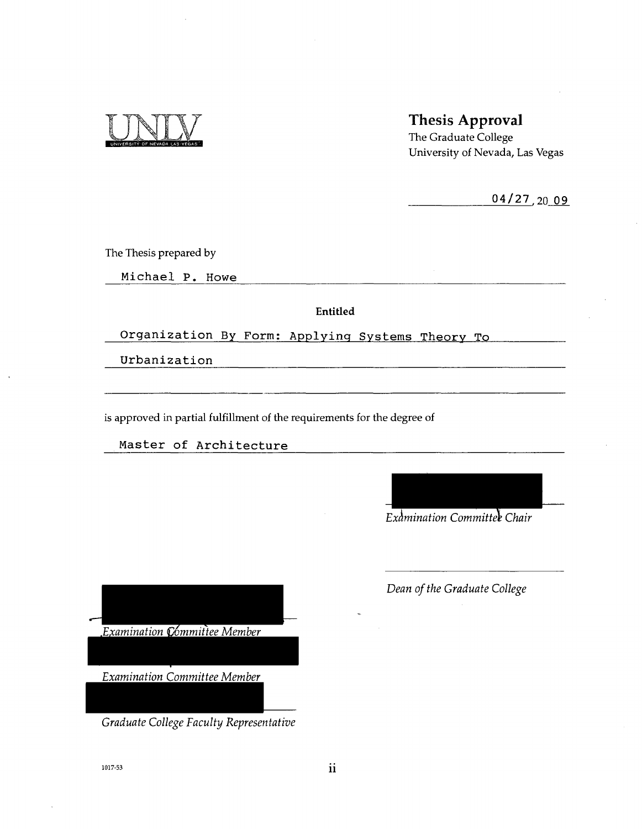

### Thesis Approval

The Graduate College University of Nevada, Las Vegas

 $04/27,2009$ 

The Thesis prepared by

Michael P. Howe

Entitled

Organization By Form: Applying Systems Theory To

Urbanization

is approved in partial fulfillment of the requirements for the degree of

Master of Architecture

*Examination Committee Chair* 

*Examination pommittee Member* 

*Examination Committee Member* 

*Graduate College Faculty Representative* 

*Dean of the Graduate College*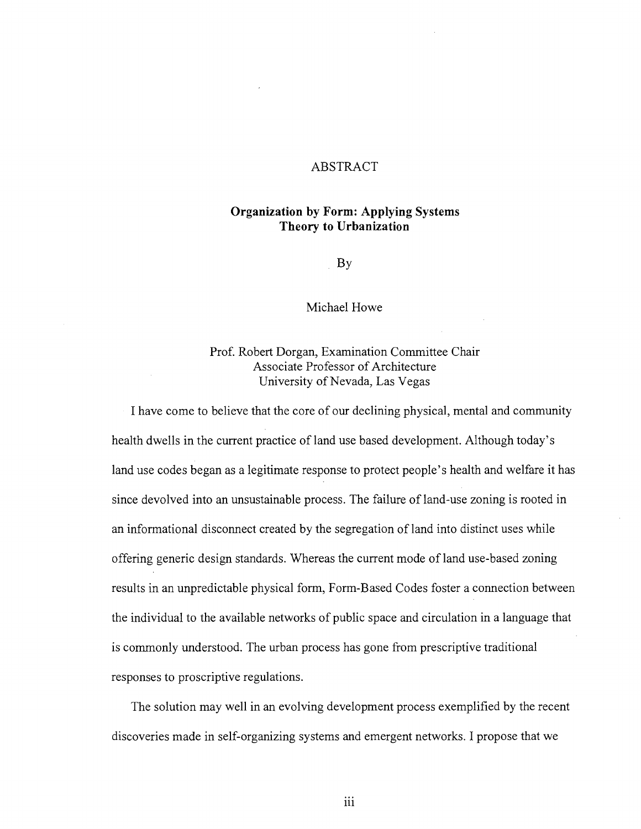#### ABSTRACT

#### Organization by Form: Applying Systems Theory to Urbanization

By

Michael Howe

Prof. Robert Dorgan, Examination Committee Chair University of Nevada, Las Vegas

I have come to believe that the core of our declining physical, mental and community health dwells in the current practice of land use based development. Although today's land use codes began as a legitimate response to protect people's health and welfare it has since devolved into an unsustainable process. The failure of land-use zoning is rooted in an informational disconnect created by the segregation of land into distinct uses while offering generic design standards. Whereas the current mode of land use-based zoning results in an unpredictable physical form, Form-Based Codes foster a connection between the individual to the available networks of public space and circulation in a language that is commonly understood. The urban process has gone from prescriptive traditional

The solution may well in an evolving development process exemplified by the recent

iii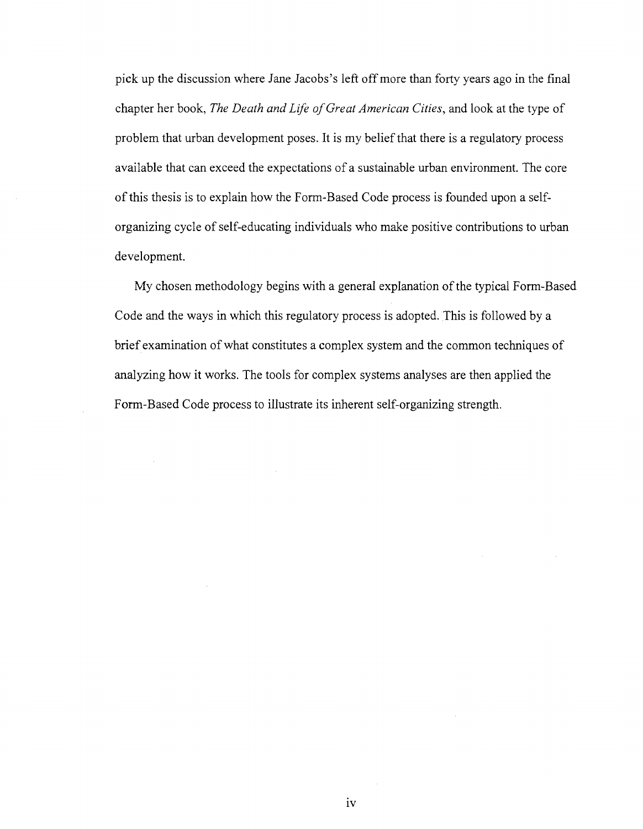pick up the discussion where Jane Jacobs's left off more than forty years ago in the final chapter her book, *The Death and Life of Great American Cities,* and look at the type of problem that urban development poses. It is my belief that there is a regulatory process available that can exceed the expectations of a sustainable urban environment. The core of this thesis is to explain how the Form-Based Code process is founded upon a selforganizing cycle of self-educating individuals who make positive contributions to urban development.

My chosen methodology begins with a general explanation of the typical Form-Based Code and the ways in which this regulatory process is adopted. This is followed by a brief examination of what constitutes a complex system and the common techniques of analyzing how it works. The tools for complex systems analyses are then applied the Form-Based Code process to illustrate its inherent self-organizing strength.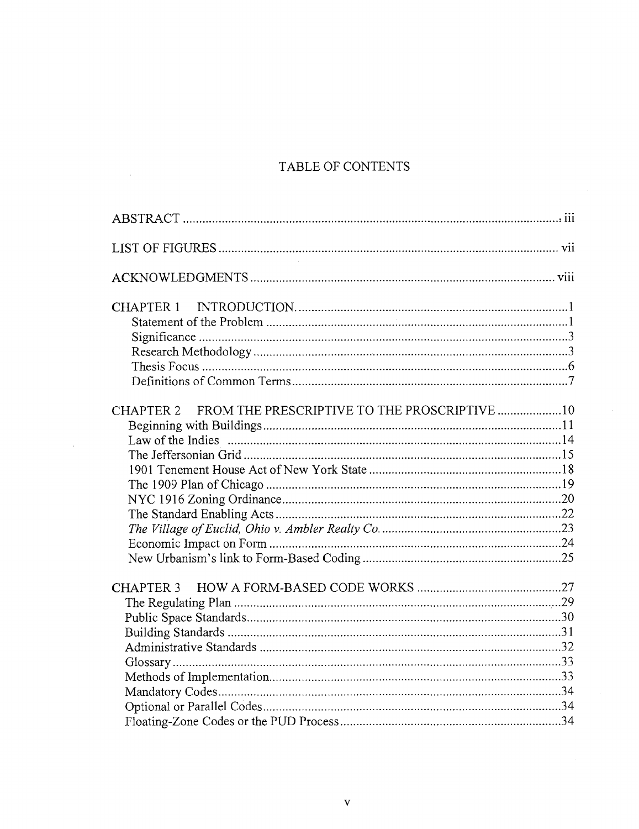## TABLE OF CONTENTS

| FROM THE PRESCRIPTIVE TO THE PROSCRIPTIVE 10<br><b>CHAPTER 2</b> |
|------------------------------------------------------------------|
| <b>CHAPTER 3</b>                                                 |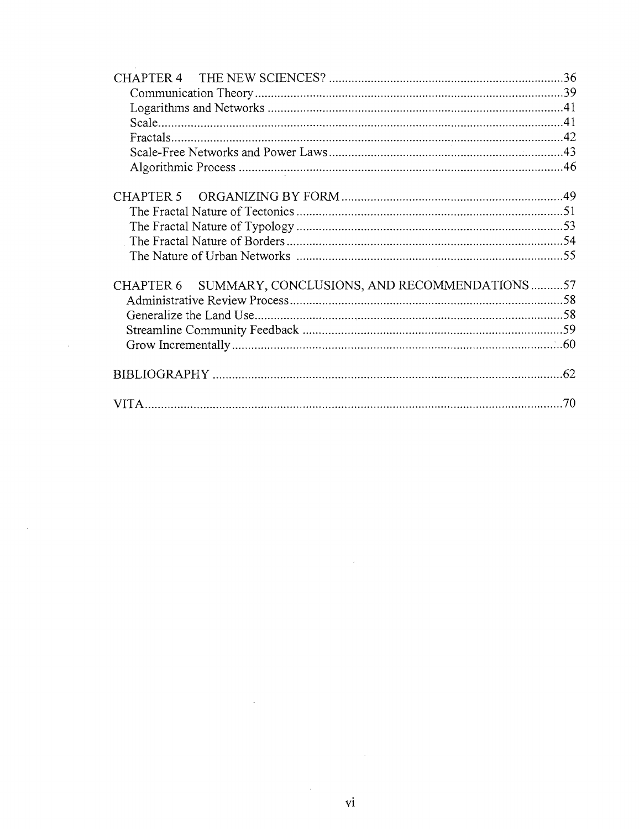| CHAPTER 6 SUMMARY, CONCLUSIONS, AND RECOMMENDATIONS57 |  |
|-------------------------------------------------------|--|
|                                                       |  |
|                                                       |  |
|                                                       |  |
|                                                       |  |
|                                                       |  |
|                                                       |  |

 $\label{eq:2.1} \frac{1}{\sqrt{2}}\int_{\mathbb{R}^3} \frac{d\mu}{\sqrt{2}} \, \frac{d\mu}{\sqrt{2}} \, \frac{d\mu}{\sqrt{2}} \, \frac{d\mu}{\sqrt{2}} \, \frac{d\mu}{\sqrt{2}} \, \frac{d\mu}{\sqrt{2}} \, \frac{d\mu}{\sqrt{2}} \, \frac{d\mu}{\sqrt{2}} \, \frac{d\mu}{\sqrt{2}} \, \frac{d\mu}{\sqrt{2}} \, \frac{d\mu}{\sqrt{2}} \, \frac{d\mu}{\sqrt{2}} \, \frac{d\mu}{\sqrt{2}} \, \frac{d\mu}{$ 

 $\label{eq:2.1} \frac{1}{\sqrt{2}}\sum_{i=1}^n\frac{1}{\sqrt{2\pi}}\sum_{i=1}^n\frac{1}{\sqrt{2\pi}}\sum_{i=1}^n\frac{1}{\sqrt{2\pi}}\sum_{i=1}^n\frac{1}{\sqrt{2\pi}}\sum_{i=1}^n\frac{1}{\sqrt{2\pi}}\sum_{i=1}^n\frac{1}{\sqrt{2\pi}}\sum_{i=1}^n\frac{1}{\sqrt{2\pi}}\sum_{i=1}^n\frac{1}{\sqrt{2\pi}}\sum_{i=1}^n\frac{1}{\sqrt{2\pi}}\sum_{i=1}^n\frac{$ 

 $\frac{1}{2}$  ,  $\frac{1}{2}$ 

 $\label{eq:2.1} \frac{1}{\sqrt{2}}\left(\frac{1}{\sqrt{2}}\right)^{2} \left(\frac{1}{\sqrt{2}}\right)^{2} \left(\frac{1}{\sqrt{2}}\right)^{2}$ 

 $\label{eq:2.1} \frac{1}{\sqrt{2}}\int_{0}^{\infty}\frac{1}{\sqrt{2\pi}}\left(\frac{1}{\sqrt{2\pi}}\right)^{2\alpha} \frac{1}{\sqrt{2\pi}}\int_{0}^{\infty}\frac{1}{\sqrt{2\pi}}\left(\frac{1}{\sqrt{2\pi}}\right)^{\alpha} \frac{1}{\sqrt{2\pi}}\frac{1}{\sqrt{2\pi}}\int_{0}^{\infty}\frac{1}{\sqrt{2\pi}}\frac{1}{\sqrt{2\pi}}\frac{1}{\sqrt{2\pi}}\frac{1}{\sqrt{2\pi}}\frac{1}{\sqrt{2\pi}}\frac{1}{\sqrt{2\pi}}$ 

 $\label{eq:2.1} \frac{1}{\sqrt{2}}\int_{0}^{\infty}\frac{1}{\sqrt{2\pi}}\left(\frac{1}{\sqrt{2\pi}}\right)^{2\alpha} \frac{1}{\sqrt{2\pi}}\int_{0}^{\infty}\frac{1}{\sqrt{2\pi}}\left(\frac{1}{\sqrt{2\pi}}\right)^{\alpha} \frac{1}{\sqrt{2\pi}}\frac{1}{\sqrt{2\pi}}\int_{0}^{\infty}\frac{1}{\sqrt{2\pi}}\frac{1}{\sqrt{2\pi}}\frac{1}{\sqrt{2\pi}}\frac{1}{\sqrt{2\pi}}\frac{1}{\sqrt{2\pi}}\frac{1}{\sqrt{2\pi}}$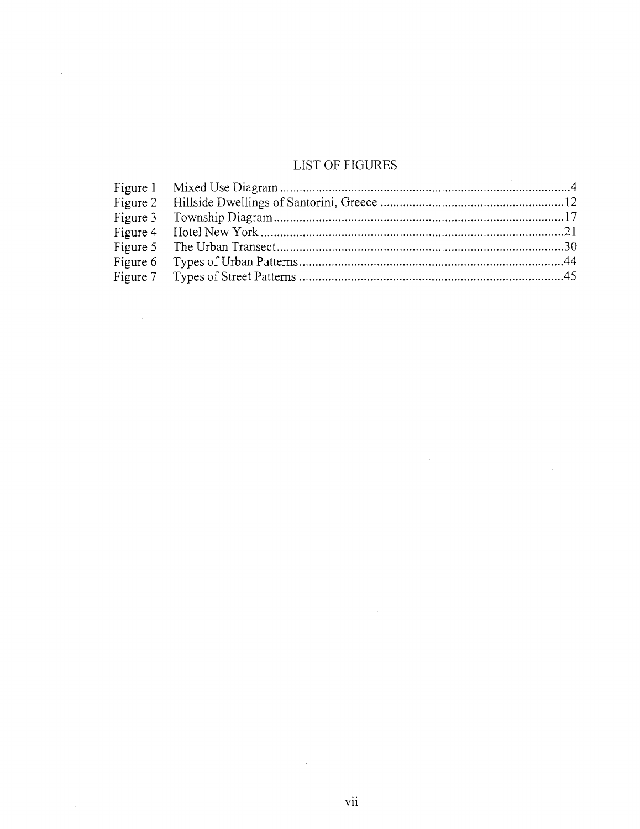## LIST OF FIGURES

 $\sim$ 

J.

 $\sim$ 

 $\mathcal{A}^{\mathcal{A}}$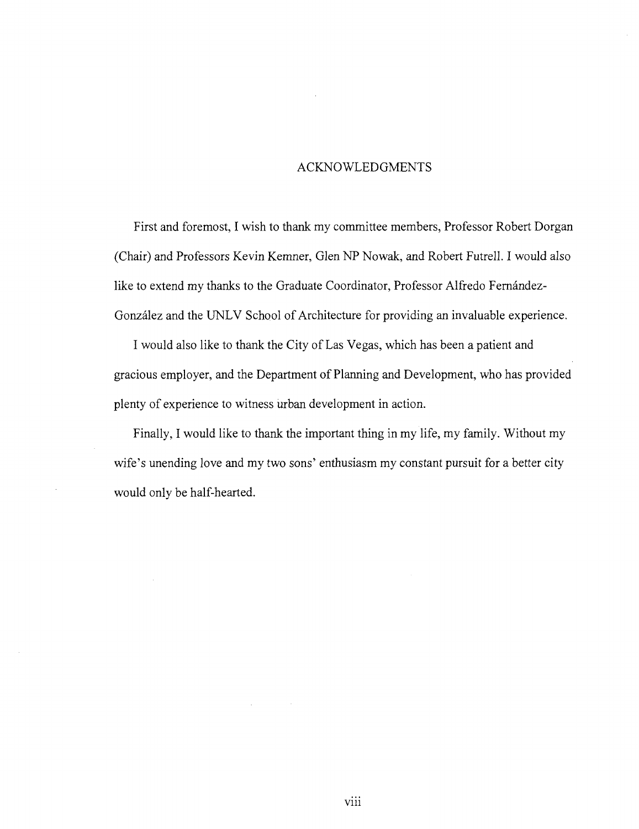#### ACKNOWLEDGMENTS

First and foremost, I wish to thank my committee members, Professor Robert Dorgan (Chair) and Professors Kevin Kemner, Glen NP Nowak, and Robert Futrell. I would also like to extend my thanks to the Graduate Coordinator, Professor Alfredo Fernández-Gonzalez and the UNLV School of Architecture for providing an invaluable experience.

I would also like to thank the City of Las Vegas, which has been a patient and gracious employer, and the Department of Planning and Development, who has provided plenty of experience to witness urban development in action.

Finally, I would like to thank the important thing in my life, my family. Without my wife's unending love and my two sons' enthusiasm my constant pursuit for a better city would only be half-hearted.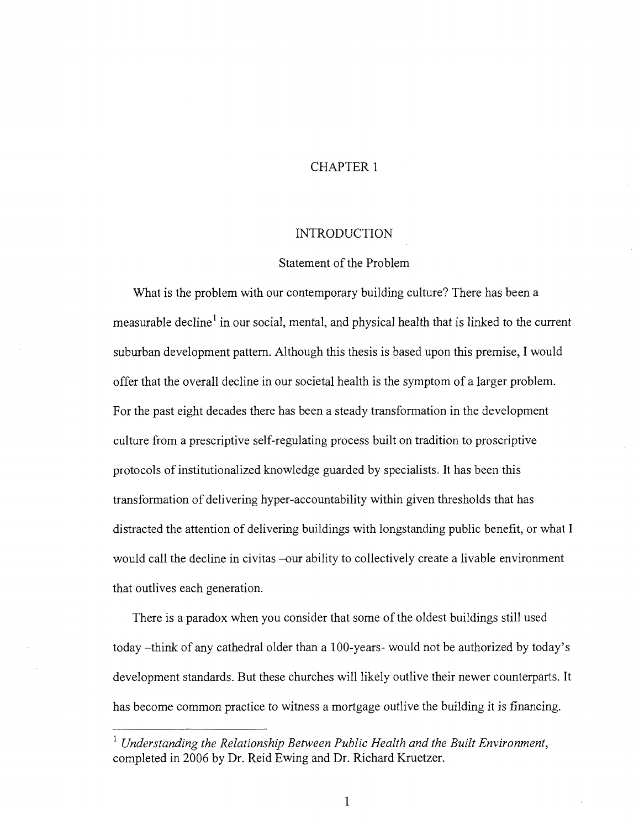#### CHAPTER 1

#### INTRODUCTION

#### Statement of the Problem

What is the problem with our contemporary building culture? There has been a measurable decline<sup>1</sup> in our social, mental, and physical health that is linked to the current suburban development pattern. Although this thesis is based upon this premise, I would offer that the overall decline in our societal health is the symptom of a larger problem. For the past eight decades there has been a steady transformation in the development culture from a prescriptive self-regulating process built on tradition to proscriptive protocols of institutionalized knowledge guarded by specialists. It has been this transformation of delivering hyper-accountability within given thresholds that has distracted the attention of delivering buildings with longstanding public benefit, or what I would call the decline in civitas -our ability to collectively create a livable environment that outlives each generation.

There is a paradox when you consider that some of the oldest buildings still used today -think of any cathedral older than a 100-years- would not be authorized by today's development standards. But these churches will likely outlive their newer counterparts. It has become common practice to witness a mortgage outlive the building it is financing.

<sup>&</sup>lt;sup>1</sup> Understanding the Relationship Between Public Health and the Built Environment, completed in 2006 by Dr. Reid Ewing and Dr. Richard Kruetzer.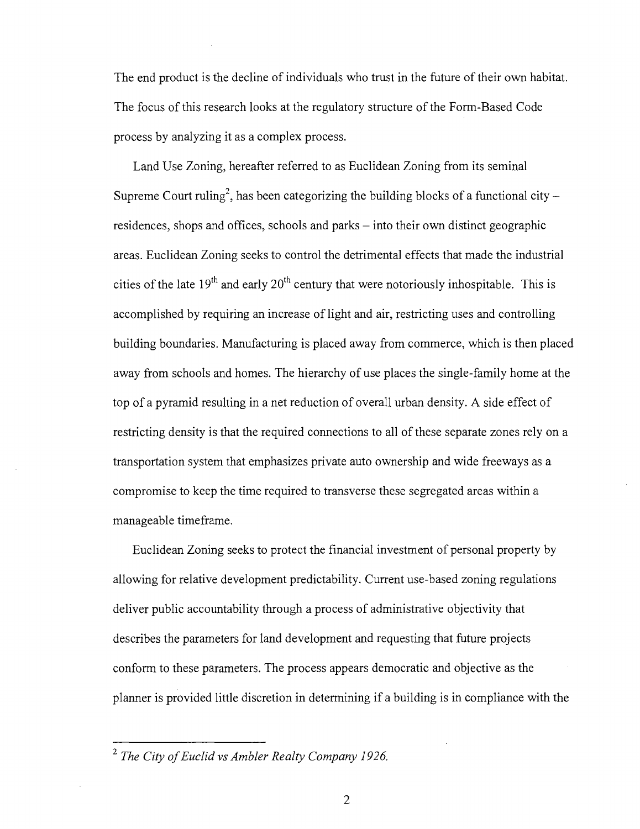The end product is the decline of individuals who trust in the future of their own habitat. The focus of this research looks at the regulatory structure of the Form-Based Code process by analyzing it as a complex process.

Land Use Zoning, hereafter referred to as Euclidean Zoning from its seminal Supreme Court ruling<sup>2</sup>, has been categorizing the building blocks of a functional city  $$ residences, shops and offices, schools and parks – into their own distinct geographic areas. Euclidean Zoning seeks to control the detrimental effects that made the industrial cities of the late  $19<sup>th</sup>$  and early  $20<sup>th</sup>$  century that were notoriously inhospitable. This is accomplished by requiring an increase of light and air, restricting uses and controlling building boundaries. Manufacturing is placed away from commerce, which is then placed away from schools and homes. The hierarchy of use places the single-family home at the top of a pyramid resulting in a net reduction of overall urban density. A side effect of restricting density is that the required connections to all of these separate zones rely on a transportation system that emphasizes private auto ownership and wide freeways as a compromise to keep the time required to transverse these segregated areas within a manageable timeframe.

Euclidean Zoning seeks to protect the financial investment of personal property by allowing for relative development predictability. Current use-based zoning regulations deliver public accountability through a process of administrative objectivity that describes the parameters for land development and requesting that future projects conform to these parameters. The process appears democratic and objective as the planner is provided little discretion in determining if a building is in compliance with the

<sup>2</sup>  *The City of Euclid vs Ambler Realty Company 1926.*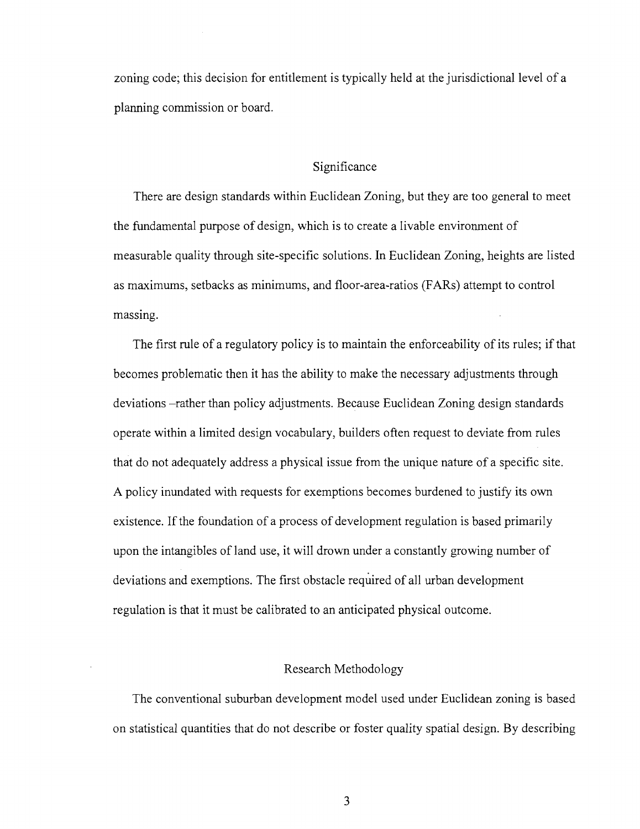zoning code; this decision for entitlement is typically held at the jurisdictional level of a planning commission or board.

#### Significance

There are design standards within Euclidean Zoning, but they are too general to meet the fundamental purpose of design, which is to create a livable environment of measurable quality through site-specific solutions. In Euclidean Zoning, heights are listed as maximums, setbacks as minimums, and floor-area-ratios (FARs) attempt to control massing.

The first rule of a regulatory policy is to maintain the enforceability of its rules; if that becomes problematic then it has the ability to make the necessary adjustments through deviations -rather than policy adjustments. Because Euclidean Zoning design standards operate within a limited design vocabulary, builders often request to deviate from rules that do not adequately address a physical issue from the unique nature of a specific site. A policy inundated with requests for exemptions becomes burdened to justify its own existence. If the foundation of a process of development regulation is based primarily upon the intangibles of land use, it will drown under a constantly growing number of deviations and exemptions. The first obstacle required of all urban development regulation is that it must be calibrated to an anticipated physical outcome.

#### Research Methodology

The conventional suburban development model used under Euclidean zoning is based on statistical quantities that do not describe or foster quality spatial design. By describing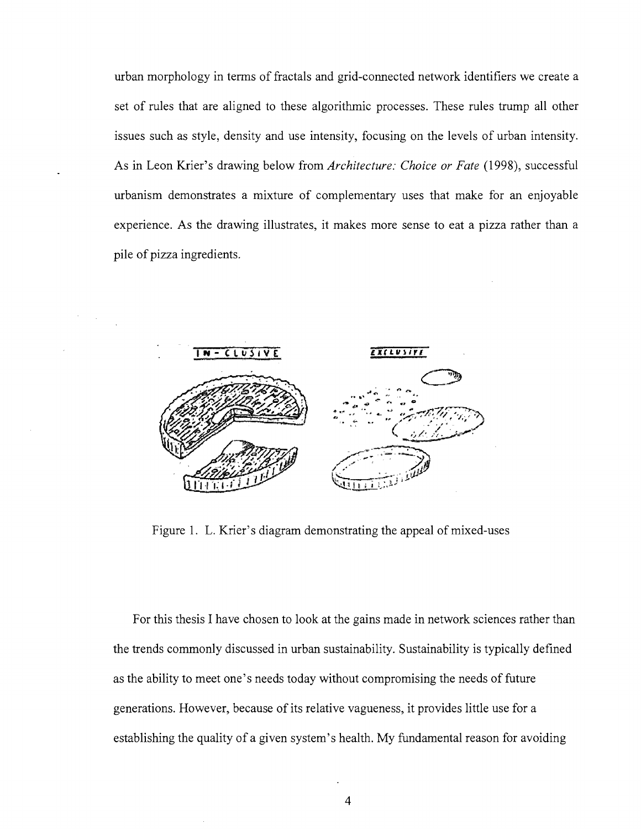urban morphology in terms of fractals and grid-connected network identifiers we create a set of rules that are aligned to these algorithmic processes. These rules trump all other issues such as style, density and use intensity, focusing on the levels of urban intensity. As in Leon Krier's drawing below from *Architecture: Choice or Fate* (1998), successful urbanism demonstrates a mixture of complementary uses that make for an enjoyable experience. As the drawing illustrates, it makes more sense to eat a pizza rather than a pile of pizza ingredients.



Figure 1. L. Krier's diagram demonstrating the appeal of mixed-uses

For this thesis I have chosen to look at the gains made in network sciences rather than the trends commonly discussed in urban sustainability. Sustainability is typically defined as the ability to meet one's needs today without compromising the needs of future generations. However, because of its relative vagueness, it provides little use for a establishing the quality of a given system's health. My fundamental reason for avoiding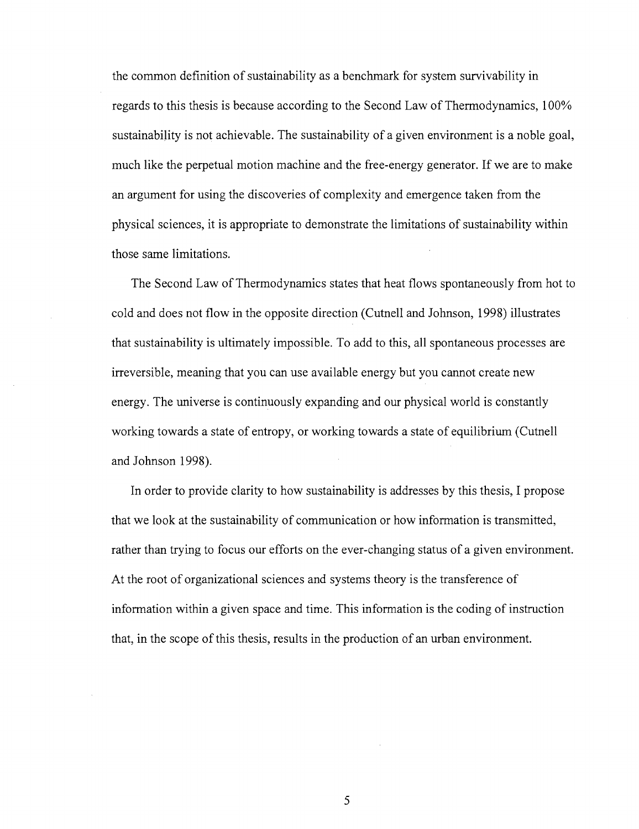the common definition of sustainability as a benchmark for system survivability in regards to this thesis is because according to the Second Law of Thermodynamics, 100% sustainabihty is not achievable. The sustainability of a given environment is a noble goal, much like the perpetual motion machine and the free-energy generator. If we are to make an argument for using the discoveries of complexity and emergence taken from the physical sciences, it is appropriate to demonstrate the limitations of sustainability within those same limitations.

The Second Law of Thermodynamics states that heat flows spontaneously from hot to cold and does not flow in the opposite direction (Cutnell and Johnson, 1998) illustrates that sustainability is ultimately impossible. To add to this, all spontaneous processes are irreversible, meaning that you can use available energy but you cannot create new energy. The universe is continuously expanding and our physical world is constantly working towards a state of entropy, or working towards a state of equilibrium (Cutnell and Johnson 1998).

In order to provide clarity to how sustainability is addresses by this thesis, I propose that we look at the sustainability of communication or how information is transmitted, rather than trying to focus our efforts on the ever-changing status of a given environment. At the root of organizational sciences and systems theory is the transference of information within a given space and time. This information is the coding of instruction that, in the scope of this thesis, results in the production of an urban environment.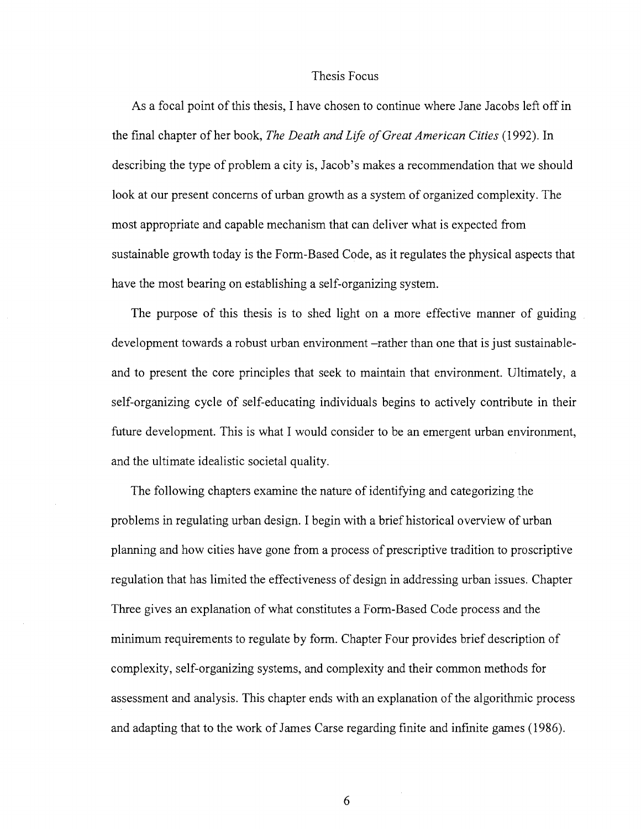#### Thesis Focus

As a focal point of this thesis, I have chosen to continue where Jane Jacobs left off in the final chapter of her book, *The Death and Life of Great American Cities* (1992). In describing the type of problem a city is, Jacob's makes a recommendation that we should look at our present concerns of urban growth as a system of organized complexity. The most appropriate and capable mechanism that can deliver what is expected from sustainable growth today is the Form-Based Code, as it regulates the physical aspects that have the most bearing on establishing a self-organizing system.

The purpose of this thesis is to shed light on a more effective manner of guiding development towards a robust urban environment -rather than one that is just sustainableand to present the core principles that seek to maintain that environment. Ultimately, a self-organizing cycle of self-educating individuals begins to actively contribute in their future development. This is what I would consider to be an emergent urban environment, and the ultimate idealistic societal quality.

The following chapters examine the nature of identifying and categorizing the problems in regulating urban design. I begin with a brief historical overview of urban planning and how cities have gone from a process of prescriptive tradition to proscriptive regulation that has limited the effectiveness of design in addressing urban issues. Chapter Three gives an explanation of what constitutes a Form-Based Code process and the minimum requirements to regulate by form. Chapter Four provides brief description of complexity, self-organizing systems, and complexity and their common methods for assessment and analysis. This chapter ends with an explanation of the algorithmic process and adapting that to the work of James Carse regarding finite and infinite games (1986).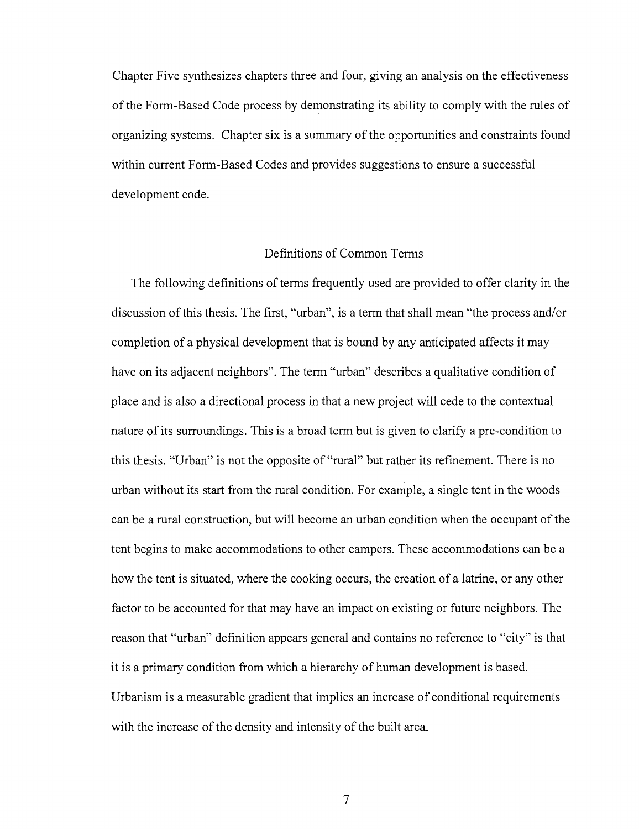Chapter Five synthesizes chapters three and four, giving an analysis on the effectiveness of the Form-Based Code process by demonstrating its ability to comply with the rules of organizing systems. Chapter six is a summary of the opportunities and constraints found within current Form-Based Codes and provides suggestions to ensure a successful development code.

#### Definitions of Common Terms

The following definitions of terms frequently used are provided to offer clarity in the discussion of this thesis. The first, "urban", is a term that shall mean "the process and/or completion of a physical development that is bound by any anticipated affects it may have on its adjacent neighbors". The term "urban" describes a qualitative condition of place and is also a directional process in that a new project will cede to the contextual nature of its surroundings. This is a broad term but is given to clarify a pre-condition to this thesis. "Urban" is not the opposite of "rural" but rather its refinement. There is no urban without its start from the rural condition. For example, a single tent in the woods can be a rural construction, but will become an urban condition when the occupant of the tent begins to make accommodations to other campers. These accommodations can be a how the tent is situated, where the cooking occurs, the creation of a latrine, or any other factor to be accounted for that may have an impact on existing or future neighbors. The reason that "urban" definition appears general and contains no reference to "city" is that it is a primary condition from which a hierarchy of human development is based. Urbanism is a measurable gradient that implies an increase of conditional requirements with the increase of the density and intensity of the built area.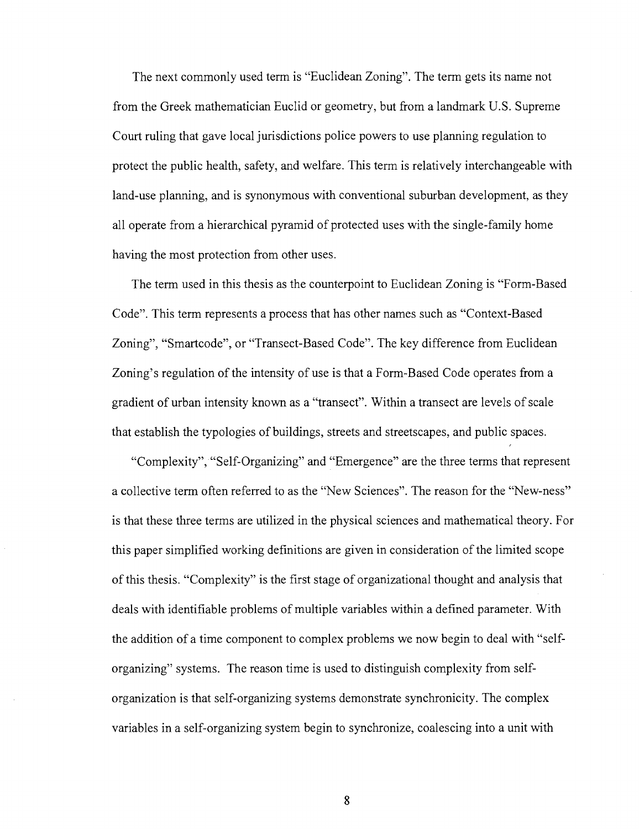The next commonly used term is "Euclidean Zoning". The term gets its name not from the Greek mathematician Euclid or geometry, but from a landmark U.S. Supreme Court ruling that gave local jurisdictions police powers to use planning regulation to protect the public health, safety, and welfare. This term is relatively interchangeable with land-use planning, and is synonymous with conventional suburban development, as they all operate from a hierarchical pyramid of protected uses with the single-family home having the most protection from other uses.

The term used in this thesis as the counterpoint to Euclidean Zoning is "Form-Based Code". This term represents a process that has other names such as "Context-Based Zoning", "Smartcode", or "Transect-Based Code". The key difference from Euclidean Zoning's regulation of the intensity of use is that a Form-Based Code operates from a gradient of urban intensity known as a "transect". Within a transect are levels of scale that establish the typologies of buildings, streets and streetscapes, and public spaces.

"Complexity", "Self-Organizing" and "Emergence" are the three terms that represent a collective term often referred to as the "New Sciences". The reason for the "New-ness" is that these three terms are utilized in the physical sciences and mathematical theory. For this paper simplified working definitions are given in consideration of the limited scope of this thesis. "Complexity" is the first stage of organizational thought and analysis that deals with identifiable problems of multiple variables within a defined parameter. With the addition of a time component to complex problems we now begin to deal with "selforganizing" systems. The reason time is used to distinguish complexity from selforganization is that self-organizing systems demonstrate synchronicity. The complex variables in a self-organizing system begin to synchronize, coalescing into a unit with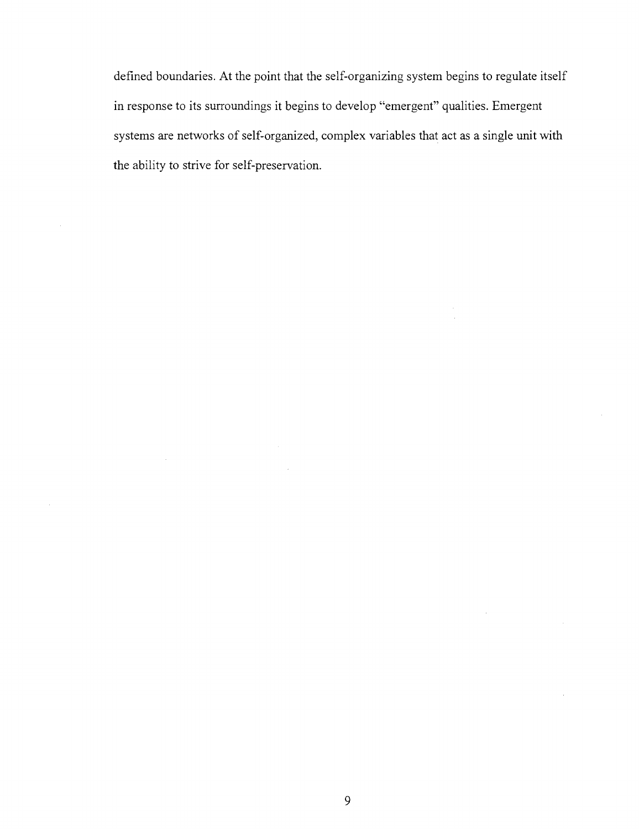defined boundaries. At the point that the self-organizing system begins to regulate itself in response to its surroundings it begins to develop "emergent" qualities. Emergent systems are networks of self-organized, complex variables that act as a single unit with the ability to strive for self-preservation.

 $\bar{\omega}$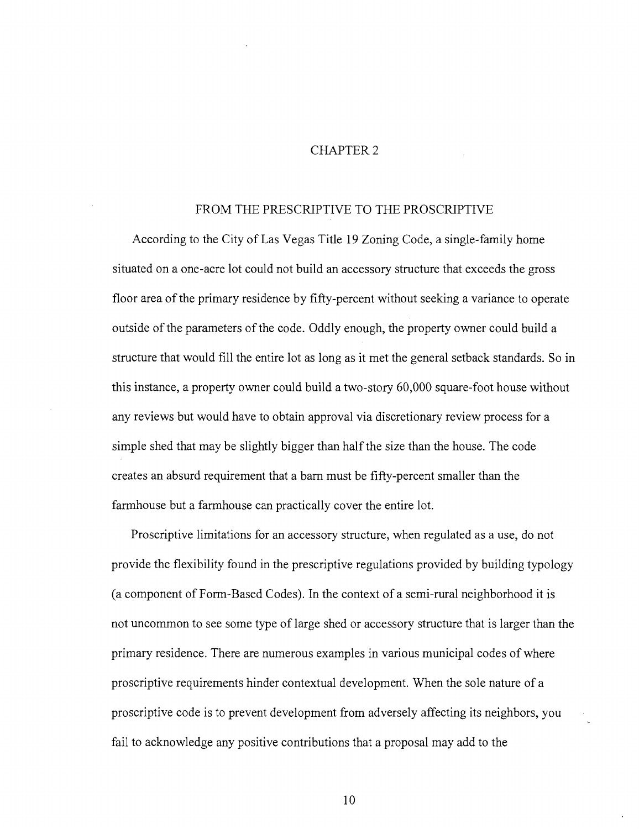#### CHAPTER 2

#### FROM THE PRESCRIPTIVE TO THE PROSCRIPTIVE

According to the City of Las Vegas Title 19 Zoning Code, a single-family home situated on a one-acre lot could not build an accessory structure that exceeds the gross floor area of the primary residence by fifty-percent without seeking a variance to operate outside of the parameters of the code. Oddly enough, the property owner could build a structure that would fill the entire lot as long as it met the general setback standards. So in this instance, a property owner could build a two-story 60,000 square-foot house without any reviews but would have to obtain approval via discretionary review process for a simple shed that may be slightly bigger than half the size than the house. The code creates an absurd requirement that a barn must be fifty-percent smaller than the farmhouse but a farmhouse can practically cover the entire lot.

Proscriptive limitations for an accessory structure, when regulated as a use, do not provide the flexibility found in the prescriptive regulations provided by building typology (a component of Form-Based Codes). In the context of a semi-rural neighborhood it is not uncommon to see some type of large shed or accessory structure that is larger than the primary residence. There are numerous examples in various municipal codes of where proscriptive requirements hinder contextual development. When the sole nature of a proscriptive code is to prevent development from adversely affecting its neighbors, you fail to acknowledge any positive contributions that a proposal may add to the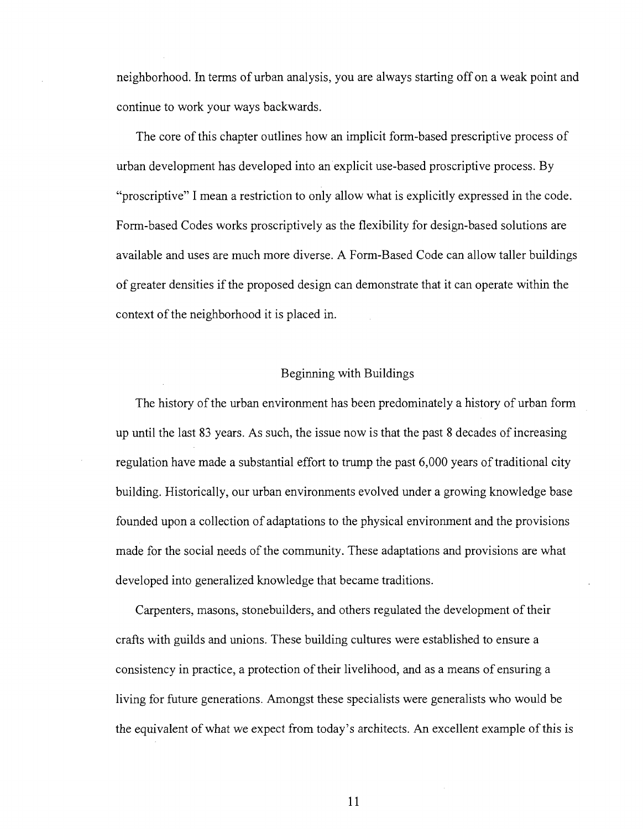neighborhood. In terms of urban analysis, you are always starting off on a weak point and continue to work your ways backwards.

The core of this chapter outlines how an implicit form-based prescriptive process of urban development has developed into an explicit use-based proscriptive process. By "proscriptive" I mean a restriction to only allow what is explicitly expressed in the code. Form-based Codes works proscriptively as the flexibility for design-based solutions are available and uses are much more diverse. A Form-Based Code can allow taller buildings of greater densities if the proposed design can demonstrate that it can operate within the context of the neighborhood it is placed in.

#### Beginning with Buildings

The history of the urban environment has been predominately a history of urban form up until the last 83 years. As such, the issue now is that the past 8 decades of increasing regulation have made a substantial effort to trump the past 6,000 years of traditional city building. Historically, our urban environments evolved under a growing knowledge base founded upon a collection of adaptations to the physical environment and the provisions made for the social needs of the community. These adaptations and provisions are what developed into generalized knowledge that became traditions.

Carpenters, masons, stonebuilders, and others regulated the development of their crafts with guilds and unions. These building cultures were established to ensure a consistency in practice, a protection of their livelihood, and as a means of ensuring a living for future generations. Amongst these specialists were generalists who would be the equivalent of what we expect from today's architects. An excellent example of this is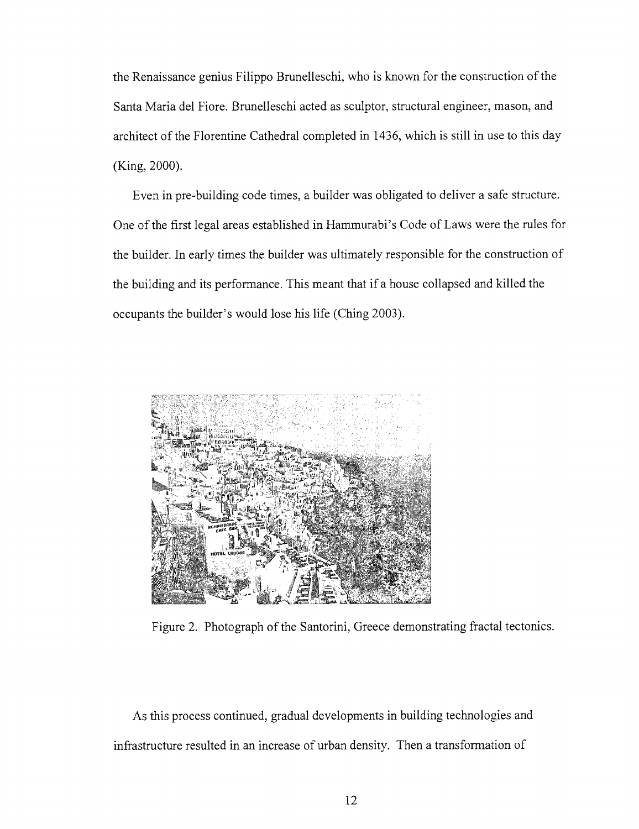the Renaissance genius Filippo Brunelleschi, who is known for the construction of the Santa Maria del Fiore. Brunelleschi acted as sculptor, structural engineer, mason, and architect of the Florentine Cathedral completed in 1436, which is still in use to this day (King, 2000).

Even in pre-building code times, a builder was obligated to deliver a safe structure. One of the first legal areas established in Hammurabi's Code of Laws were the rules for the builder. In early times the builder was ultimately responsible for the construction of the building and its performance. This meant that if a house collapsed and killed the occupants the builder's would lose his life (Ching 2003).



Figure 2. Photograph of the Santorini, Greece demonstrating fractal tectonics.

As this process continued, gradual developments in building technologies and infrastructure resulted in an increase of urban density. Then a transformation of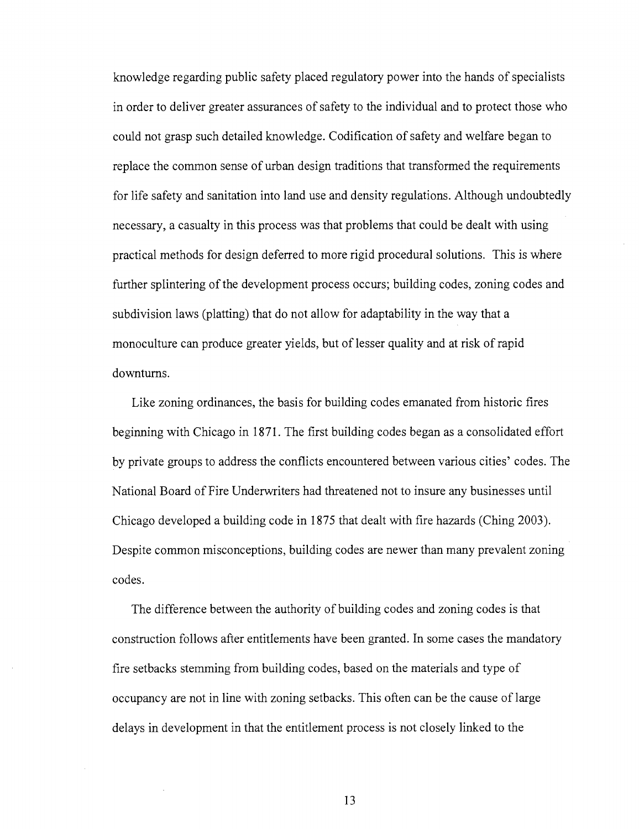knowledge regarding public safety placed regulatory power into the hands of specialists in order to deliver greater assurances of safety to the individual and to protect those who could not grasp such detailed knowledge. Codification of safety and welfare began to replace the common sense of urban design traditions that transformed the requirements for life safety and sanitation into land use and density regulations. Although undoubtedly necessary, a casualty in this process was that problems that could be dealt with using practical methods for design deferred to more rigid procedural solutions. This is where further splintering of the development process occurs; building codes, zoning codes and subdivision laws (platting) that do not allow for adaptability in the way that a monoculture can produce greater yields, but of lesser quality and at risk of rapid downturns.

Like zoning ordinances, the basis for building codes emanated from historic fires beginning with Chicago in 1871. The first building codes began as a consolidated effort by private groups to address the conflicts encountered between various cities' codes. The National Board of Fire Underwriters had threatened not to insure any businesses until Chicago developed a building code in 1875 that dealt with fire hazards (Ching 2003). Despite common misconceptions, building codes are newer than many prevalent zoning codes.

The difference between the authority of building codes and zoning codes is that construction follows after entitlements have been granted. In some cases the mandatory fire setbacks stemming from building codes, based on the materials and type of occupancy are not in line with zoning setbacks. This often can be the cause of large delays in development in that the entitlement process is not closely linked to the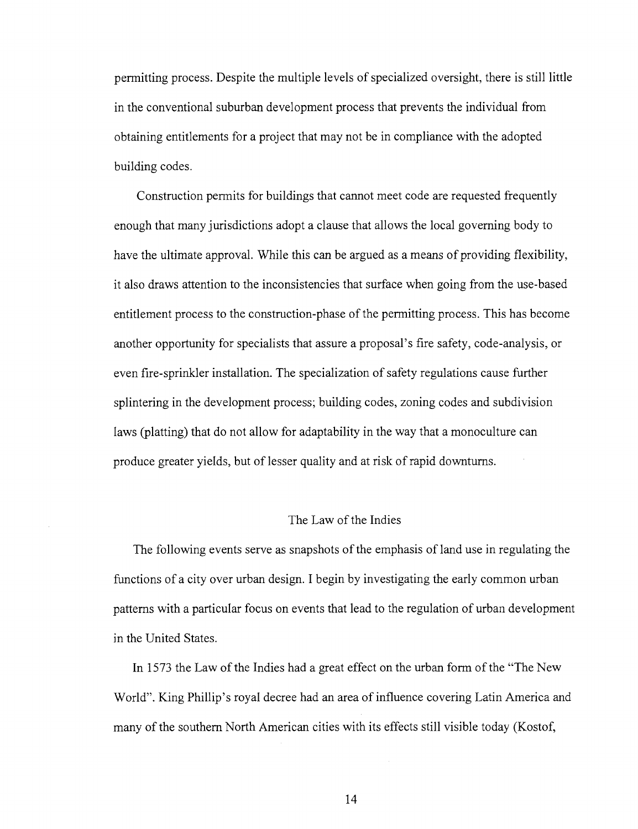permitting process. Despite the multiple levels of specialized oversight, there is still little in the conventional suburban development process that prevents the individual from obtaining entitlements for a project that may not be in compliance with the adopted building codes.

Construction permits for buildings that cannot meet code are requested frequently enough that many jurisdictions adopt a clause that allows the local governing body to have the ultimate approval. While this can be argued as a means of providing flexibility, it also draws attention to the inconsistencies that surface when going from the use-based entitlement process to the construction-phase of the permitting process. This has become another opportunity for specialists that assure a proposal's fire safety, code-analysis, or even fire-sprinkler installation. The specialization of safety regulations cause further splintering in the development process; building codes, zoning codes and subdivision laws (platting) that do not allow for adaptability in the way that a monoculture can produce greater yields, but of lesser quality and at risk of rapid downturns.

### The Law of the Indies

The following events serve as snapshots of the emphasis of land use in regulating the functions of a city over urban design. I begin by investigating the early common urban patterns with a particular focus on events that lead to the regulation of urban development in the United States.

In 1573 the Law of the Indies had a great effect on the urban form of the "The New World". King Phillip's royal decree had an area of influence covering Latin America and many of the southern North American cities with its effects still visible today (Kostof,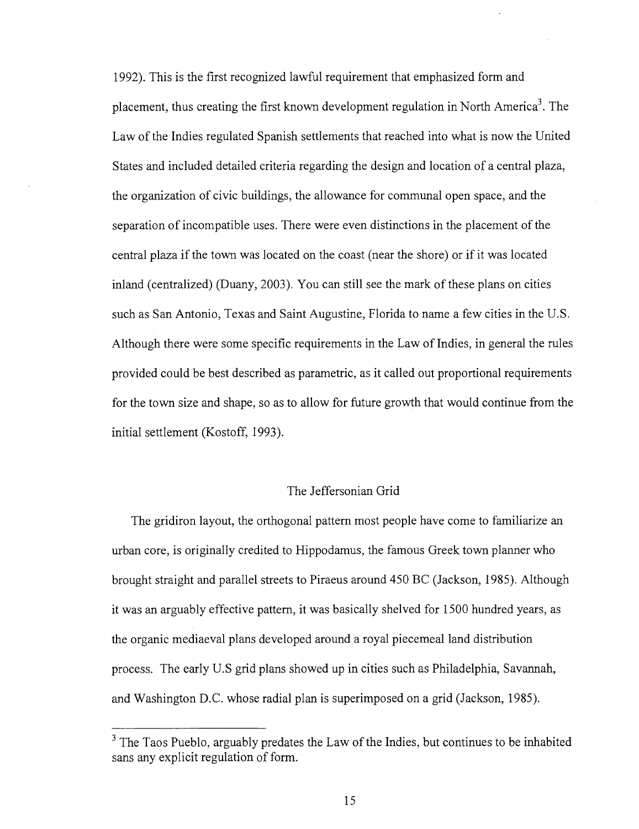1992). This is the first recognized lawful requirement that emphasized form and placement, thus creating the first known development regulation in North America<sup>3</sup>. The Law of the Indies regulated Spanish settlements that reached into what is now the United States and included detailed criteria regarding the design and location of a central plaza, the organization of civic buildings, the allowance for communal open space, and the separation of incompatible uses. There were even distinctions in the placement of the central plaza if the town was located on the coast (near the shore) or if it was located inland (centralized) (Duany, 2003). You can still see the mark of these plans on cities such as San Antonio, Texas and Saint Augustine, Florida to name a few cities in the U.S. Although there were some specific requirements in the Law of Indies, in general the rules provided could be best described as parametric, as it called out proportional requirements for the town size and shape, so as to allow for future growth that would continue from the initial settlement (Kostoff, 1993).

#### The Jeffersonian Grid

The gridiron layout, the orthogonal pattern most people have come to familiarize an urban core, is originally credited to Hippodamus, the famous Greek town planner who brought straight and parallel streets to Piraeus around 450 BC (Jackson, 1985). Although it was an arguably effective pattern, it was basically shelved for 1500 hundred years, as the organic mediaeval plans developed around a royal piecemeal land distribution process. The early U.S grid plans showed up in cities such as Philadelphia, Savannah, and Washington D.C. whose radial plan is superimposed on a grid (Jackson, 1985).

 $3$  The Taos Pueblo, arguably predates the Law of the Indies, but continues to be inhabited sans any explicit regulation of form.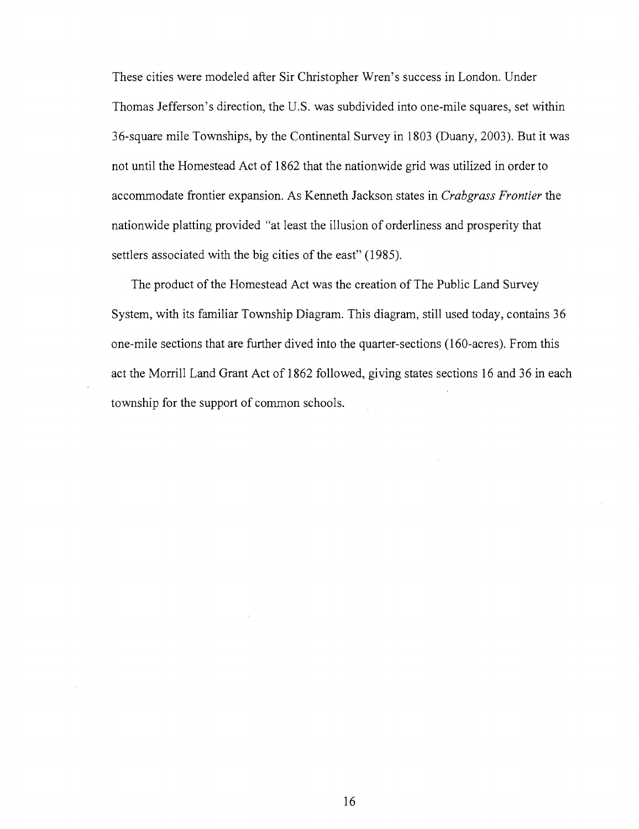These cities were modeled after Sir Christopher Wren's success in London. Under Thomas Jefferson's direction, the U.S. was subdivided into one-mile squares, set within 36-square mile Townships, by the Continental Survey in 1803 (Duany, 2003). But it was not until the Homestead Act of 1862 that the nationwide grid was utilized in order to accommodate frontier expansion. As Kenneth Jackson states in *Crabgrass Frontier* the nationwide platting provided "at least the illusion of orderliness and prosperity that settlers associated with the big cities of the east" (1985).

The product of the Homestead Act was the creation of The Public Land Survey System, with its familiar Township Diagram. This diagram, still used today, contains 36 one-mile sections that are further dived into the quarter-sections (160-acres). From this act the Morrill Land Grant Act of 1862 followed, giving states sections 16 and 36 in each township for the support of common schools.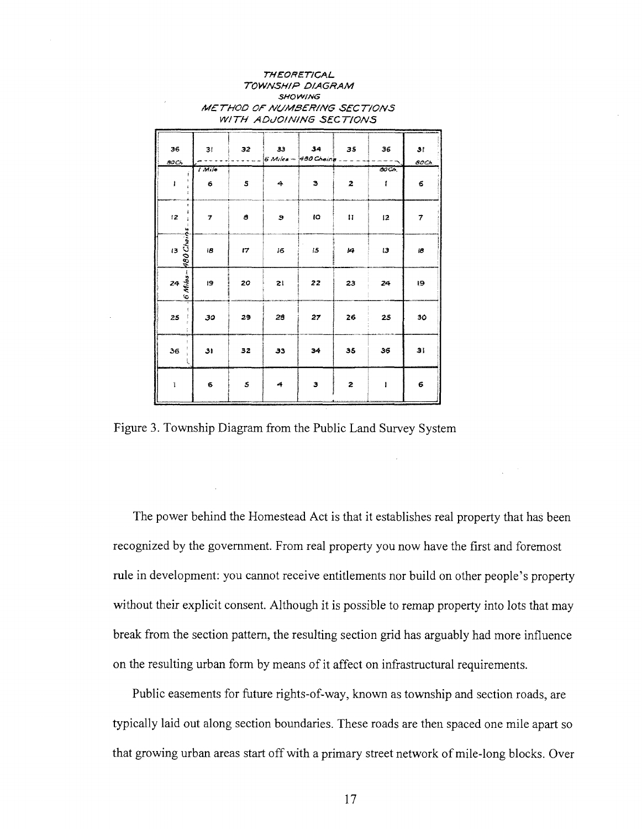| TOWNSHIP DIAGRAM<br><b>SHOWING</b><br>METHOD OF NUMBERING SECTIONS<br>WITH ADJOINING SECTIONS |                         |                                                                                                                                                                                                                                                                                                                                                                                                    |    |                                  |              |            |             |  |  |  |
|-----------------------------------------------------------------------------------------------|-------------------------|----------------------------------------------------------------------------------------------------------------------------------------------------------------------------------------------------------------------------------------------------------------------------------------------------------------------------------------------------------------------------------------------------|----|----------------------------------|--------------|------------|-------------|--|--|--|
| 36<br>soc,                                                                                    | 31                      | 32<br>$\frac{1}{2} \frac{1}{2} \frac{1}{2} \frac{1}{2} \frac{1}{2} \frac{1}{2} \frac{1}{2} \frac{1}{2} \frac{1}{2} \frac{1}{2} \frac{1}{2} \frac{1}{2} \frac{1}{2} \frac{1}{2} \frac{1}{2} \frac{1}{2} \frac{1}{2} \frac{1}{2} \frac{1}{2} \frac{1}{2} \frac{1}{2} \frac{1}{2} \frac{1}{2} \frac{1}{2} \frac{1}{2} \frac{1}{2} \frac{1}{2} \frac{1}{2} \frac{1}{2} \frac{1}{2} \frac{1}{2} \frac{$ | 33 | 34<br>$6$ Miles - 480 Chains $-$ | 35           | 36         | 3!<br>80Ch. |  |  |  |
| ŧ                                                                                             | <i>I</i> Mile<br>6      | 5                                                                                                                                                                                                                                                                                                                                                                                                  | 4  | э                                | 2            | ĐOCI.<br>ſ | 6           |  |  |  |
| ì.<br>12 <sub>2</sub>                                                                         | $\overline{\mathbf{z}}$ | 8                                                                                                                                                                                                                                                                                                                                                                                                  | э  | 10                               | $\mathbf{H}$ | 12         | 7           |  |  |  |
| 480 Chains<br>$\overline{3}$                                                                  | 18                      | 17                                                                                                                                                                                                                                                                                                                                                                                                 | 16 | 15                               | 14           | 13         | 18          |  |  |  |
| $24 \frac{3}{5}$<br>S.                                                                        | 19                      | 20                                                                                                                                                                                                                                                                                                                                                                                                 | 21 | 22                               | 23           | 24         | 19          |  |  |  |
| 25                                                                                            | 30                      | 29                                                                                                                                                                                                                                                                                                                                                                                                 | 28 | 27                               | 26           | 25         | 30          |  |  |  |
| 36                                                                                            | 31                      | 32                                                                                                                                                                                                                                                                                                                                                                                                 | 33 | 34                               | 35           | 36         | 31          |  |  |  |
| 1                                                                                             | 6                       | 5                                                                                                                                                                                                                                                                                                                                                                                                  | 4  | з                                | 2            | ĩ          | 6           |  |  |  |

THEORETICAL

Figure 3. Township Diagram from the Public Land Survey System

The power behind the Homestead Act is that it establishes real property that has been recognized by the government. From real property you now have the first and foremost rule in development: you cannot receive entitlements nor build on other people's property without their explicit consent. Although it is possible to remap property into lots that may break from the section pattern, the resulting section grid has arguably had more influence on the resulting urban form by means of it affect on infrastructural requirements.

Public easements for future rights-of-way, known as township and section roads, are typically laid out along section boundaries. These roads are then spaced one mile apart so that growing urban areas start off with a primary street network of mile-long blocks. Over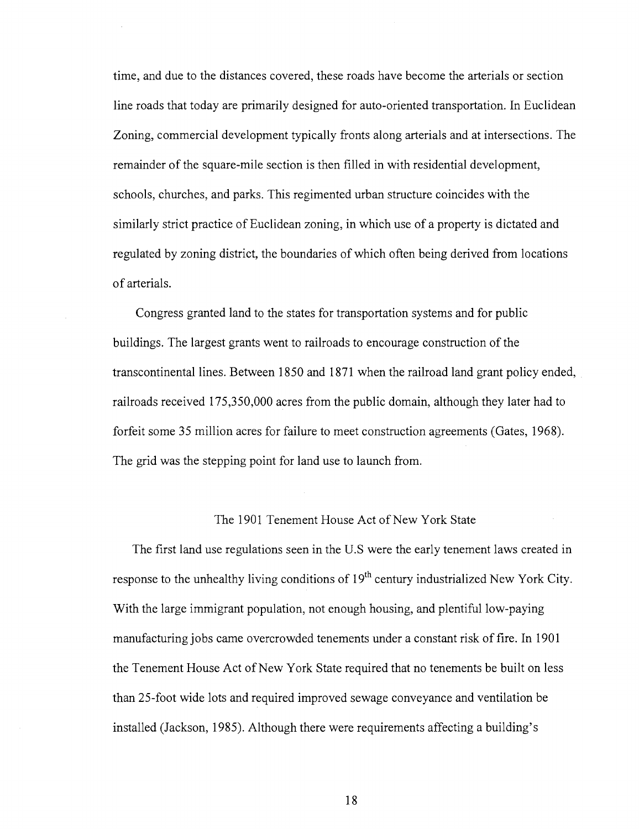time, and due to the distances covered, these roads have become the arterials or section line roads that today are primarily designed for auto-oriented transportation. In Euclidean Zoning, commercial development typically fronts along arterials and at intersections. The remainder of the square-mile section is then filled in with residential development, schools, churches, and parks. This regimented urban structure coincides with the similarly strict practice of Euclidean zoning, in which use of a property is dictated and regulated by zoning district, the boundaries of which often being derived from locations of arterials.

Congress granted land to the states for transportation systems and for public buildings. The largest grants went to railroads to encourage construction of the transcontinental lines. Between 1850 and 1871 when the railroad land grant policy ended, railroads received 175,350,000 acres from the public domain, although they later had to forfeit some 35 million acres for failure to meet construction agreements (Gates, 1968). The grid was the stepping point for land use to launch from.

#### The 1901 Tenement House Act of New York State

The first land use regulations seen in the U.S were the early tenement laws created in response to the unhealthy living conditions of 19<sup>th</sup> century industrialized New York City. With the large immigrant population, not enough housing, and plentiful low-paying manufacturing jobs came overcrowded tenements under a constant risk of fire. In 1901 the Tenement House Act of New York State required that no tenements be built on less than 25-foot wide lots and required improved sewage conveyance and ventilation be installed (Jackson, 1985). Although there were requirements affecting a building's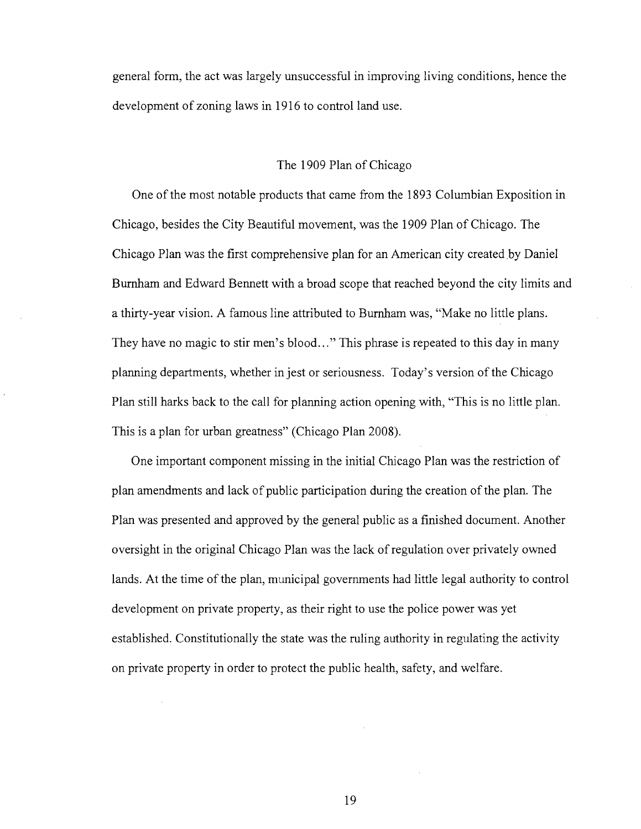general form, the act was largely unsuccessful in improving living conditions, hence the development of zoning laws in 1916 to control land use.

#### The 1909 Plan of Chicago

One of the most notable products that came from the 1893 Columbian Exposition in Chicago, besides the City Beautiful movement, was the 1909 Plan of Chicago. The Chicago Plan was the first comprehensive plan for an American city created by Daniel Burnham and Edward Bennett with a broad scope that reached beyond the city limits and a thirty-year vision. A famous line attributed to Burnham was, "Make no little plans. They have no magic to stir men's blood..." This phrase is repeated to this day in many planning departments, whether in jest or seriousness. Today's version of the Chicago Plan still harks back to the call for planning action opening with, "This is no little plan. This is a plan for urban greatness" (Chicago Plan 2008).

One important component missing in the initial Chicago Plan was the restriction of plan amendments and lack of public participation during the creation of the plan. The Plan was presented and approved by the general public as a finished document. Another oversight in the original Chicago Plan was the lack of regulation over privately owned lands. At the time of the plan, municipal governments had little legal authority to control development on private property, as their right to use the police power was yet established. Constitutionally the state was the ruling authority in regulating the activity on private property in order to protect the public health, safety, and welfare.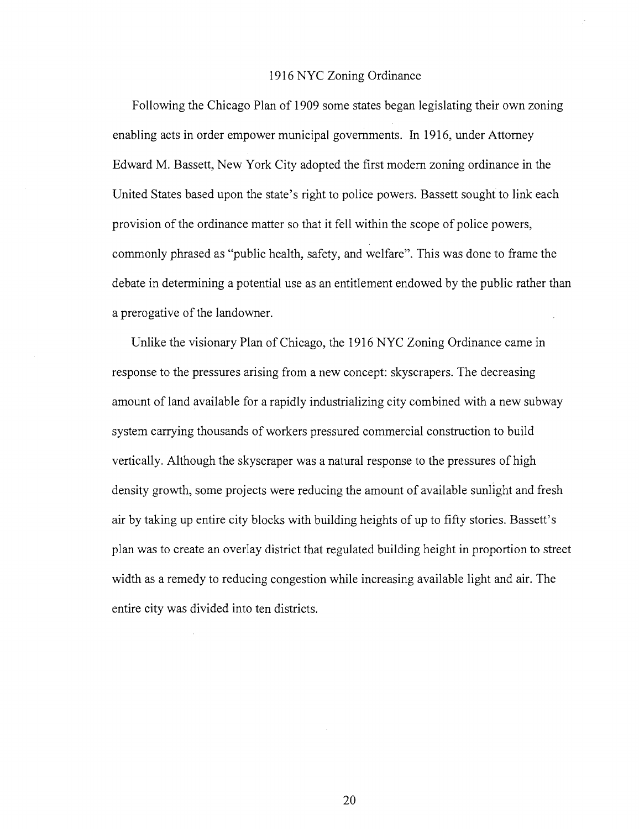#### 1916 NYC Zoning Ordinance

Following the Chicago Plan of 1909 some states began legislating their own zoning enabling acts in order empower municipal governments. In 1916, under Attorney Edward M. Bassett, New York City adopted the first modern zoning ordinance in the United States based upon the state's right to police powers. Bassett sought to link each provision of the ordinance matter so that it fell within the scope of police powers, commonly phrased as "public health, safety, and welfare". This was done to frame the debate in determining a potential use as an entitlement endowed by the public rather than a prerogative of the landowner.

Unlike the visionary Plan of Chicago, the 1916 NYC Zoning Ordinance came in response to the pressures arising from a new concept: skyscrapers. The decreasing amount of land available for a rapidly industrializing city combined with a new subway system carrying thousands of workers pressured commercial construction to build vertically. Although the skyscraper was a natural response to the pressures of high density growth, some projects were reducing the amount of available sunlight and fresh air by taking up entire city blocks with building heights of up to fifty stories. Bassett's plan was to create an overlay district that regulated building height in proportion to street width as a remedy to reducing congestion while increasing available light and air. The entire city was divided into ten districts.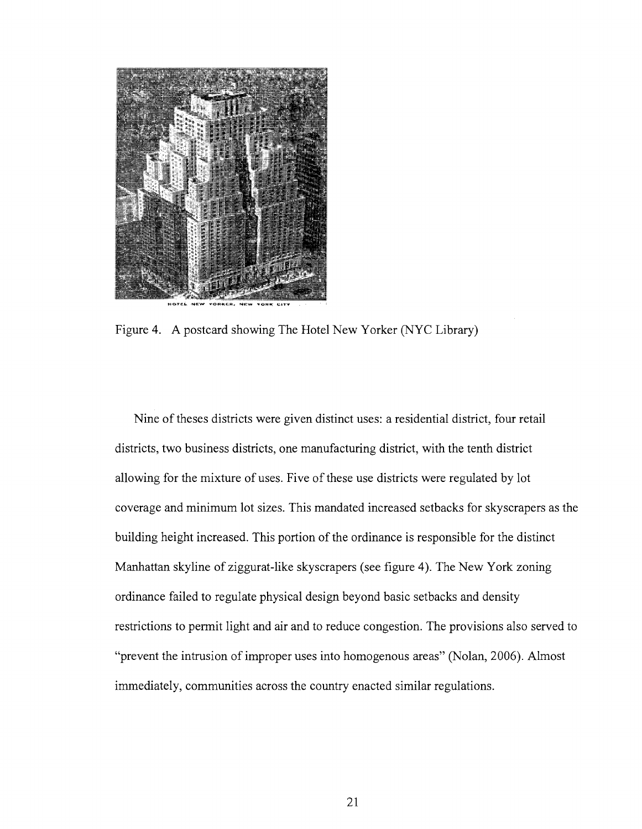

Figure 4. A postcard showing The Hotel New Yorker (NYC Library)

Nine of theses districts were given distinct uses: a residential district, four retail districts, two business districts, one manufacturing district, with the tenth district allowing for the mixture of uses. Five of these use districts were regulated by lot coverage and minimum lot sizes. This mandated increased setbacks for skyscrapers as the building height increased. This portion of the ordinance is responsible for the distinct Manhattan skyline of ziggurat-like skyscrapers (see figure 4). The New York zoning ordinance failed to regulate physical design beyond basic setbacks and density restrictions to permit light and air and to reduce congestion. The provisions also served to "prevent the intrusion of improper uses into homogenous areas" (Nolan, 2006). Almost immediately, communities across the country enacted similar regulations.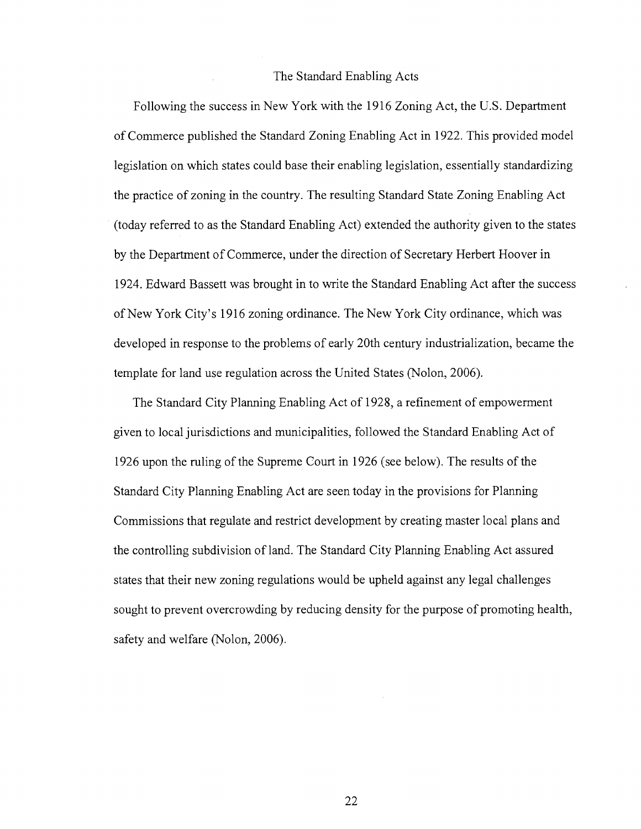#### The Standard Enabling Acts

Following the success in New York with the 1916 Zoning Act, the U.S. Department of Commerce published the Standard Zoning Enabling Act in 1922. This provided model legislation on which states could base their enabling legislation, essentially standardizing the practice of zoning in the country. The resulting Standard State Zoning Enabling Act (today referred to as the Standard Enabling Act) extended the authority given to the states by the Department of Commerce, under the direction of Secretary Herbert Hoover in 1924. Edward Bassett was brought in to write the Standard Enabling Act after the success of New York City's 1916 zoning ordinance. The New York City ordinance, which was developed in response to the problems of early 20th century industrialization, became the template for land use regulation across the United States (Nolon, 2006).

The Standard City Planning Enabling Act of 1928, a refinement of empowerment given to local jurisdictions and municipalities, followed the Standard Enabling Act of 1926 upon the ruling of the Supreme Court in 1926 (see below). The results of the Standard City Planning Enabling Act are seen today in the provisions for Planning Commissions that regulate and restrict development by creating master local plans and the controlling subdivision of land. The Standard City Planning Enabling Act assured states that their new zoning regulations would be upheld against any legal challenges sought to prevent overcrowding by reducing density for the purpose of promoting health, safety and welfare (Nolon, 2006).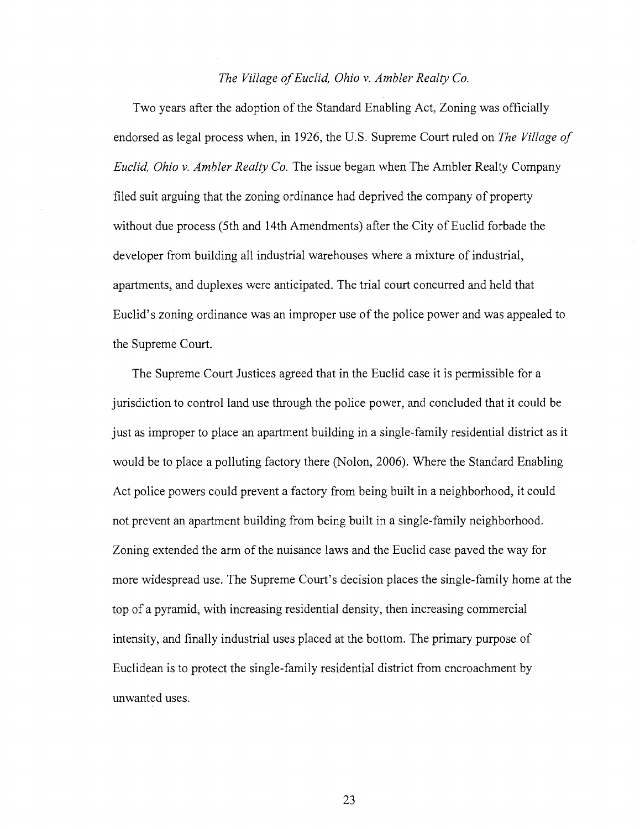#### *The Village of Euclid, Ohio v. Ambler Realty Co.*

Two years after the adoption of the Standard Enabling Act, Zoning was officially endorsed as legal process when, in 1926, the U.S. Supreme Court ruled on *The Village of Euclid, Ohio v. Ambler Realty Co.* The issue began when The Ambler Realty Company filed suit arguing that the zoning ordinance had deprived the company of property without due process (5th and 14th Amendments) after the City of Euclid forbade the developer from building all industrial warehouses where a mixture of industrial, apartments, and duplexes were anticipated. The trial court concurred and held that Euclid's zoning ordinance was an improper use of the police power and was appealed to the Supreme Court.

The Supreme Court Justices agreed that in the Euclid case it is permissible for a jurisdiction to control land use through the police power, and concluded that it could be just as improper to place an apartment building in a single-family residential district as it would be to place a polluting factory there (Nolon, 2006). Where the Standard Enabling Act police powers could prevent a factory from being built in a neighborhood, it could not prevent an apartment building from being built in a single-family neighborhood. Zoning extended the arm of the nuisance laws and the Euclid case paved the way for more widespread use. The Supreme Court's decision places the single-family home at the top of a pyramid, with increasing residential density, then increasing commercial intensity, and finally industrial uses placed at the bottom. The primary purpose of Euclidean is to protect the single-family residential district from encroachment by unwanted uses.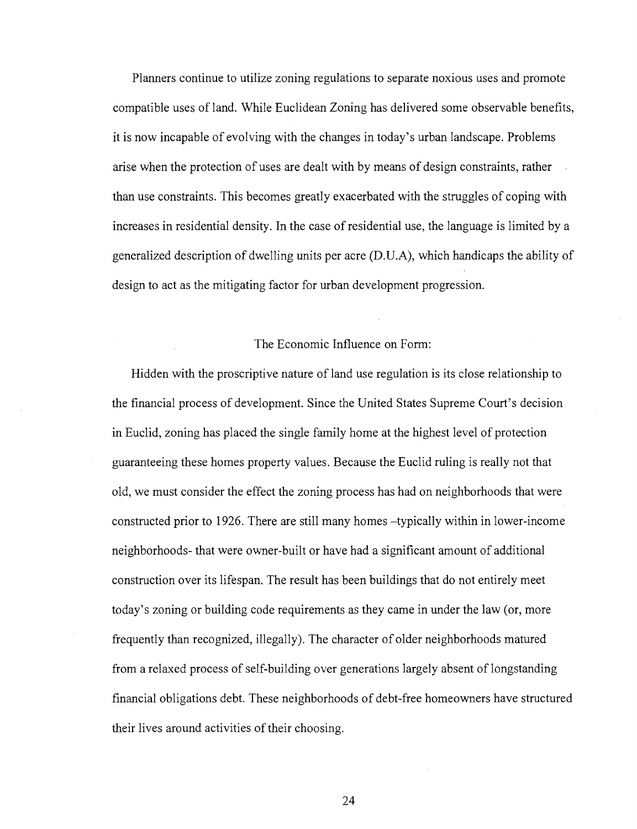Planners continue to utilize zoning regulations to separate noxious uses and promote compatible uses of land. While Euclidean Zoning has delivered some observable benefits, it is now incapable of evolving with the changes in today's urban landscape. Problems arise when the protection of uses are dealt with by means of design constraints, rather than use constraints. This becomes greatly exacerbated with the struggles of coping with increases in residential density. In the case of residential use, the language is limited by a generalized description of dwelling units per acre (D.U.A), which handicaps the ability of design to act as the mitigating factor for urban development progression.

#### The Economic Influence on Form:

Hidden with the proscriptive nature of land use regulation is its close relationship to the financial process of development. Since the United States Supreme Court's decision in Euclid, zoning has placed the single family home at the highest level of protection guaranteeing these homes property values. Because the Euclid ruling is really not that old, we must consider the effect the zoning process has had on neighborhoods that were constructed prior to 1926. There are still many homes -typically within in lower-income neighborhoods- that were owner-built or have had a significant amount of additional construction over its lifespan. The result has been buildings that do not entirely meet today's zoning or building code requirements as they came in under the law (or, more frequently than recognized, illegally). The character of older neighborhoods matured from a relaxed process of self-building over generations largely absent of longstanding financial obligations debt. These neighborhoods of debt-free homeowners have structured their lives around activities of their choosing.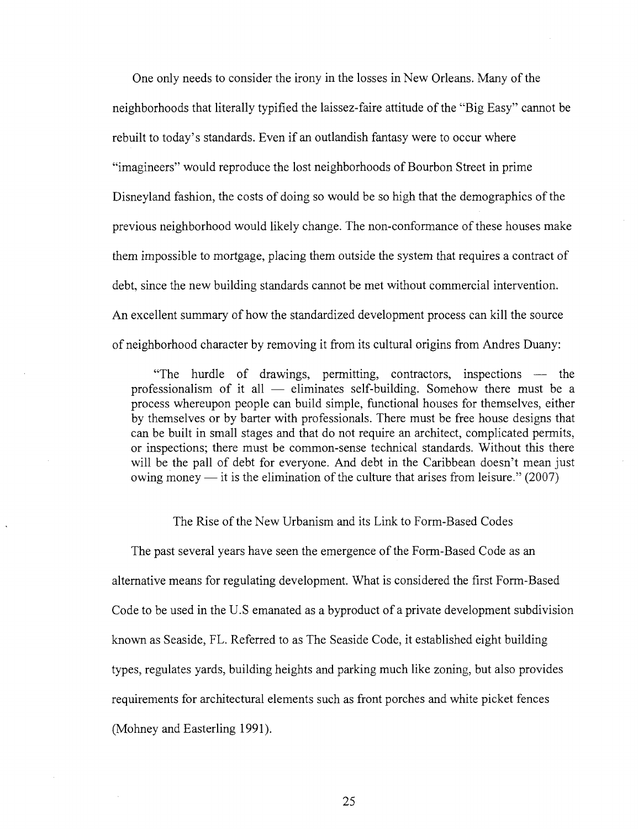One only needs to consider the irony in the losses in New Orleans. Many of the neighborhoods that literally typified the laissez-faire attitude of the "Big Easy" cannot be rebuilt to today's standards. Even if an outlandish fantasy were to occur where "imagineers" would reproduce the lost neighborhoods of Bourbon Street in prime Disneyland fashion, the costs of doing so would be so high that the demographics of the previous neighborhood would likely change. The non-conformance of these houses make them impossible to mortgage, placing them outside the system that requires a contract of debt, since the new building standards cannot be met without commercial intervention. An excellent summary of how the standardized development process can kill the source of neighborhood character by removing it from its cultural origins from Andres Duany:

"The hurdle of drawings, permitting, contractors, inspections — the professionalism of it all — eliminates self-building. Somehow there must be a process whereupon people can build simple, functional houses for themselves, either by themselves or by barter with professionals. There must be free house designs that can be built in small stages and that do not require an architect, complicated permits, or inspections; there must be common-sense technical standards. Without this there will be the pall of debt for everyone. And debt in the Caribbean doesn't mean just owing money — it is the elimination of the culture that arises from leisure." (2007)

The Rise of the New Urbanism and its Link to Form-Based Codes

The past several years have seen the emergence of the Form-Based Code as an alternative means for regulating development. What is considered the first Form-Based Code to be used in the U.S emanated as a byproduct of a private development subdivision known as Seaside, FL. Referred to as The Seaside Code, it established eight building types, regulates yards, building heights and parking much like zoning, but also provides requirements for architectural elements such as front porches and white picket fences (Mohney and Easterling 1991).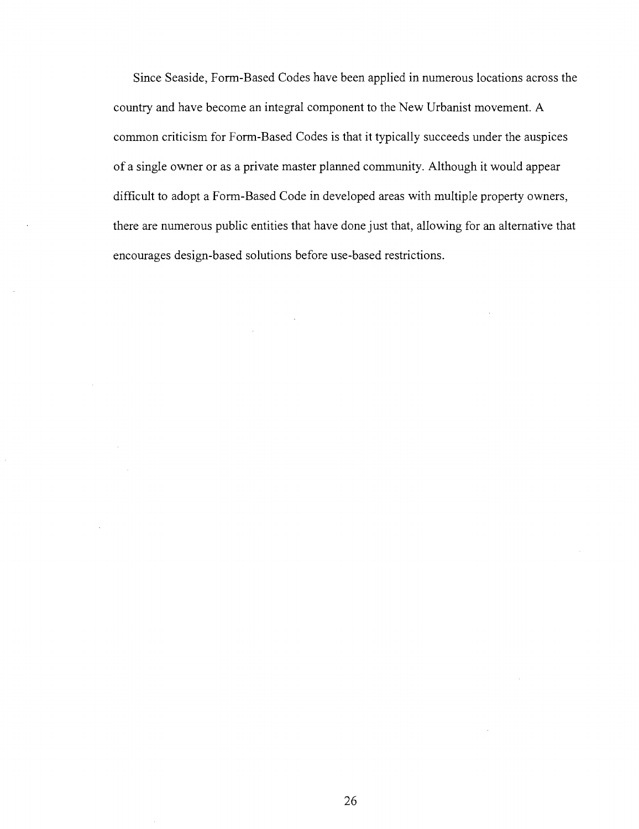Since Seaside, Form-Based Codes have been applied in numerous locations across the country and have become an integral component to the New Urbanist movement. A common criticism for Form-Based Codes is that it typically succeeds under the auspices of a single owner or as a private master planned community. Although it would appear difficult to adopt a Form-Based Code in developed areas with multiple property owners, there are numerous public entities that have done just that, allowing for an alternative that encourages design-based solutions before use-based restrictions.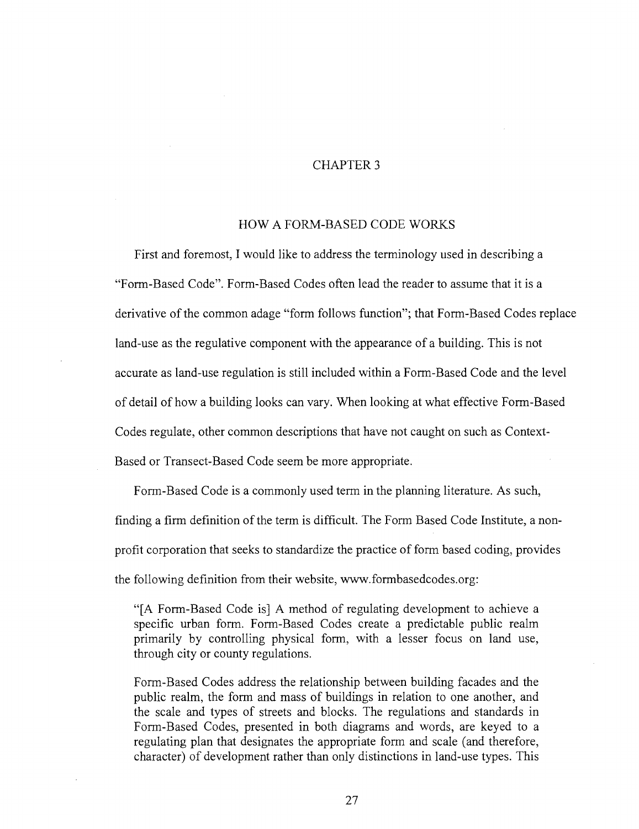## CHAPTER 3

### HOW A FORM-BASED CODE WORKS

First and foremost, I would like to address the terminology used in describing a "Form-Based Code". Form-Based Codes often lead the reader to assume that it is a derivative of the common adage "form follows function"; that Form-Based Codes replace land-use as the regulative component with the appearance of a building. This is not accurate as land-use regulation is still included within a Form-Based Code and the level of detail of how a building looks can vary. When looking at what effective Form-Based Codes regulate, other common descriptions that have not caught on such as Context-Based or Transect-Based Code seem be more appropriate.

Form-Based Code is a commonly used term in the planning literature. As such, finding a firm definition of the term is difficult. The Form Based Code Institute, a nonprofit corporation that seeks to standardize the practice of form based coding, provides the following definition from their website, [www.formbasedcodes.org:](http://www.formbasedcodes.org)

"[A Form-Based Code is] A method of regulating development to achieve a specific urban form. Form-Based Codes create a predictable public realm primarily by controlling physical form, with a lesser focus on land use, through city or county regulations.

Form-Based Codes address the relationship between building facades and the public realm, the form and mass of buildings in relation to one another, and the scale and types of streets and blocks. The regulations and standards in Form-Based Codes, presented in both diagrams and words, are keyed to a regulating plan that designates the appropriate form and scale (and therefore, character) of development rather than only distinctions in land-use types. This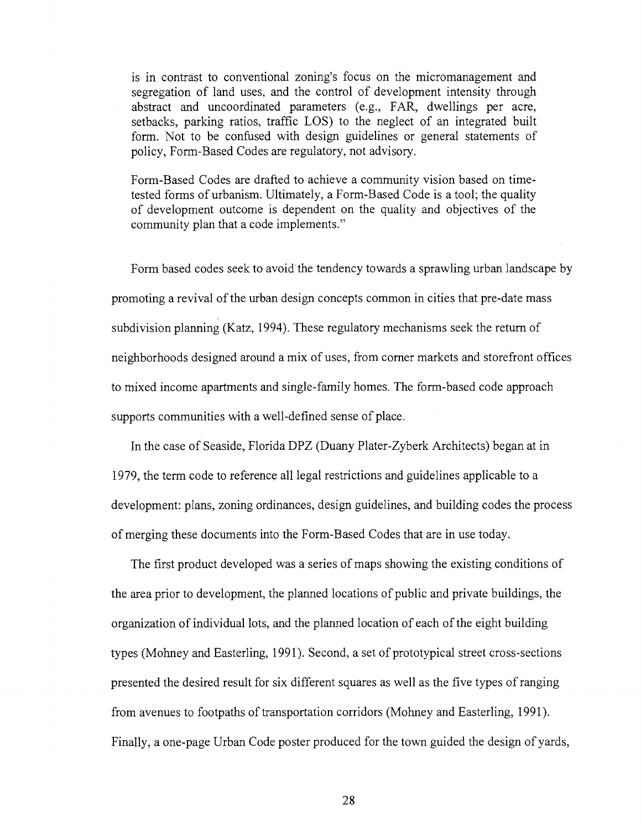is in contrast to conventional zoning's focus on the micromanagement and segregation of land uses, and the control of development intensity through abstract and uncoordinated parameters (e.g., FAR, dwellings per acre, setbacks, parking ratios, traffic LOS) to the neglect of an integrated built form. Not to be confused with design guidelines or general statements of policy, Form-Based Codes are regulatory, not advisory.

Form-Based Codes are drafted to achieve a community vision based on timetested forms of urbanism. Ultimately, a Form-Based Code is a tool; the quality of development outcome is dependent on the quality and objectives of the community plan that a code implements."

Form based codes seek to avoid the tendency towards a sprawling urban landscape by promoting a revival of the urban design concepts common in cities that pre-date mass subdivision planning (Katz, 1994). These regulatory mechanisms seek the return of neighborhoods designed around a mix of uses, from corner markets and storefront offices to mixed income apartments and single-family homes. The form-based code approach supports communities with a well-defined sense of place.

In the case of Seaside, Florida DPZ (Duany Plater-Zyberk Architects) began at in 1979, the term code to reference all legal restrictions and guidelines applicable to a development: plans, zoning ordinances, design guidelines, and building codes the process of merging these documents into the Form-Based Codes that are in use today.

The first product developed was a series of maps showing the existing conditions of the area prior to development, the planned locations of public and private buildings, the organization of individual lots, and the planned location of each of the eight building types (Mohney and Easterling, 1991). Second, a set of prototypical street cross-sections presented the desired result for six different squares as well as the five types of ranging from avenues to footpaths of transportation corridors (Mohney and Easterling, 1991). Finally, a one-page Urban Code poster produced for the town guided the design of yards,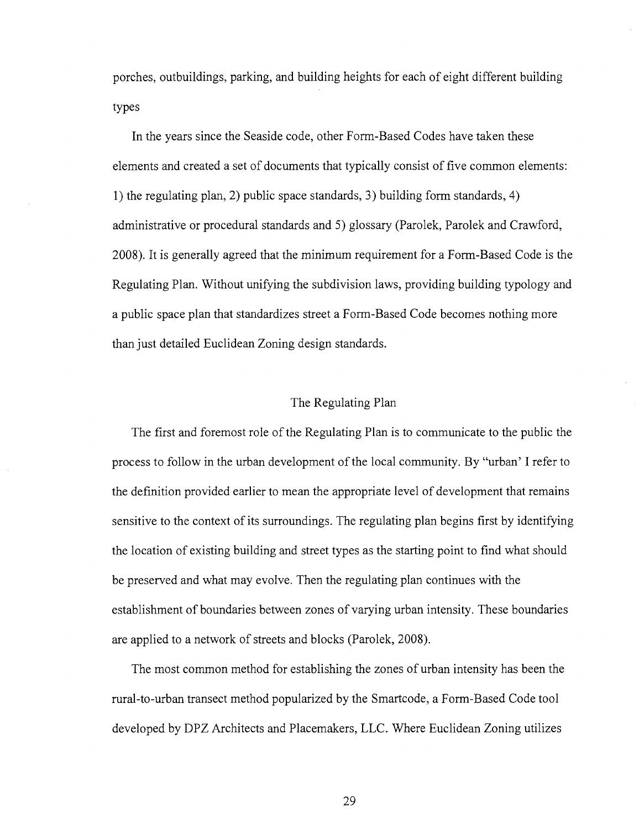porches, outbuildings, parking, and building heights for each of eight different building types

In the years since the Seaside code, other Form-Based Codes have taken these elements and created a set of documents that typically consist of five common elements: 1) the regulating plan, 2) public space standards, 3) building form standards, 4) administrative or procedural standards and 5) glossary (Parolek, Parolek and Crawford, 2008). It is generally agreed that the minimum requirement for a Form-Based Code is the Regulating Plan. Without unifying the subdivision laws, providing building typology and a public space plan that standardizes street a Form-Based Code becomes nothing more than just detailed Euclidean Zoning design standards.

## The Regulating Plan

The first and foremost role of the Regulating Plan is to communicate to the public the process to follow in the urban development of the local community. By "urban' I refer to the definition provided earlier to mean the appropriate level of development that remains sensitive to the context of its surroundings. The regulating plan begins first by identifying the location of existing building and street types as the starting point to find what should be preserved and what may evolve. Then the regulating plan continues with the establishment of boundaries between zones of varying urban intensity. These boundaries are applied to a network of streets and blocks (Parolek, 2008).

The most common method for establishing the zones of urban intensity has been the rural-to-urban transect method popularized by the Smartcode, a Form-Based Code tool developed by DPZ Architects and Placemakers, LLC. Where Euclidean Zoning utilizes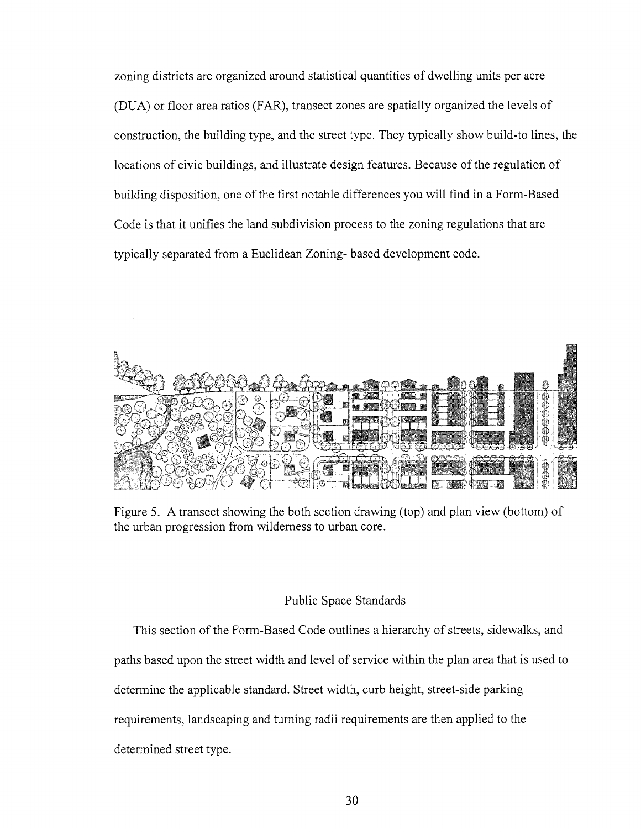zoning districts are organized around statistical quantities of dwelling units per acre (DUA) or floor area ratios (FAR), transect zones are spatially organized the levels of construction, the building type, and the street type. They typically show build-to lines, the locations of civic buildings, and illustrate design features. Because of the regulation of building disposition, one of the first notable differences you will find in a Form-Based Code is that it unifies the land subdivision process to the zoning regulations that are typically separated from a Euclidean Zoning- based development code.



Figure 5. A transect showing the both section drawing (top) and plan view (bottom) of the urban progression from wilderness to urban core.

## Public Space Standards

This section of the Form-Based Code outlines a hierarchy of streets, sidewalks, and paths based upon the street width and level of service within the plan area that is used to determine the applicable standard. Street width, curb height, street-side parking requirements, landscaping and turning radii requirements are then applied to the determined street type.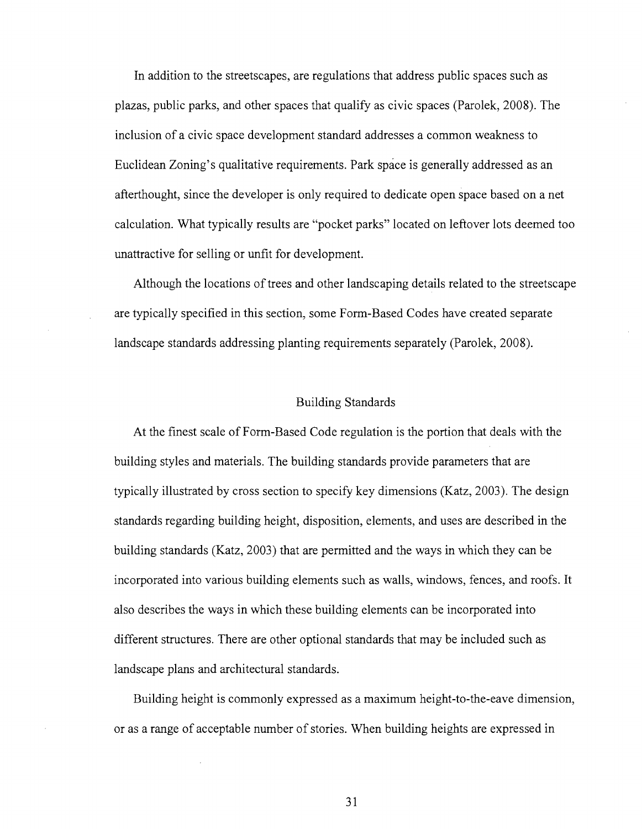In addition to the streetscapes, are regulations that address public spaces such as plazas, public parks, and other spaces that qualify as civic spaces (Parolek, 2008). The inclusion of a civic space development standard addresses a common weakness to Euclidean Zoning's qualitative requirements. Park space is generally addressed as an afterthought, since the developer is only required to dedicate open space based on a net calculation. What typically results are "pocket parks" located on leftover lots deemed too unattractive for selling or unfit for development.

Although the locations of trees and other landscaping details related to the streetscape are typically specified in this section, some Form-Based Codes have created separate landscape standards addressing planting requirements separately (Parolek, 2008).

## Building Standards

At the finest scale of Form-Based Code regulation is the portion that deals with the building styles and materials. The building standards provide parameters that are typically illustrated by cross section to specify key dimensions (Katz, 2003). The design standards regarding building height, disposition, elements, and uses are described in the building standards (Katz, 2003) that are permitted and the ways in which they can be incorporated into various building elements such as walls, windows, fences, and roofs. It also describes the ways in which these building elements can be incorporated into different structures. There are other optional standards that may be included such as landscape plans and architectural standards.

Building height is commonly expressed as a maximum height-to-the-eave dimension, or as a range of acceptable number of stories. When building heights are expressed in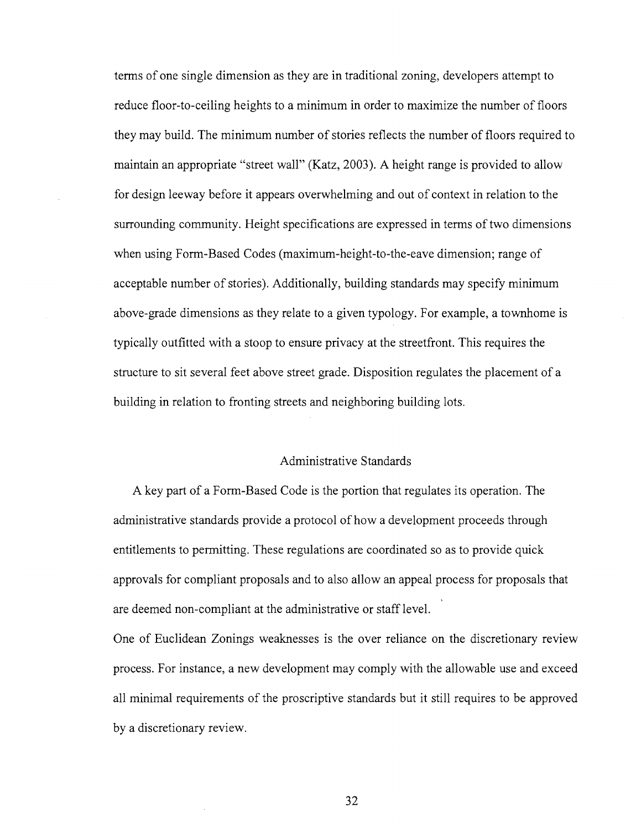terms of one single dimension as they are in traditional zoning, developers attempt to reduce floor-to-ceiling heights to a minimum in order to maximize the number of floors they may build. The minimum number of stories reflects the number of floors required to maintain an appropriate "street wall" (Katz, 2003). A height range is provided to allow for design leeway before it appears overwhelming and out of context in relation to the surrounding community. Height specifications are expressed in terms of two dimensions when using Form-Based Codes (maximum-height-to-the-eave dimension; range of acceptable number of stories). Additionally, building standards may specify minimum above-grade dimensions as they relate to a given typology. For example, a townhome is typically outfitted with a stoop to ensure privacy at the streetfront. This requires the structure to sit several feet above street grade. Disposition regulates the placement of a building in relation to fronting streets and neighboring building lots.

### Administrative Standards

A key part of a Form-Based Code is the portion that regulates its operation. The administrative standards provide a protocol of how a development proceeds through entitlements to permitting. These regulations are coordinated so as to provide quick approvals for compliant proposals and to also allow an appeal process for proposals that are deemed non-compliant at the administrative or staff level.

One of Euclidean Zonings weaknesses is the over reliance on the discretionary review process. For instance, a new development may comply with the allowable use and exceed all minimal requirements of the proscriptive standards but it still requires to be approved by a discretionary review.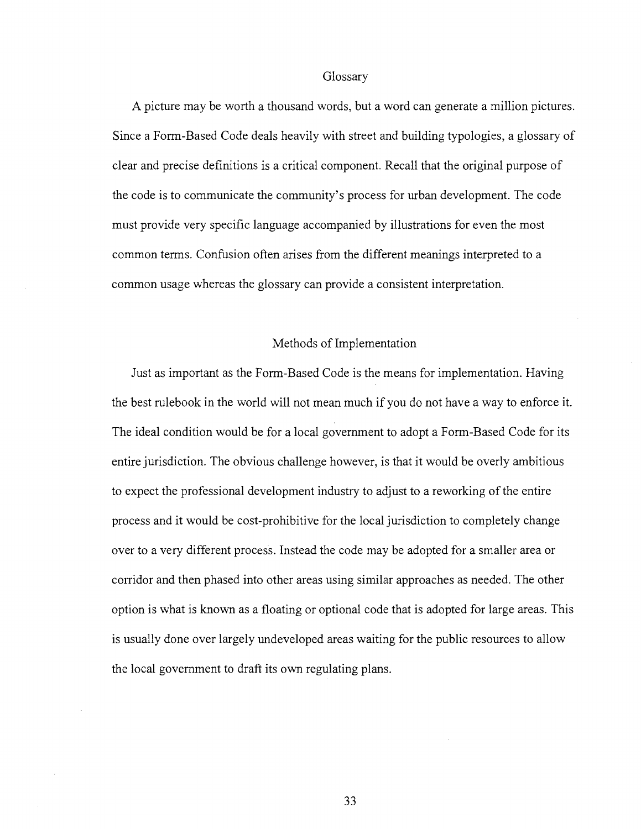### Glossary

A picture may be worth a thousand words, but a word can generate a million pictures. Since a Form-Based Code deals heavily with street and building typologies, a glossary of clear and precise definitions is a critical component. Recall that the original purpose of the code is to communicate the community's process for urban development. The code must provide very specific language accompanied by illustrations for even the most common terms. Confusion often arises from the different meanings interpreted to a common usage whereas the glossary can provide a consistent interpretation.

## Methods of Implementation

Just as important as the Form-Based Code is the means for implementation. Having the best rulebook in the world will not mean much if you do not have a way to enforce it. The ideal condition would be for a local government to adopt a Form-Based Code for its entire jurisdiction. The obvious challenge however, is that it would be overly ambitious to expect the professional development industry to adjust to a reworking of the entire process and it would be cost-prohibitive for the local jurisdiction to completely change over to a very different process. Instead the code may be adopted for a smaller area or corridor and then phased into other areas using similar approaches as needed. The other option is what is known as a floating or optional code that is adopted for large areas. This is usually done over largely undeveloped areas waiting for the public resources to allow the local government to draft its own regulating plans.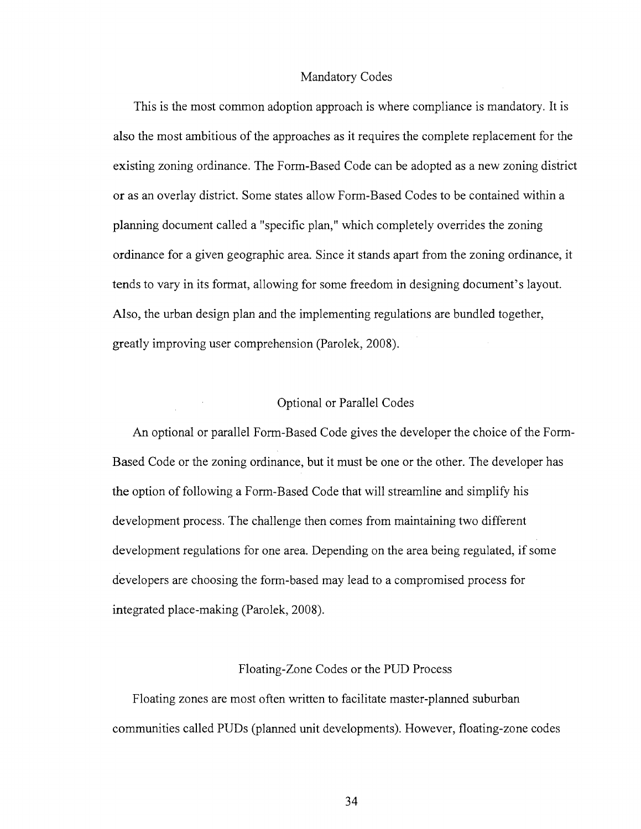#### Mandatory Codes

This is the most common adoption approach is where compliance is mandatory. It is also the most ambitious of the approaches as it requires the complete replacement for the existing zoning ordinance. The Form-Based Code can be adopted as a new zoning district or as an overlay district. Some states allow Form-Based Codes to be contained within a planning document called a "specific plan," which completely overrides the zoning ordinance for a given geographic area. Since it stands apart from the zoning ordinance, it tends to vary in its format, allowing for some freedom in designing document's layout. Also, the urban design plan and the implementing regulations are bundled together, greatly improving user comprehension (Parolek, 2008).

## Optional or Parallel Codes

An optional or parallel Form-Based Code gives the developer the choice of the Form-Based Code or the zoning ordinance, but it must be one or the other. The developer has the option of following a Form-Based Code that will streamline and simplify his development process. The challenge then comes from maintaining two different development regulations for one area. Depending on the area being regulated, if some developers are choosing the form-based may lead to a compromised process for integrated place-making (Parolek, 2008).

### Floating-Zone Codes or the PUD Process

Floating zones are most often written to facilitate master-planned suburban communities called PUDs (planned unit developments). However, floating-zone codes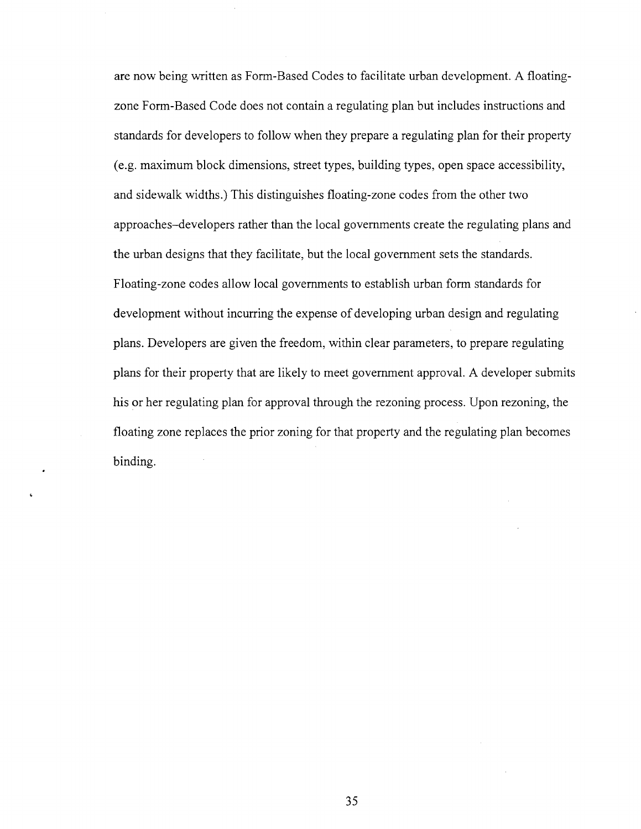are now being written as Form-Based Codes to facilitate urban development. A floatingzone Form-Based Code does not contain a regulating plan but includes instructions and standards for developers to follow when they prepare a regulating plan for their property (e.g. maximum block dimensions, street types, building types, open space accessibility, and sidewalk widths.) This distinguishes floating-zone codes from the other two approaches-developers rather than the local governments create the regulating plans and the urban designs that they facilitate, but the local government sets the standards. Floating-zone codes allow local governments to establish urban form standards for development without incurring the expense of developing urban design and regulating plans. Developers are given the freedom, within clear parameters, to prepare regulating plans for their property that are likely to meet government approval. A developer submits his or her regulating plan for approval through the rezoning process. Upon rezoning, the floating zone replaces the prior zoning for that property and the regulating plan becomes binding.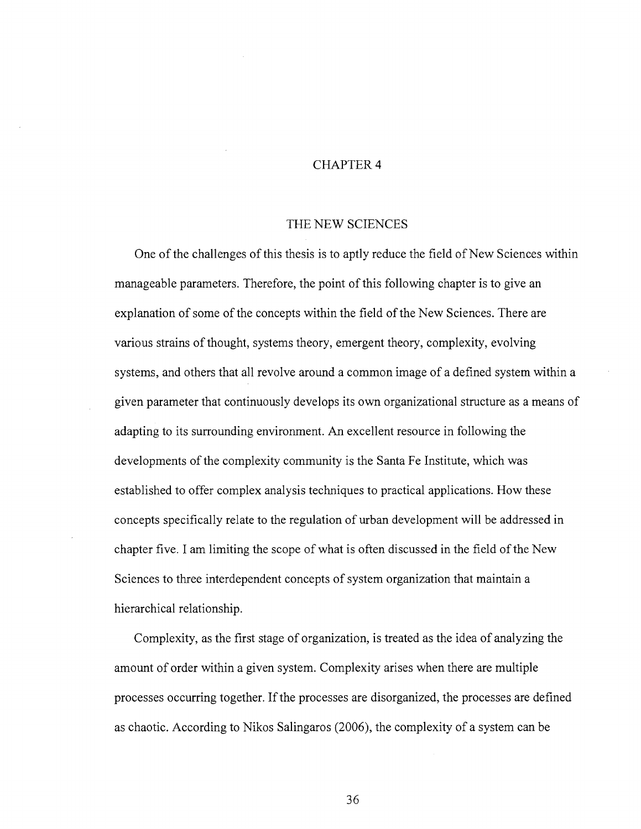# CHAPTER 4

#### THE NEW SCIENCES

One of the challenges of this thesis is to aptly reduce the field of New Sciences within manageable parameters. Therefore, the point of this following chapter is to give an explanation of some of the concepts within the field of the New Sciences. There are various strains of thought, systems theory, emergent theory, complexity, evolving systems, and others that all revolve around a common image of a defined system within a given parameter that continuously develops its own organizational structure as a means of adapting to its surrounding environment. An excellent resource in following the developments of the complexity community is the Santa Fe Institute, which was established to offer complex analysis techniques to practical applications. How these concepts specifically relate to the regulation of urban development will be addressed in chapter five. I am limiting the scope of what is often discussed in the field of the New Sciences to three interdependent concepts of system organization that maintain a hierarchical relationship.

Complexity, as the first stage of organization, is treated as the idea of analyzing the amount of order within a given system. Complexity arises when there are multiple processes occurring together. If the processes are disorganized, the processes are defined as chaotic. According to Nikos Salingaros (2006), the complexity of a system can be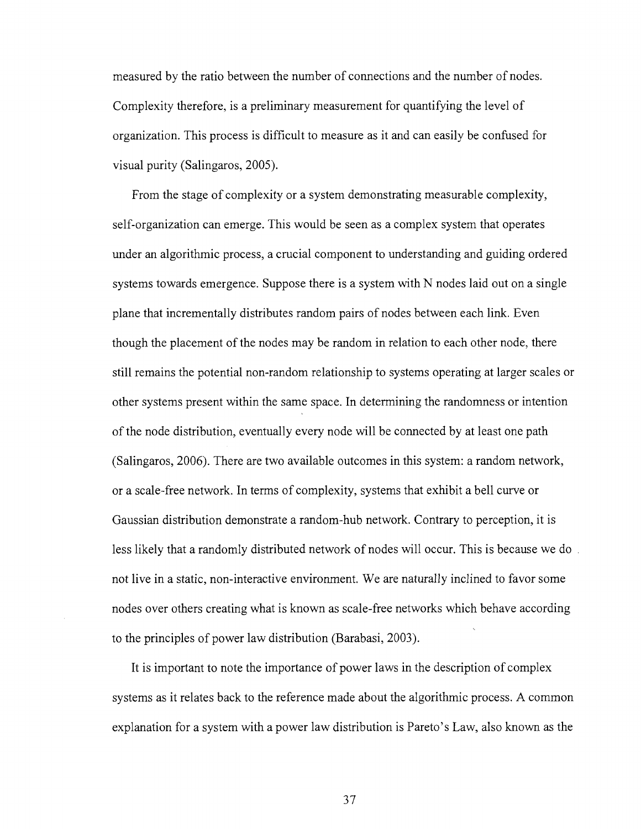measured by the ratio between the number of connections and the number of nodes. Complexity therefore, is a preliminary measurement for quantifying the level of organization. This process is difficult to measure as it and can easily be confused for visual purity (Salingaros, 2005).

From the stage of complexity or a system demonstrating measurable complexity, self-organization can emerge. This would be seen as a complex system that operates under an algorithmic process, a crucial component to understanding and guiding ordered systems towards emergence. Suppose there is a system with N nodes laid out on a single plane that incrementally distributes random pairs of nodes between each link. Even though the placement of the nodes may be random in relation to each other node, there still remains the potential non-random relationship to systems operating at larger scales or other systems present within the same space. In determining the randomness or intention of the node distribution, eventually every node will be connected by at least one path (Salingaros, 2006). There are two available outcomes in this system: a random network, or a scale-free network. In terms of complexity, systems that exhibit a bell curve or Gaussian distribution demonstrate a random-hub network. Contrary to perception, it is less likely that a randomly distributed network of nodes will occur. This is because we do not live in a static, non-interactive environment. We are naturally inclined to favor some nodes over others creating what is known as scale-free networks which behave according to the principles of power law distribution (Barabasi, 2003).

It is important to note the importance of power laws in the description of complex systems as it relates back to the reference made about the algorithmic process. A common explanation for a system with a power law distribution is Pareto's Law, also known as the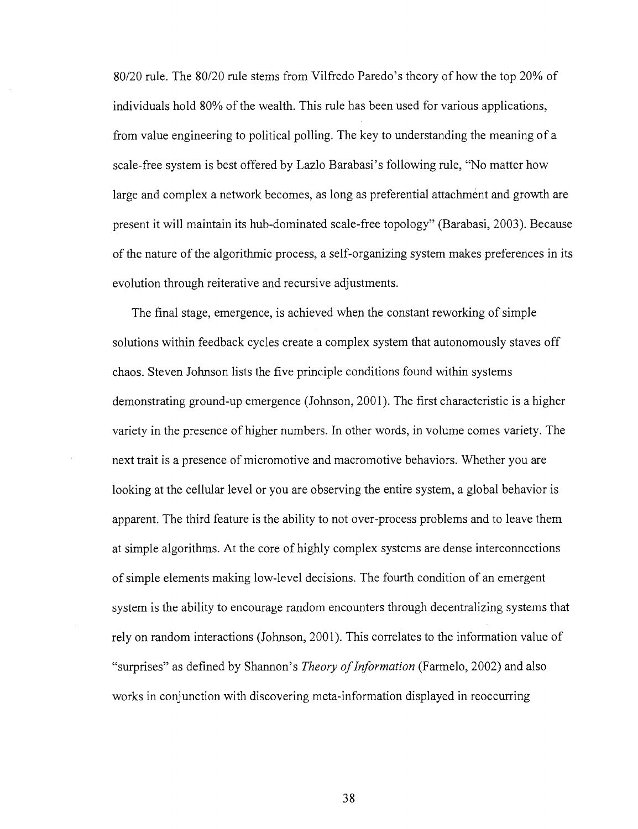80/20 rule. The 80/20 rule stems from Vilfredo Paredo's theory of how the top 20% of individuals hold 80% of the wealth. This rule has been used for various applications, from value engineering to political polling. The key to understanding the meaning of a scale-free system is best offered by Lazlo Barabasi's following rule, "No matter how large and complex a network becomes, as long as preferential attachment and growth are present it will maintain its hub-dominated scale-free topology" (Barabasi, 2003). Because of the nature of the algorithmic process, a self-organizing system makes preferences in its evolution through reiterative and recursive adjustments.

The final stage, emergence, is achieved when the constant reworking of simple solutions within feedback cycles create a complex system that autonomously staves off chaos. Steven Johnson lists the five principle conditions found within systems demonstrating ground-up emergence (Johnson, 2001). The first characteristic is a higher variety in the presence of higher numbers. In other words, in volume comes variety. The next trait is a presence of micromotive and macromotive behaviors. Whether you are looking at the cellular level or you are observing the entire system, a global behavior is apparent. The third feature is the ability to not over-process problems and to leave them at simple algorithms. At the core of highly complex systems are dense interconnections of simple elements making low-level decisions. The fourth condition of an emergent system is the ability to encourage random encounters through decentralizing systems that rely on random interactions (Johnson, 2001). This correlates to the information value of "surprises" as defined by Shannon's *Theory of Information* (Farmelo, 2002) and also works in conjunction with discovering meta-information displayed in reoccurring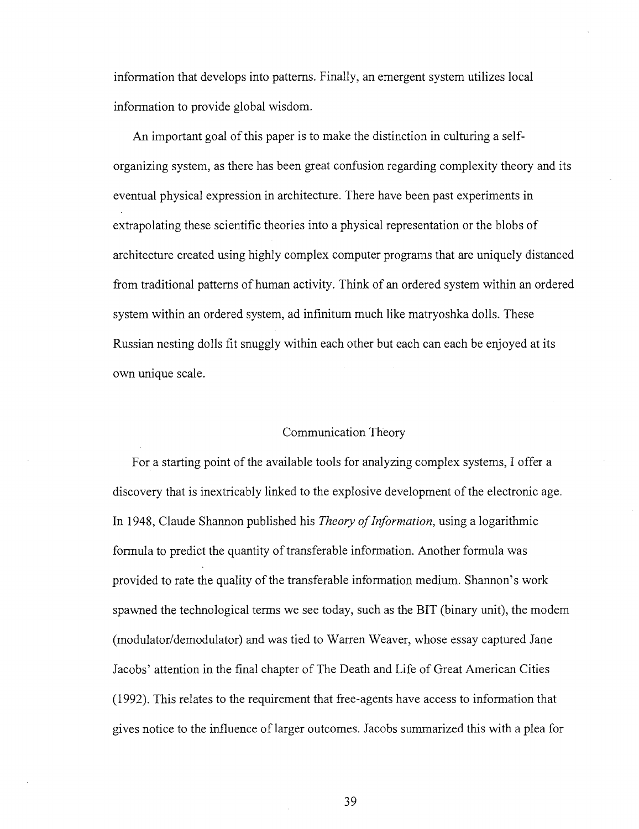information that develops into patterns. Finally, an emergent system utilizes local information to provide global wisdom.

An important goal of this paper is to make the distinction in culturing a selforganizing system, as there has been great confusion regarding complexity theory and its eventual physical expression in architecture. There have been past experiments in extrapolating these scientific theories into a physical representation or the blobs of architecture created using highly complex computer programs that are uniquely distanced from traditional patterns of human activity. Think of an ordered system within an ordered system within an ordered system, ad infinitum much like matryoshka dolls. These Russian nesting dolls fit snuggly within each other but each can each be enjoyed at its own unique scale.

### Communication Theory

For a starting point of the available tools for analyzing complex systems, I offer a discovery that is inextricably linked to the explosive development of the electronic age. In 1948, Claude Shannon published his *Theory of Information,* using a logarithmic formula to predict the quantity of transferable information. Another formula was provided to rate the quality of the transferable information medium. Shannon's work spawned the technological terms we see today, such as the BIT (binary unit), the modem (modulator/demodulator) and was tied to Warren Weaver, whose essay captured Jane Jacobs' attention in the final chapter of The Death and Life of Great American Cities (1992). This relates to the requirement that free-agents have access to information that gives notice to the influence of larger outcomes. Jacobs summarized this with a plea for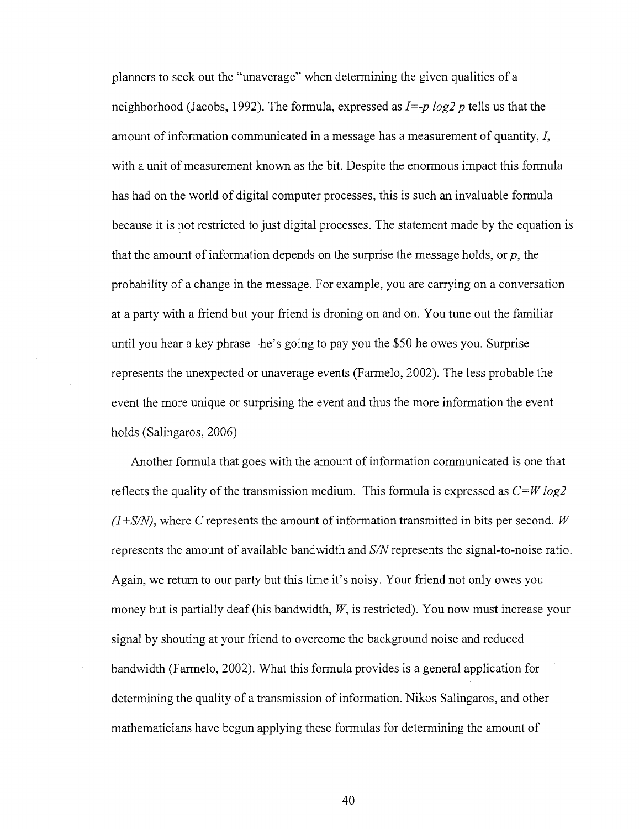planners to seek out the "unaverage" when determining the given qualities of a neighborhood (Jacobs, 1992). The formula, expressed as *I=-p log2 p* tells us that the amount of information communicated in a message has a measurement of quantity, *I,*  with a unit of measurement known as the bit. Despite the enormous impact this formula has had on the world of digital computer processes, this is such an invaluable formula because it is not restricted to just digital processes. The statement made by the equation is that the amount of information depends on the surprise the message holds, or  $p$ , the probability of a change in the message. For example, you are carrying on a conversation at a party with a friend but your friend is droning on and on. You tune out the familiar until you hear a key phrase -he's going to pay you the \$50 he owes you. Surprise represents the unexpected or unaverage events (Farmelo, 2002). The less probable the event the more unique or surprising the event and thus the more information the event holds (Salingaros, 2006)

Another formula that goes with the amount of information communicated is one that reflects the quality of the transmission medium. This formula is expressed as *C=W log2 (1+S/N),* where C represents the amount of information transmitted in bits per second. *W*  represents the amount of available bandwidth and *S/N* represents the signal-to-noise ratio. Again, we return to our party but this time it's noisy. Your friend not only owes you money but is partially deaf (his bandwidth, *W,* is restricted). You now must increase your signal by shouting at your friend to overcome the background noise and reduced bandwidth (Farmelo, 2002). What this formula provides is a general application for determining the quality of a transmission of information. Nikos Salingaros, and other mathematicians have begun applying these formulas for determining the amount of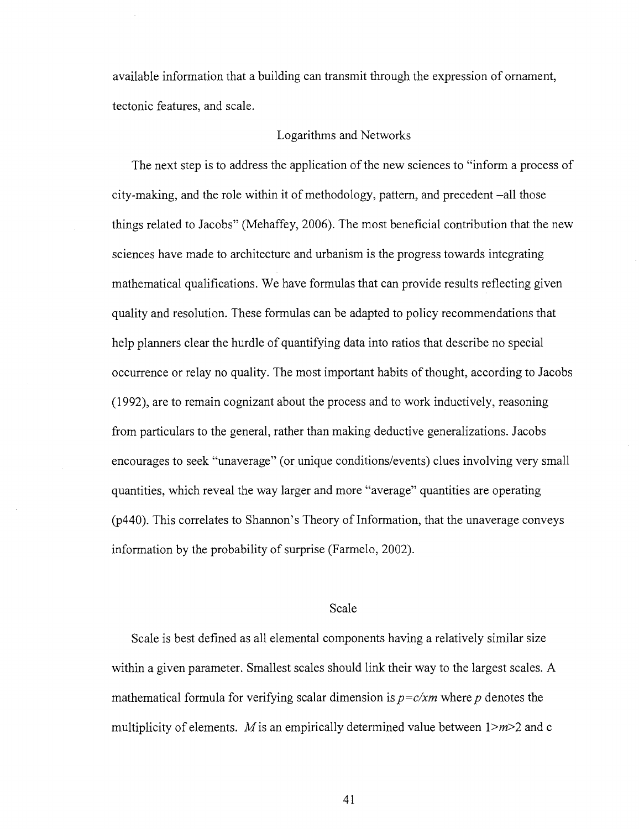available information that a building can transmit through the expression of ornament, tectonic features, and scale.

#### Logarithms and Networks

The next step is to address the application of the new sciences to "inform a process of city-making, and the role within it of methodology, pattern, and precedent -all those things related to Jacobs" (Mehaffey, 2006). The most beneficial contribution that the new sciences have made to architecture and urbanism is the progress towards integrating mathematical qualifications. We have formulas that can provide results reflecting given quality and resolution. These formulas can be adapted to policy recommendations that help planners clear the hurdle of quantifying data into ratios that describe no special occurrence or relay no quality. The most important habits of thought, according to Jacobs (1992), are to remain cognizant about the process and to work inductively, reasoning from particulars to the general, rather than making deductive generalizations. Jacobs encourages to seek "unaverage" (or unique conditions/events) clues involving very small quantities, which reveal the way larger and more "average" quantities are operating (p440). This correlates to Shannon's Theory of Information, that the unaverage conveys information by the probability of surprise (Farmelo, 2002).

### Scale

Scale is best defined as all elemental components having a relatively similar size within a given parameter. Smallest scales should link their way to the largest scales. A mathematical formula for verifying scalar dimension is *p=c/xm* where *p* denotes the multiplicity of elements. M is an empirically determined value between  $1 \ge m \ge 2$  and c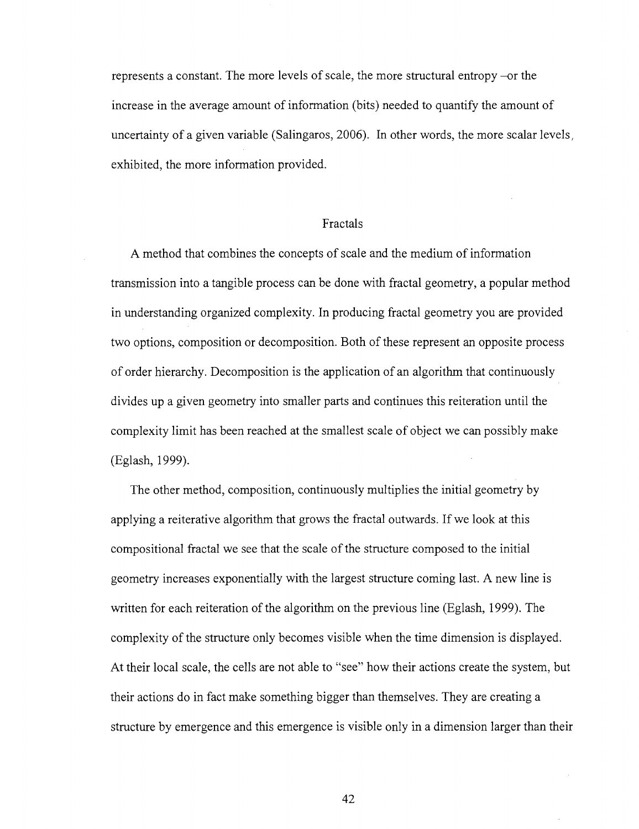represents a constant. The more levels of scale, the more structural entropy -or the increase in the average amount of information (bits) needed to quantify the amount of uncertainty of a given variable (Salingaros, 2006). In other words, the more scalar levels, exhibited, the more information provided.

#### Fractals

A method that combines the concepts of scale and the medium of information transmission into a tangible process can be done with fractal geometry, a popular method in understanding organized complexity. In producing fractal geometry you are provided two options, composition or decomposition. Both of these represent an opposite process of order hierarchy. Decomposition is the application of an algorithm that continuously divides up a given geometry into smaller parts and continues this reiteration until the complexity limit has been reached at the smallest scale of object we can possibly make (Eglash, 1999).

The other method, composition, continuously multiplies the initial geometry by applying a reiterative algorithm that grows the fractal outwards. If we look at this compositional fractal we see that the scale of the structure composed to the initial geometry increases exponentially with the largest structure coming last. A new line is written for each reiteration of the algorithm on the previous line (Eglash, 1999). The complexity of the structure only becomes visible when the time dimension is displayed. At their local scale, the cells are not able to "see" how their actions create the system, but their actions do in fact make something bigger than themselves. They are creating a structure by emergence and this emergence is visible only in a dimension larger than their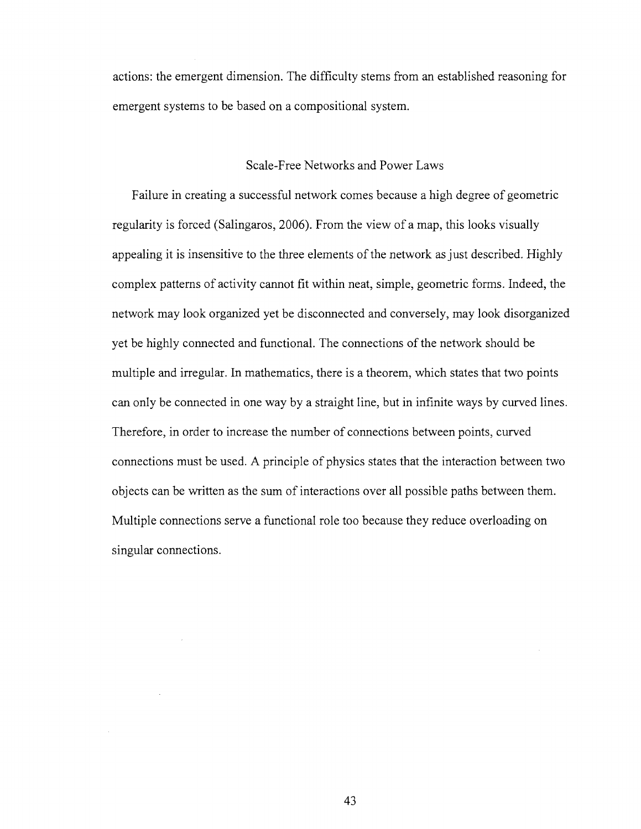actions: the emergent dimension. The difficulty stems from an established reasoning for emergent systems to be based on a compositional system.

## Scale-Free Networks and Power Laws

Failure in creating a successful network comes because a high degree of geometric regularity is forced (Salingaros, 2006). From the view of a map, this looks visually appealing it is insensitive to the three elements of the network as just described. Highly complex patterns of activity cannot fit within neat, simple, geometric forms. Indeed, the network may look organized yet be disconnected and conversely, may look disorganized yet be highly connected and functional. The connections of the network should be multiple and irregular. In mathematics, there is a theorem, which states that two points can only be connected in one way by a straight line, but in infinite ways by curved lines. Therefore, in order to increase the number of connections between points, curved connections must be used. A principle of physics states that the interaction between two objects can be written as the sum of interactions over all possible paths between them. Multiple connections serve a functional role too because they reduce overloading on singular connections.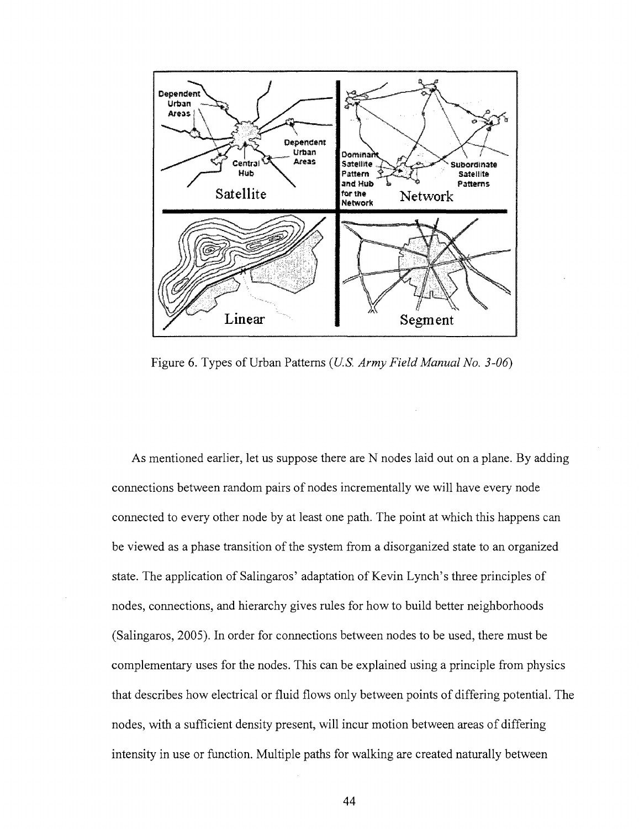

Figure 6. Types of Urban Patterns *(U.S. Army Field Manual No. 3-06)* 

As mentioned earlier, let us suppose there are N nodes laid out on a plane. By adding connections between random pairs of nodes incrementally we will have every node connected to every other node by at least one path. The point at which this happens can be viewed as a phase transition of the system from a disorganized state to an organized state. The application of Salingaros' adaptation of Kevin Lynch's three principles of nodes, connections, and hierarchy gives rules for how to build better neighborhoods (Salingaros, 2005). In order for connections between nodes to be used, there must be complementary uses for the nodes. This can be explained using a principle from physics that describes how electrical or fluid flows only between points of differing potential. The nodes, with a sufficient density present, will incur motion between areas of differing intensity in use or function. Multiple paths for walking are created naturally between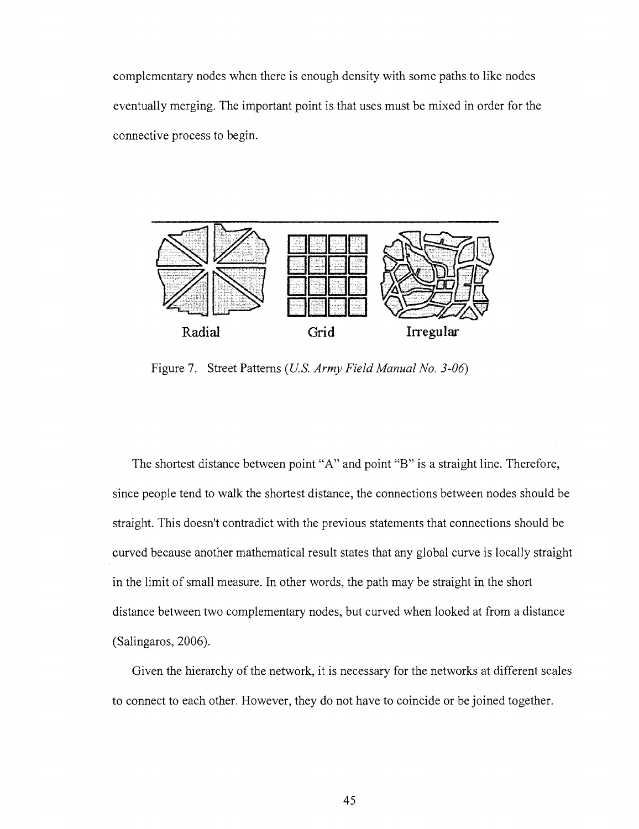complementary nodes when there is enough density with some paths to like nodes eventually merging. The important point is that uses must be mixed in order for the connective process to begin.



Figure 7. Street Patterns *(U.S. Army Field Manual No. 3-06)* 

The shortest distance between point "A" and point "B" is a straight line. Therefore, since people tend to walk the shortest distance, the connections between nodes should be straight. This doesn't contradict with the previous statements that connections should be curved because another mathematical result states that any global curve is locally straight in the limit of small measure. In other words, the path may be straight in the short distance between two complementary nodes, but curved when looked at from a distance (Salingaros, 2006).

Given the hierarchy of the network, it is necessary for the networks at different scales to connect to each other. However, they do not have to coincide or be joined together.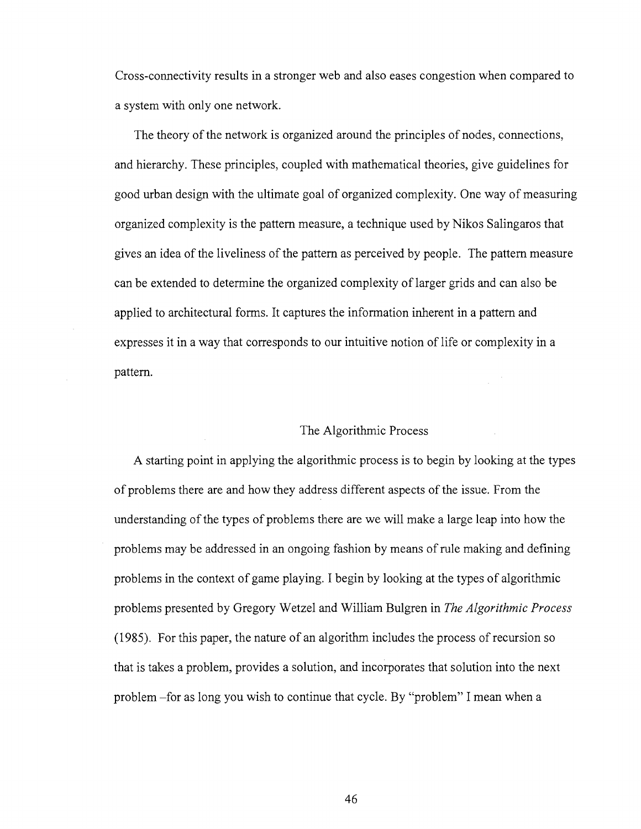Cross-connectivity results in a stronger web and also eases congestion when compared to a system with only one network.

The theory of the network is organized around the principles of nodes, connections, and hierarchy. These principles, coupled with mathematical theories, give guidelines for good urban design with the ultimate goal of organized complexity. One way of measuring organized complexity is the pattern measure, a technique used by Nikos Salingaros that gives an idea of the liveliness of the pattern as perceived by people. The pattern measure can be extended to determine the organized complexity of larger grids and can also be applied to architectural forms. It captures the information inherent in a pattern and expresses it in a way that corresponds to our intuitive notion of life or complexity in a pattern.

### The Algorithmic Process

A starting point in applying the algorithmic process is to begin by looking at the types of problems there are and how they address different aspects of the issue. From the understanding of the types of problems there are we will make a large leap into how the problems may be addressed in an ongoing fashion by means of rule making and defining problems in the context of game playing. I begin by looking at the types of algorithmic problems presented by Gregory Wetzel and William Bulgren in *The Algorithmic Process*  (1985). For this paper, the nature of an algorithm includes the process of recursion so that is takes a problem, provides a solution, and incorporates that solution into the next problem -for as long you wish to continue that cycle. By "problem" I mean when a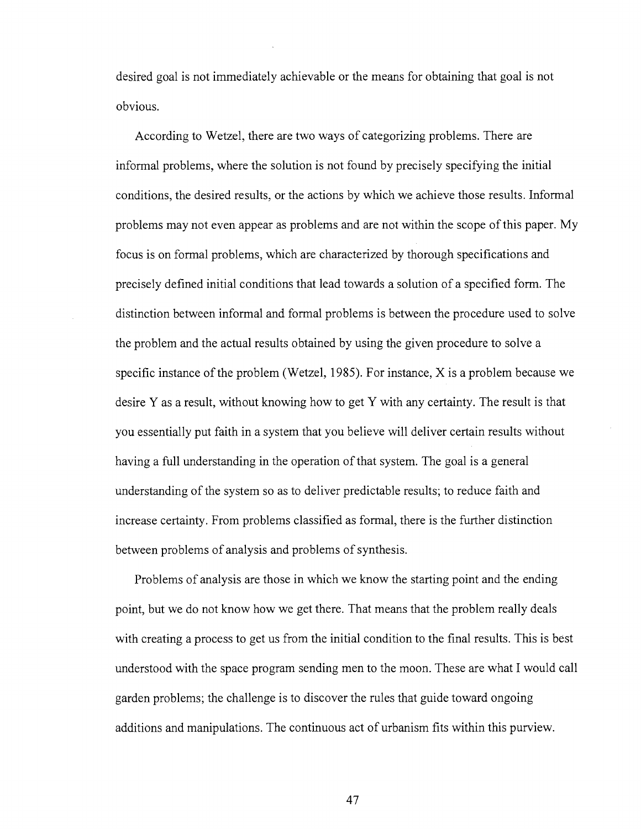desired goal is not immediately achievable or the means for obtaining that goal is not obvious.

According to Wetzel, there are two ways of categorizing problems. There are informal problems, where the solution is not found by precisely specifying the initial conditions, the desired results, or the actions by which we achieve those results. Informal problems may not even appear as problems and are not within the scope of this paper. My focus is on formal problems, which are characterized by thorough specifications and precisely defined initial conditions that lead towards a solution of a specified form. The distinction between informal and formal problems is between the procedure used to solve the problem and the actual results obtained by using the given procedure to solve a specific instance of the problem (Wetzel, 1985). For instance, X is a problem because we desire Y as a result, without knowing how to get Y with any certainty. The result is that you essentially put faith in a system that you believe will deliver certain results without having a full understanding in the operation of that system. The goal is a general understanding of the system so as to deliver predictable results; to reduce faith and increase certainty. From problems classified as formal, there is the further distinction between problems of analysis and problems of synthesis.

Problems of analysis are those in which we know the starting point and the ending point, but we do not know how we get there. That means that the problem really deals with creating a process to get us from the initial condition to the final results. This is best understood with the space program sending men to the moon. These are what I would call garden problems; the challenge is to discover the rules that guide toward ongoing additions and manipulations. The continuous act of urbanism fits within this purview.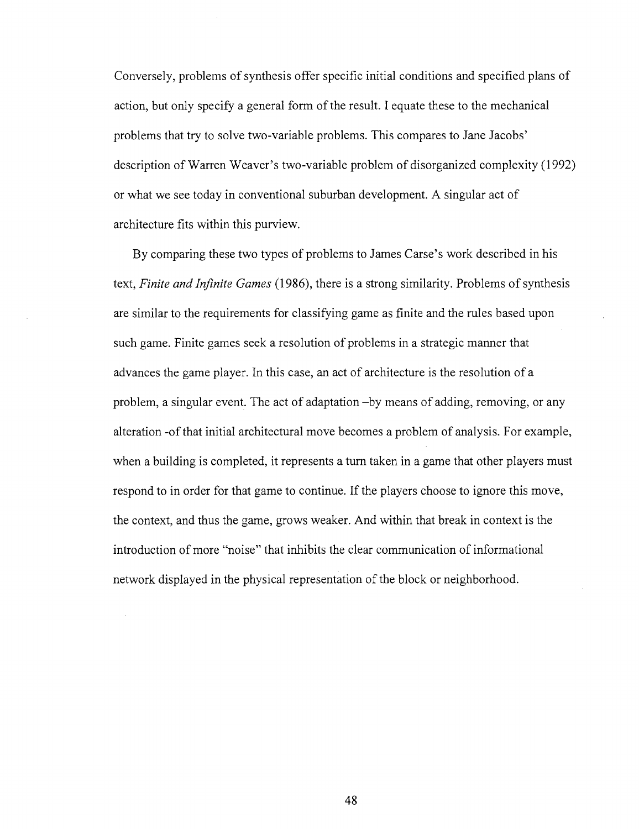Conversely, problems of synthesis offer specific initial conditions and specified plans of action, but only specify a general form of the result. I equate these to the mechanical problems that try to solve two-variable problems. This compares to Jane Jacobs' description of Warren Weaver's two-variable problem of disorganized complexity (1992) or what we see today in conventional suburban development. A singular act of architecture fits within this purview.

By comparing these two types of problems to James Carse's work described in his text, *Finite and Infinite Games* (1986), there is a strong similarity. Problems of synthesis are similar to the requirements for classifying game as finite and the rules based upon such game. Finite games seek a resolution of problems in a strategic manner that advances the game player. In this case, an act of architecture is the resolution of a problem, a singular event. The act of adaptation -by means of adding, removing, or any alteration -of that initial architectural move becomes a problem of analysis. For example, when a building is completed, it represents a turn taken in a game that other players must respond to in order for that game to continue. If the players choose to ignore this move, the context, and thus the game, grows weaker. And within that break in context is the introduction of more "noise" that inhibits the clear communication of informational network displayed in the physical representation of the block or neighborhood.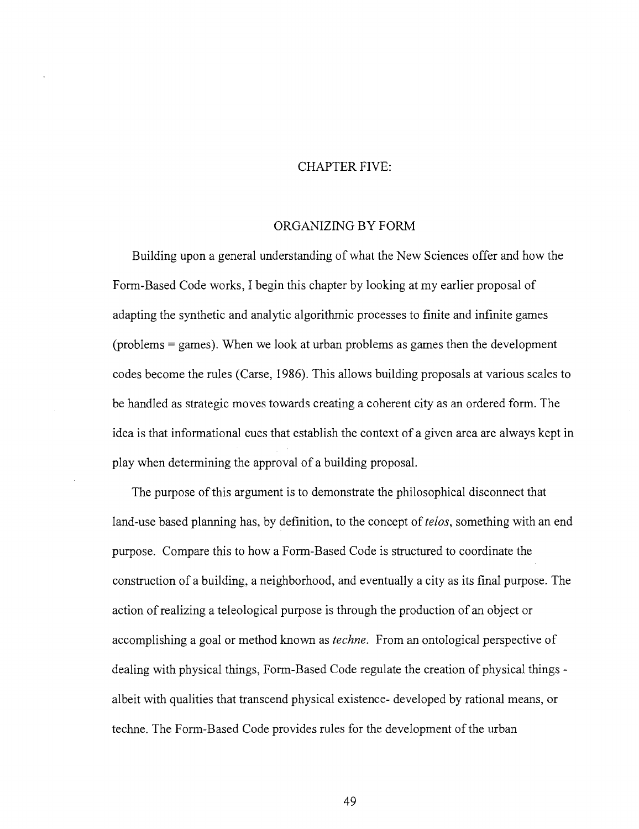### CHAPTER FIVE:

### ORGANIZING BY FORM

Building upon a general understanding of what the New Sciences offer and how the Form-Based Code works, I begin this chapter by looking at my earlier proposal of adapting the synthetic and analytic algorithmic processes to finite and infinite games (problems = games). When we look at urban problems as games then the development codes become the rules (Carse, 1986). This allows building proposals at various scales to be handled as strategic moves towards creating a coherent city as an ordered form. The idea is that informational cues that establish the context of a given area are always kept in play when determining the approval of a building proposal.

The purpose of this argument is to demonstrate the philosophical disconnect that land-use based planning has, by definition, to the concept of *telos*, something with an end purpose. Compare this to how a Form-Based Code is structured to coordinate the construction of a building, a neighborhood, and eventually a city as its final purpose. The action of realizing a teleological purpose is through the production of an object or accomplishing a goal or method known as *techne.* From an ontological perspective of dealing with physical things, Form-Based Code regulate the creation of physical things albeit with qualities that transcend physical existence- developed by rational means, or techne. The Form-Based Code provides rules for the development of the urban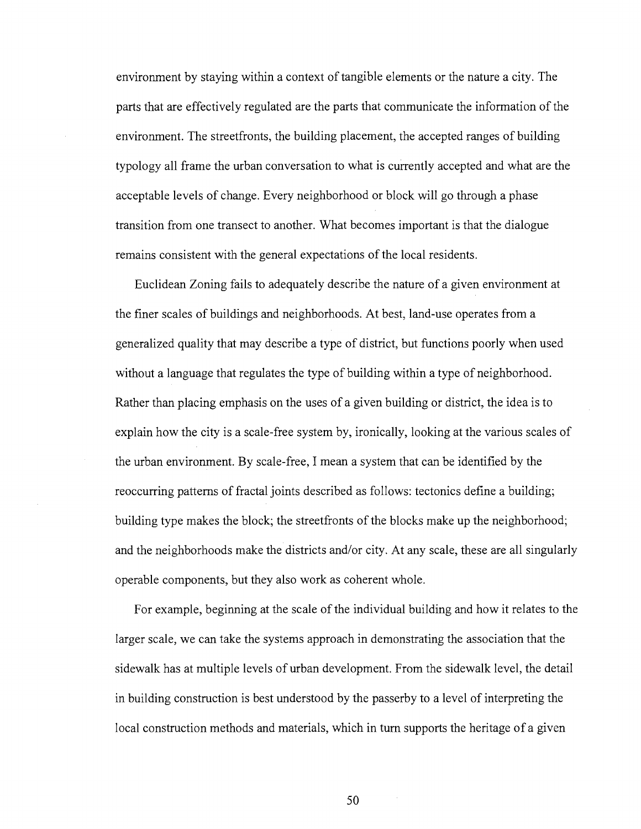environment by staying within a context of tangible elements or the nature a city. The parts that are effectively regulated are the parts that communicate the information of the environment. The streetfronts, the building placement, the accepted ranges of building typology all frame the urban conversation to what is currently accepted and what are the acceptable levels of change. Every neighborhood or block will go through a phase transition from one transect to another. What becomes important is that the dialogue remains consistent with the general expectations of the local residents.

Euclidean Zoning fails to adequately describe the nature of a given environment at the finer scales of buildings and neighborhoods. At best, land-use operates from a generalized quality that may describe a type of district, but functions poorly when used without a language that regulates the type of building within a type of neighborhood. Rather than placing emphasis on the uses of a given building or district, the idea is to explain how the city is a scale-free system by, ironically, looking at the various scales of the urban environment. By scale-free, I mean a system that can be identified by the reoccurring patterns of fractal joints described as follows: tectonics define a building; building type makes the block; the streetfronts of the blocks make up the neighborhood; and the neighborhoods make the districts and/or city. At any scale, these are all singularly operable components, but they also work as coherent whole.

For example, beginning at the scale of the individual building and how it relates to the larger scale, we can take the systems approach in demonstrating the association that the sidewalk has at multiple levels of urban development. From the sidewalk level, the detail in building construction is best understood by the passerby to a level of interpreting the local construction methods and materials, which in turn supports the heritage of a given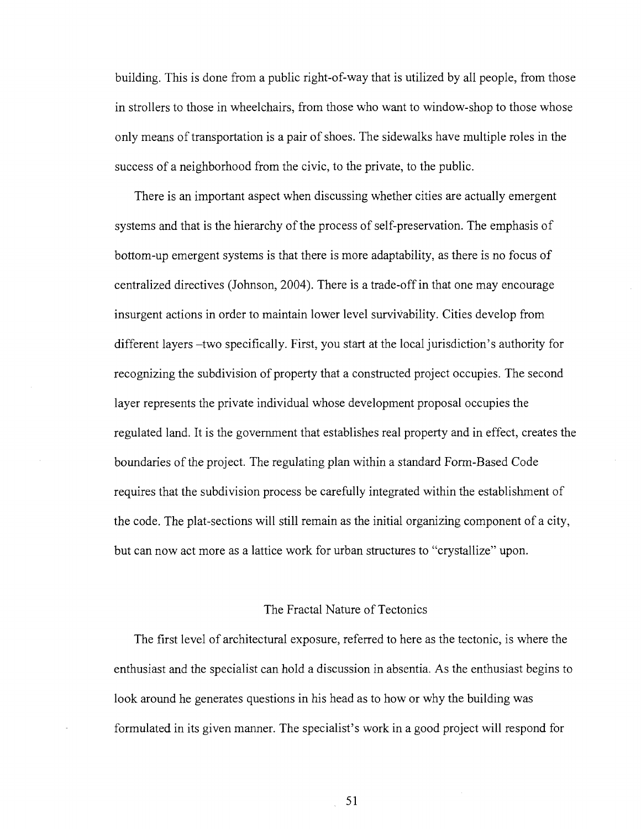building. This is done from a public right-of-way that is utilized by all people, from those in strollers to those in wheelchairs, from those who want to window-shop to those whose only means of transportation is a pair of shoes. The sidewalks have multiple roles in the success of a neighborhood from the civic, to the private, to the public.

There is an important aspect when discussing whether cities are actually emergent systems and that is the hierarchy of the process of self-preservation. The emphasis of bottom-up emergent systems is that there is more adaptability, as there is no focus of centralized directives (Johnson, 2004). There is a trade-off in that one may encourage insurgent actions in order to maintain lower level survivability. Cities develop from different layers -two specifically. First, you start at the local jurisdiction's authority for recognizing the subdivision of property that a constructed project occupies. The second layer represents the private individual whose development proposal occupies the regulated land. It is the government that establishes real property and in effect, creates the boundaries of the project. The regulating plan within a standard Form-Based Code requires that the subdivision process be carefully integrated within the establishment of the code. The plat-sections will still remain as the initial organizing component of a city, but can now act more as a lattice work for urban structures to "crystallize" upon.

### The Fractal Nature of Tectonics

The first level of architectural exposure, referred to here as the tectonic, is where the enthusiast and the specialist can hold a discussion in absentia. As the enthusiast begins to look around he generates questions in his head as to how or why the building was formulated in its given manner. The specialist's work in a good project will respond for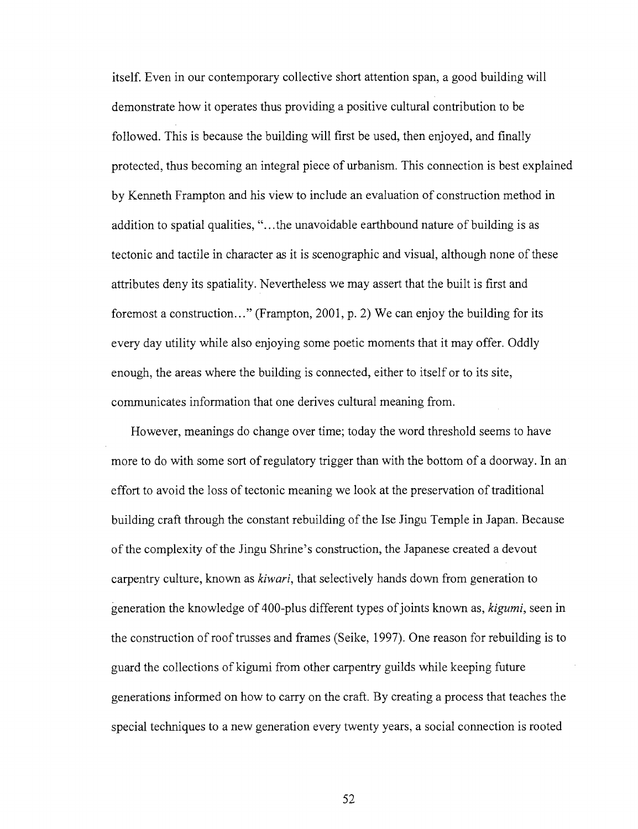itself. Even in our contemporary collective short attention span, a good building will demonstrate how it operates thus providing a positive cultural contribution to be followed. This is because the building will first be used, then enjoyed, and finally protected, thus becoming an integral piece of urbanism. This connection is best explained by Kenneth Frampton and his view to include an evaluation of construction method in addition to spatial qualities, "...the unavoidable earthbound nature of building is as tectonic and tactile in character as it is scenographic and visual, although none of these attributes deny its spatiality. Nevertheless we may assert that the built is first and foremost a construction..." (Frampton, 2001, p. 2) We can enjoy the building for its every day utility while also enjoying some poetic moments that it may offer. Oddly enough, the areas where the building is connected, either to itself or to its site, communicates information that one derives cultural meaning from.

However, meanings do change over time; today the word threshold seems to have more to do with some sort of regulatory trigger than with the bottom of a doorway. In an effort to avoid the loss of tectonic meaning we look at the preservation of traditional building craft through the constant rebuilding of the Ise Jingu Temple in Japan. Because of the complexity of the Jingu Shrine's construction, the Japanese created a devout carpentry culture, known as *kiwari,* that selectively hands down from generation to generation the knowledge of 400-plus different types of joints known as, *kigumi,* seen in the construction of roof trusses and frames (Seike, 1997). One reason for rebuilding is to guard the collections of kigumi from other carpentry guilds while keeping future generations informed on how to carry on the craft. By creating a process that teaches the special techniques to a new generation every twenty years, a social connection is rooted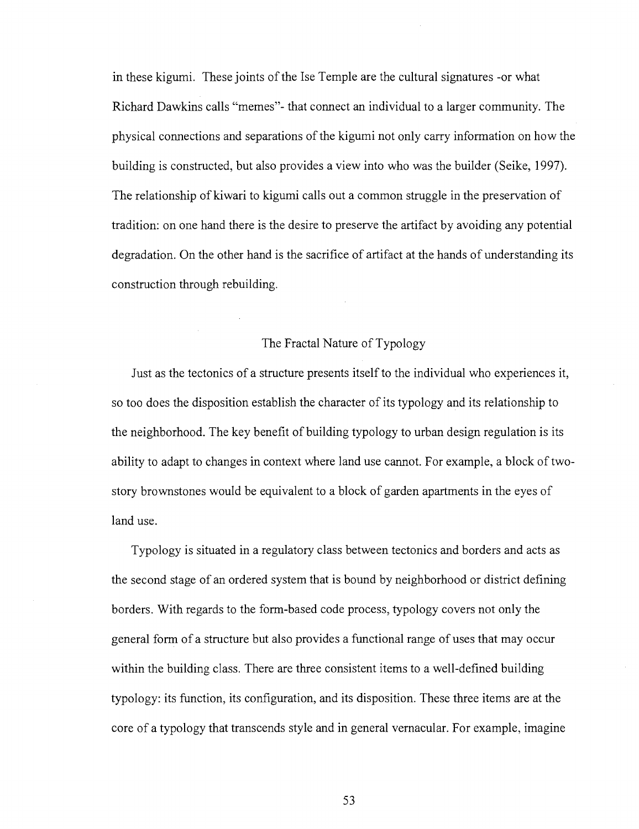in these kigumi. These joints of the Ise Temple are the cultural signatures -or what Richard Dawkins calls "memes"- that connect an individual to a larger community. The physical connections and separations of the kigumi not only carry information on how the building is constructed, but also provides a view into who was the builder (Seike, 1997). The relationship of kiwari to kigumi calls out a common struggle in the preservation of tradition: on one hand there is the desire to preserve the artifact by avoiding any potential degradation. On the other hand is the sacrifice of artifact at the hands of understanding its construction through rebuilding.

## The Fractal Nature of Typology

Just as the tectonics of a structure presents itself to the individual who experiences it, so too does the disposition establish the character of its typology and its relationship to the neighborhood. The key benefit of building typology to urban design regulation is its ability to adapt to changes in context where land use cannot. For example, a block of twostory brownstones would be equivalent to a block of garden apartments in the eyes of land use.

Typology is situated in a regulatory class between tectonics and borders and acts as the second stage of an ordered system that is bound by neighborhood or district defining borders. With regards to the form-based code process, typology covers not only the general form of a structure but also provides a functional range of uses that may occur within the building class. There are three consistent items to a well-defined building typology: its function, its configuration, and its disposition. These three items are at the core of a typology that transcends style and in general vernacular. For example, imagine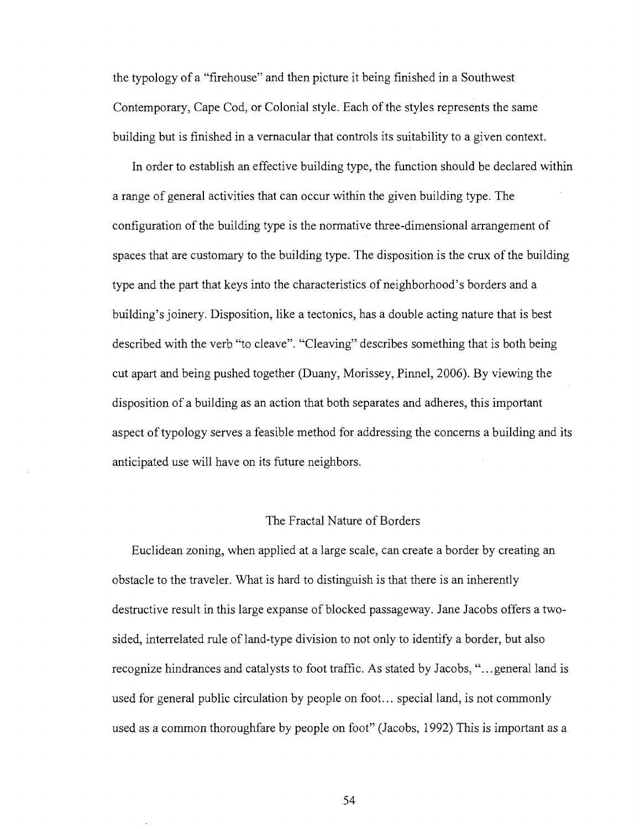the typology of a "firehouse" and then picture it being finished in a Southwest Contemporary, Cape Cod, or Colonial style. Each of the styles represents the same building but is finished in a vernacular that controls its suitability to a given context.

In order to establish an effective building type, the function should be declared within a range of general activities that can occur within the given building type. The configuration of the building type is the normative three-dimensional arrangement of spaces that are customary to the building type. The disposition is the crux of the building type and the part that keys into the characteristics of neighborhood's borders and a building's joinery. Disposition, like a tectonics, has a double acting nature that is best described with the verb "to cleave". "Cleaving" describes something that is both being cut apart and being pushed together (Duany, Morissey, Pinnel, 2006). By viewing the disposition of a building as an action that both separates and adheres, this important aspect of typology serves a feasible method for addressing the concerns a building and its anticipated use will have on its future neighbors.

#### The Fractal Nature of Borders

Euclidean zoning, when applied at a large scale, can create a border by creating an obstacle to the traveler. What is hard to distinguish is that there is an inherently destructive result in this large expanse of blocked passageway. Jane Jacobs offers a twosided, interrelated rule of land-type division to not only to identify a border, but also recognize hindrances and catalysts to foot traffic. As stated by Jacobs, ".. .general land is used for general public circulation by people on foot... special land, is not commonly used as a common thoroughfare by people on foot" (Jacobs, 1992) This is important as a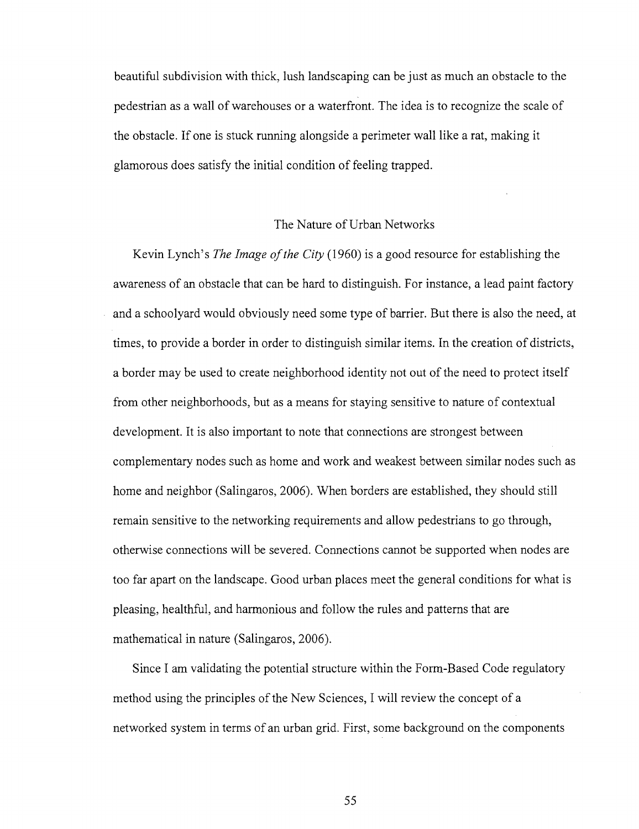beautiful subdivision with thick, lush landscaping can be just as much an obstacle to the pedestrian as a wall of warehouses or a waterfront. The idea is to recognize the scale of the obstacle. If one is stuck running alongside a perimeter wall like a rat, making it glamorous does satisfy the initial condition of feeling trapped.

### The Nature of Urban Networks

Kevin Lynch's *The Image of the City* (1960) is a good resource for establishing the awareness of an obstacle that can be hard to distinguish. For instance, a lead paint factory and a schoolyard would obviously need some type of barrier. But there is also the need, at times, to provide a border in order to distinguish similar items. In the creation of districts, a border may be used to create neighborhood identity not out of the need to protect itself from other neighborhoods, but as a means for staying sensitive to nature of contextual development. It is also important to note that connections are strongest between complementary nodes such as home and work and weakest between similar nodes such as home and neighbor (Salingaros, 2006). When borders are established, they should still remain sensitive to the networking requirements and allow pedestrians to go through, otherwise connections will be severed. Connections cannot be supported when nodes are too far apart on the landscape. Good urban places meet the general conditions for what is pleasing, healthful, and harmonious and follow the rules and patterns that are mathematical in nature (Salingaros, 2006).

Since I am validating the potential structure within the Form-Based Code regulatory method using the principles of the New Sciences, I will review the concept of a networked system in terms of an urban grid. First, some background on the components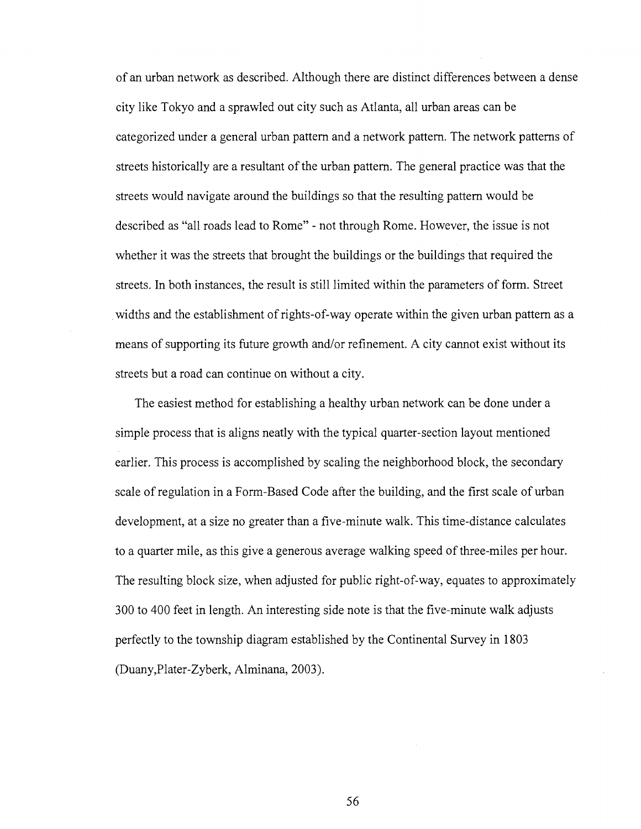of an urban network as described. Although there are distinct differences between a dense city like Tokyo and a sprawled out city such as Atlanta, all urban areas can be categorized under a general urban pattern and a network pattern. The network patterns of streets historically are a resultant of the urban pattern. The general practice was that the streets would navigate around the buildings so that the resulting pattern would be described as "all roads lead to Rome" - not through Rome. However, the issue is not whether it was the streets that brought the buildings or the buildings that required the streets. In both instances, the result is still limited within the parameters of form. Street widths and the establishment of rights-of-way operate within the given urban pattern as a means of supporting its future growth and/or refinement. A city cannot exist without its streets but a road can continue on without a city.

The easiest method for establishing a healthy urban network can be done under a simple process that is aligns neatly with the typical quarter-section layout mentioned earlier. This process is accomplished by scaling the neighborhood block, the secondary scale of regulation in a Form-Based Code after the building, and the first scale of urban development, at a size no greater than a five-minute walk. This time-distance calculates to a quarter mile, as this give a generous average walking speed of three-miles per hour. The resulting block size, when adjusted for public right-of-way, equates to approximately 300 to 400 feet in length. An interesting side note is that the five-minute walk adjusts perfectly to the township diagram established by the Continental Survey in 1803 (Duany,Plater-Zyberk, Alminana, 2003).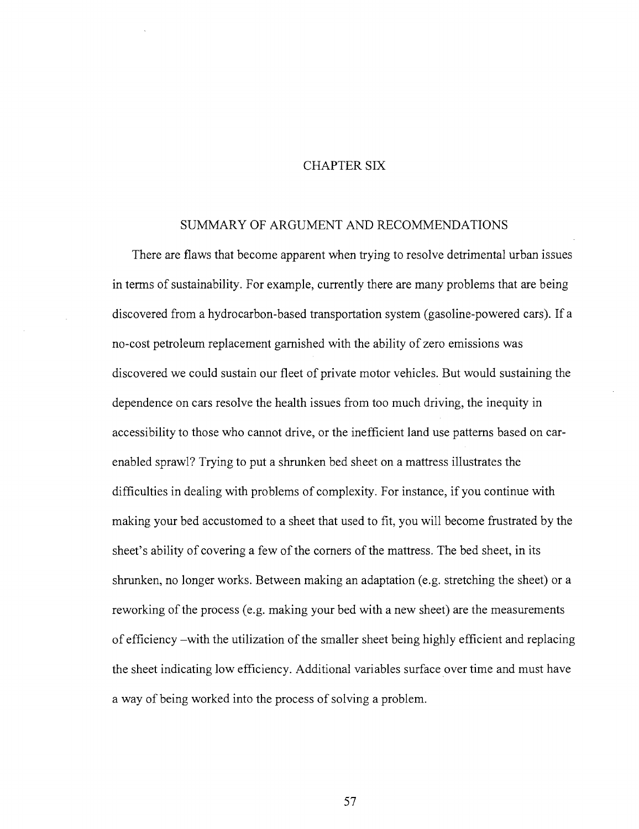# CHAPTER SIX

### SUMMARY OF ARGUMENT AND RECOMMENDATIONS

There are flaws that become apparent when trying to resolve detrimental urban issues in terms of sustainability. For example, currently there are many problems that are being discovered from a hydrocarbon-based transportation system (gasoline-powered cars). If a no-cost petroleum replacement garnished with the ability of zero emissions was discovered we could sustain our fleet of private motor vehicles. But would sustaining the dependence on cars resolve the health issues from too much driving, the inequity in accessibility to those who cannot drive, or the inefficient land use patterns based on carenabled sprawl? Trying to put a shrunken bed sheet on a mattress illustrates the difficulties in dealing with problems of complexity. For instance, if you continue with making your bed accustomed to a sheet that used to fit, you will become frustrated by the sheet's ability of covering a few of the corners of the mattress. The bed sheet, in its shrunken, no longer works. Between making an adaptation (e.g. stretching the sheet) or a reworking of the process (e.g. making your bed with a new sheet) are the measurements of efficiency -with the utilization of the smaller sheet being highly efficient and replacing the sheet indicating low efficiency. Additional variables surface over time and must have a way of being worked into the process of solving a problem.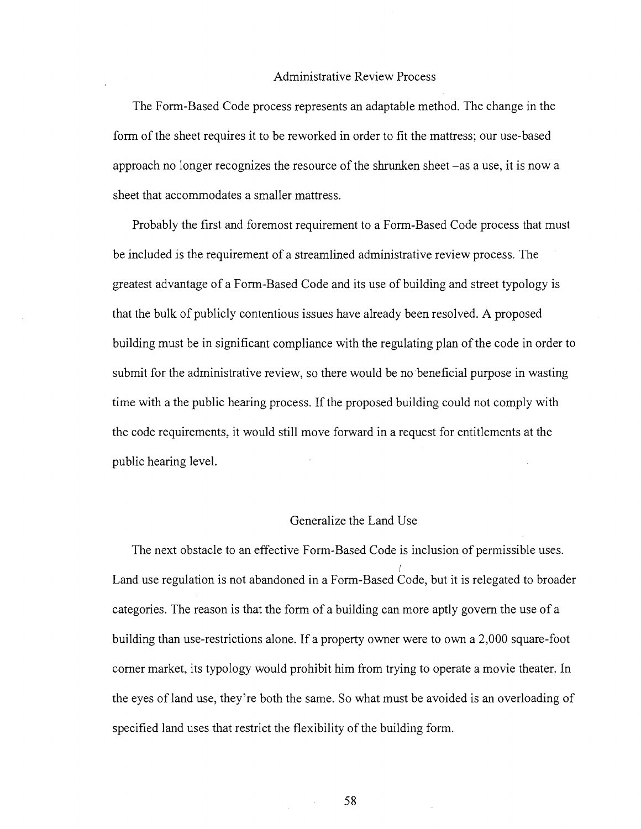### Administrative Review Process

The Form-Based Code process represents an adaptable method. The change in the form of the sheet requires it to be reworked in order to fit the mattress; our use-based approach no longer recognizes the resource of the shrunken sheet -as a use, it is now a sheet that accommodates a smaller mattress.

Probably the first and foremost requirement to a Form-Based Code process that must be included is the requirement of a streamlined administrative review process. The greatest advantage of a Form-Based Code and its use of building and street typology is that the bulk of publicly contentious issues have already been resolved. A proposed building must be in significant compliance with the regulating plan of the code in order to submit for the administrative review, so there would be no beneficial purpose in wasting time with a the public hearing process. If the proposed building could not comply with the code requirements, it would still move forward in a request for entitlements at the public hearing level.

### Generalize the Land Use

The next obstacle to an effective Form-Based Code is inclusion of permissible uses. **/**  Land use regulation is not abandoned in a Form-Based Code, but it is relegated to broader categories. The reason is that the form of a building can more aptly govern the use of a building than use-restrictions alone. If a property owner were to own a 2,000 square-foot corner market, its typology would prohibit him from trying to operate a movie theater. In the eyes of land use, they're both the same. So what must be avoided is an overloading of specified land uses that restrict the flexibility of the building form.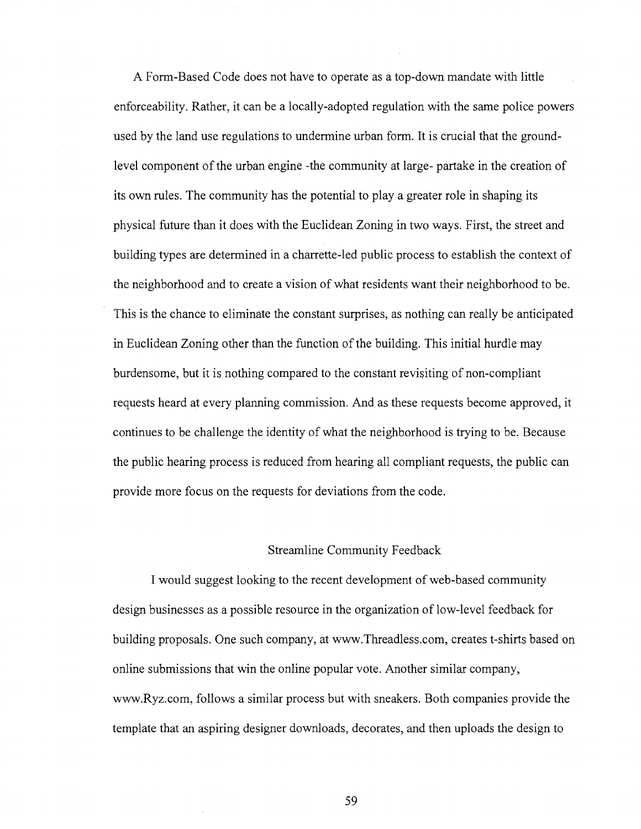A Form-Based Code does not have to operate as a top-down mandate with little enforceability. Rather, it can be a locally-adopted regulation with the same police powers used by the land use regulations to undermine urban form. It is crucial that the groundlevel component of the urban engine -the community at large- partake in the creation of its own rules. The community has the potential to play a greater role in shaping its physical future than it does with the Euclidean Zoning in two ways. First, the street and building types are determined in a charrette-led public process to establish the context of the neighborhood and to create a vision of what residents want their neighborhood to be. This is the chance to eliminate the constant surprises, as nothing can really be anticipated in Euclidean Zoning other than the function of the building. This initial hurdle may burdensome, but it is nothing compared to the constant revisiting of non-compliant requests heard at every planning commission. And as these requests become approved, it continues to be challenge the identity of what the neighborhood is trying to be. Because the public hearing process is reduced from hearing all compliant requests, the public can provide more focus on the requests for deviations from the code.

### Streamline Community Feedback

I would suggest looking to the recent development of web-based community design businesses as a possible resource in the organization of low-level feedback for building proposals. One such company, at [www.Threadless.com,](http://www.Threadless.com) creates t-shirts based on online submissions that win the online popular vote. Another similar company, [www.Ryz.com,](http://www.Ryz.com) follows a similar process but with sneakers. Both companies provide the template that an aspiring designer downloads, decorates, and then uploads the design to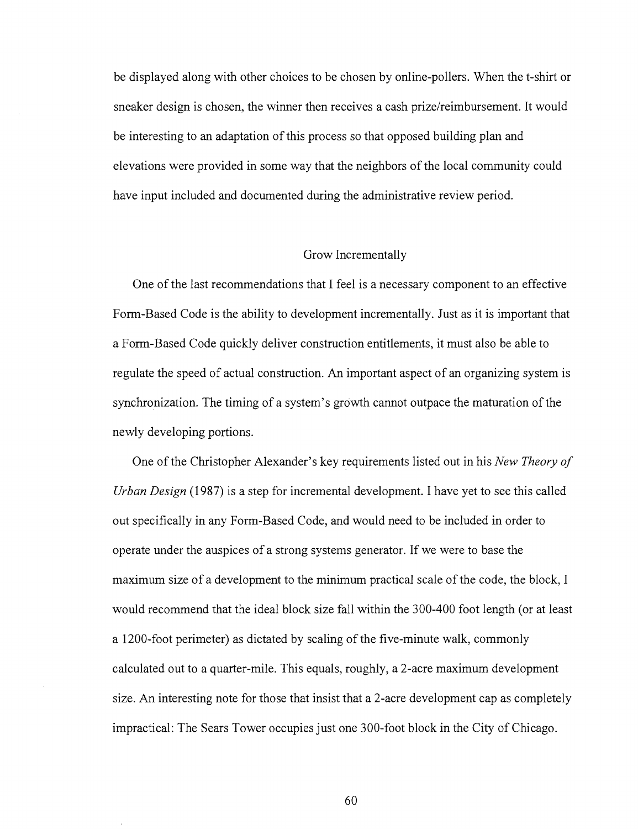be displayed along with other choices to be chosen by online-pollers. When the t-shirt or sneaker design is chosen, the winner then receives a cash prize/reimbursement. It would be interesting to an adaptation of this process so that opposed building plan and elevations were provided in some way that the neighbors of the local community could have input included and documented during the administrative review period.

#### Grow Incrementally

One of the last recommendations that I feel is a necessary component to an effective Form-Based Code is the ability to development incrementally. Just as it is important that a Form-Based Code quickly deliver construction entitlements, it must also be able to regulate the speed of actual construction. An important aspect of an organizing system is synchronization. The timing of a system's growth cannot outpace the maturation of the newly developing portions.

One of the Christopher Alexander's key requirements listed out in his *New Theory of Urban Design* (1987) is a step for incremental development. I have yet to see this called out specifically in any Form-Based Code, and would need to be included in order to operate under the auspices of a strong systems generator. If we were to base the maximum size of a development to the minimum practical scale of the code, the block, I would recommend that the ideal block size fall within the 300-400 foot length (or at least a 1200-foot perimeter) as dictated by scaling of the five-minute walk, commonly calculated out to a quarter-mile. This equals, roughly, a 2-acre maximum development size. An interesting note for those that insist that a 2-acre development cap as completely impractical: The Sears Tower occupies just one 300-foot block in the City of Chicago.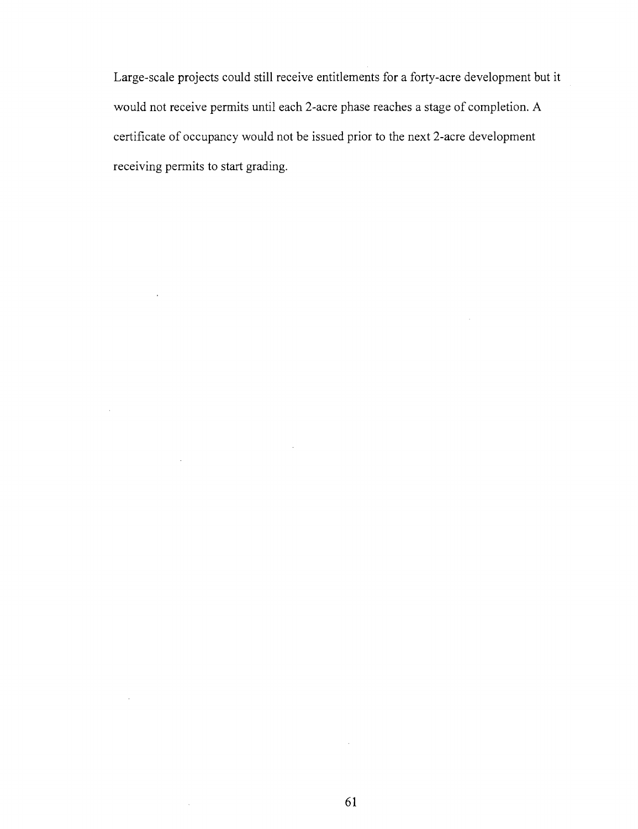Large-scale projects could still receive entitlements for a forty-acre development but it would not receive permits until each 2-acre phase reaches a stage of completion. A certificate of occupancy would not be issued prior to the next 2-acre development receiving permits to start grading.

 $\ddot{\phantom{a}}$ 

 $\bar{z}$ 

 $\bar{\alpha}$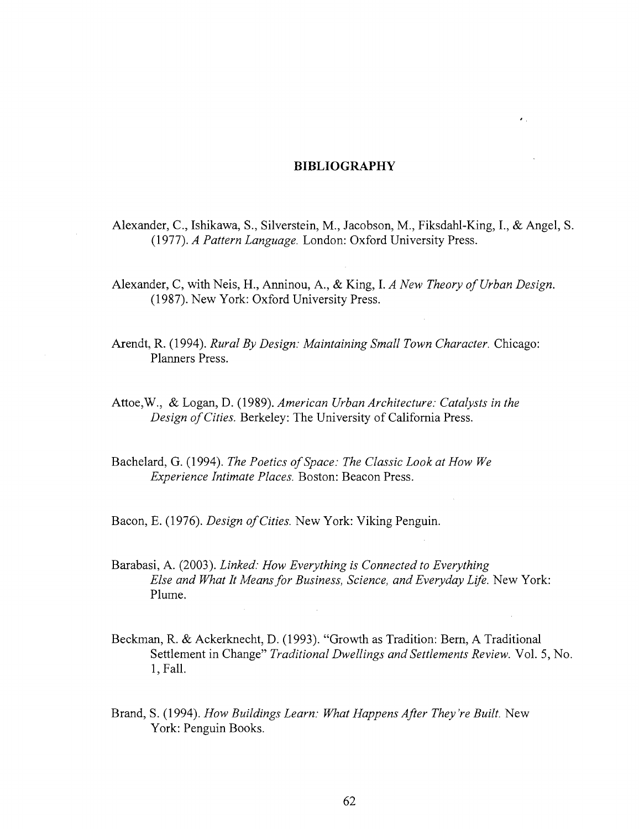#### **BIBLIOGRAPHY**

 $\epsilon_{\rm eff}$ 

Alexander, C, Ishikawa, S., Silverstein, M., Jacobson, M., Fiksdahl-King, I., & Angel, S. (1977). *A Pattern Language.* London: Oxford University Press.

Alexander, C, with Neis, H., Anninou, A., & King, I. *A New Theory of Urban Design.*  (1987). New York: Oxford University Press.

Arendt, R. (1994). *Rural By Design: Maintaining Small Town Character.* Chicago: Planners Press.

Attoe,W., & Logan, D. (1989). *American Urban Architecture: Catalysts in the Design of Cities.* Berkeley: The University of California Press.

Bachelard, G. (1994). *The Poetics of Space: The Classic Look at How We Experience Intimate Places.* Boston: Beacon Press.

Bacon, E. (1976). *Design of Cities.* New York: Viking Penguin.

Barabasi, A. (2003). *Linked: How Everything is Connected to Everything Else and What It Means for Business, Science, and Everyday Life.* New York: Plume.

- Beckman, R. & Ackerknecht, D. (1993). "Growth as Tradition: Bern, A Traditional Settlement in Change" *Traditional Dwellings and Settlements Review.* Vol. 5, No. l.Fall.
- Brand, S. (1994). *How Buildings Learn: What Happens After They 're Built.* New York: Penguin Books.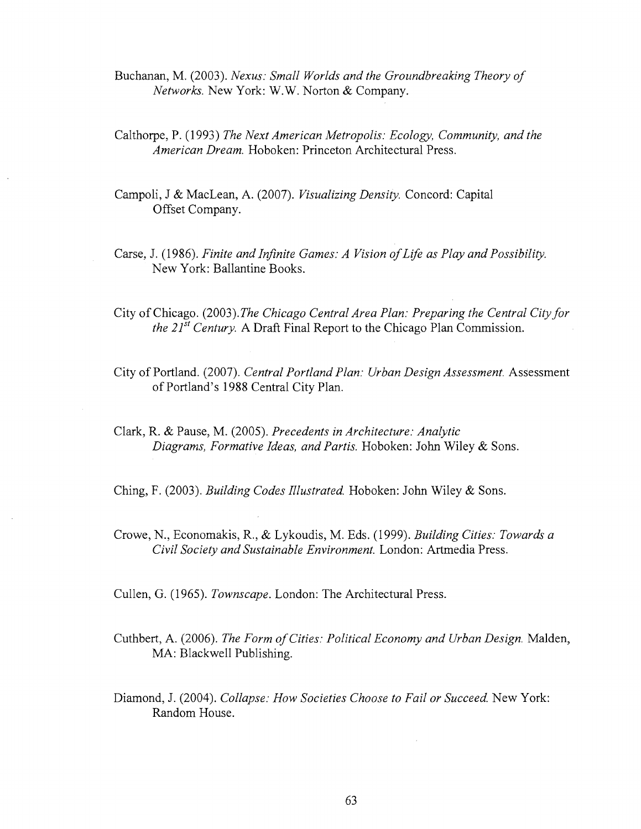Buchanan, M. (2003). *Nexus: Small Worlds and the Groundbreaking Theory of Networks.* New York: W.W. Norton & Company.

- Calthorpe, P. (1993) *The Next American Metropolis: Ecology, Community, and the American Dream.* Hoboken: Princeton Architectural Press.
- Campoli, J & MacLean, A. (2007). *Visualizing Density.* Concord: Capital Offset Company.
- Carse, J. (1986). *Finite and Infinite Games: A Vision of Life as Play and Possibility.*  New York: Ballantine Books.
- City of Chicago. (2003). *The Chicago Central Area Plan: Preparing the Central City for the 21st Century.* A Draft Final Report to the Chicago Plan Commission.
- City of Portland. (2007). *Central Portland Plan: Urban Design Assessment.* Assessment of Portland's 1988 Central City Plan.
- Clark, R. & Pause, M. (2005). *Precedents in Architecture: Analytic Diagrams, Formative Ideas, and Partis.* Hoboken: John Wiley & Sons.

Ching, F. (2003). *Building Codes Illustrated.* Hoboken: John Wiley & Sons.

Crowe, N., Economakis, R., & Lykoudis, M. Eds. (1999). *Building Cities: Towards a Civil Society and Sustainable Environment.* London: Artmedia Press.

Cullen, G. (1965). *Townscape.* London: The Architectural Press.

- Cuthbert, A. (2006). *The Form of Cities: Political Economy and Urban Design.* Maiden, MA: Blackwell Publishing.
- Diamond, J. (2004). *Collapse: How Societies Choose to Fail or Succeed.* New York: Random House.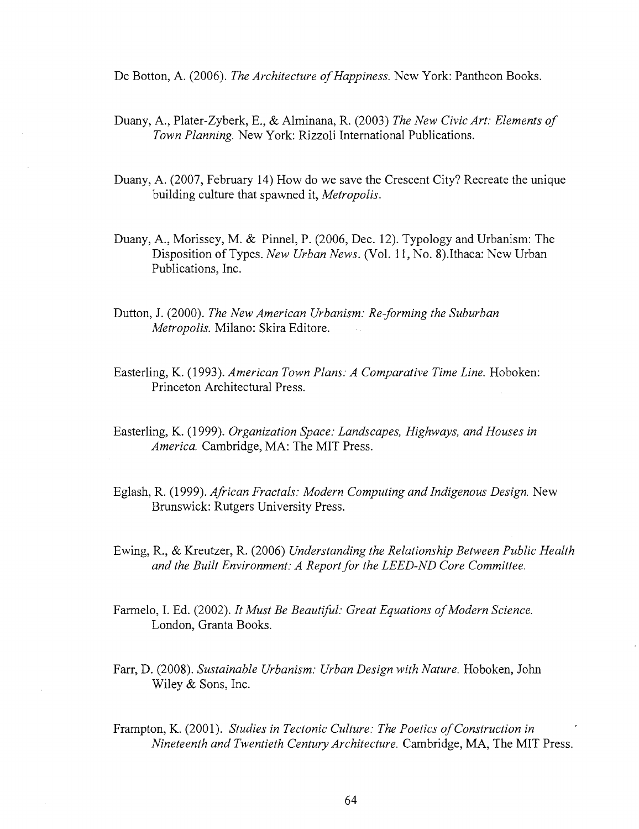De Botton, A. (2006). *The Architecture of Happiness.* New York: Pantheon Books.

- Duany, A., Plater-Zyberk, E., & Alminana, R. (2003) *The New Civic Art: Elements of Town Planning.* New York: Rizzoli International Publications.
- Duany, A. (2007, February 14) How do we save the Crescent City? Recreate the unique building culture that spawned it, *Metropolis.*
- Duany, A., Morissey, M. & Pinnel, P. (2006, Dec. 12). Typology and Urbanism: The Disposition of Types. *New Urban News.* (Vol. 11, No. 8).Ithaca: New Urban Publications, Inc.
- Dutton, J. (2000). *The New American Urbanism: Re-forming the Suburban Metropolis.* Milano: Skira Editore.
- Easterling, K. (1993). *American Town Plans: A Comparative Time Line.* Hoboken: Princeton Architectural Press.
- Easterling, K. (1999). *Organization Space: Landscapes, Highways, and Houses in America.* Cambridge, MA: The MIT Press.
- Eglash, R. (1999). *African Fractals: Modern Computing and Indigenous Design.* New Brunswick: Rutgers University Press.
- Ewing, R., & Kreutzer, R. (2006) *Understanding the Relationship Between Public Health and the Built Environment: A Report for the LEED-ND Core Committee.*
- Farmelo, I. Ed. (2002). *It Must Be Beautiful: Great Equations of Modern Science.*  London, Granta Books.
- Farr, D. (2008). *Sustainable Urbanism: Urban Design with Nature.* Hoboken, John Wiley & Sons, Inc.
- Frampton, K. (2001). *Studies in Tectonic Culture: The Poetics of Construction in Nineteenth and Twentieth Century Architecture.* Cambridge, MA, The MIT Press.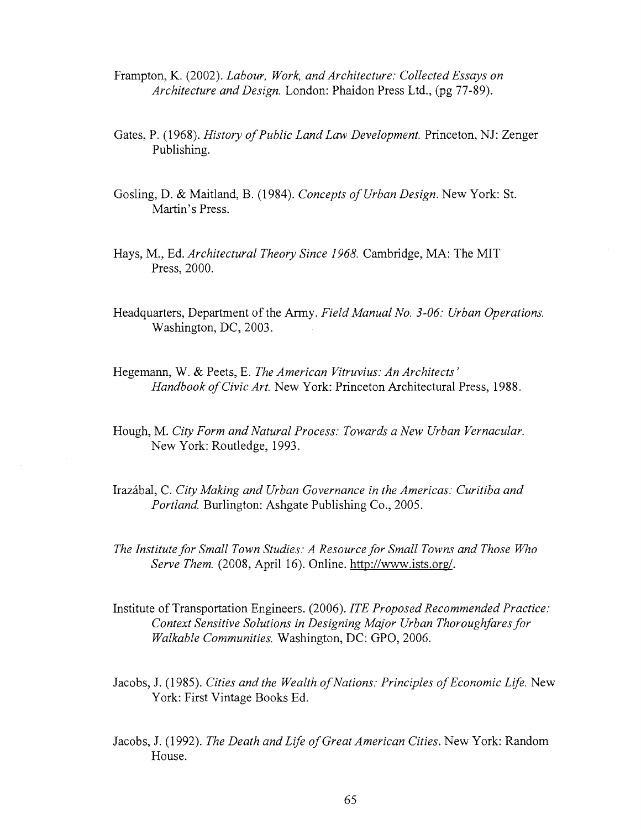- Frampton, K. (2002). *Labour, Work, and Architecture: Collected Essays on Architecture and Design.* London: Phaidon Press Ltd., (pg 77-89).
- Gates, P. (1968). *History of Public Land Law Development.* Princeton, NJ: Zenger Publishing.
- Gosling, D. & Maitland, B. (1984). *Concepts of Urban Design.* New York: St. Martin's Press.
- Hays, M., Ed. *Architectural Theory Since 1968.* Cambridge, MA: The MIT Press, 2000.
- Headquarters, Department of the Army. *Field Manual No. 3-06: Urban Operations.*  Washington, DC, 2003.
- Hegemann, W. & Peets, E. *The American Vitruvius: An Architects' Handbook of Civic Art.* New York: Princeton Architectural Press, 1988.
- Hough, M. *City Form and Natural Process: Towards a New Urban Vernacular.*  New York: Routledge, 1993.
- Irazabal, C. *City Making and Urban Governance in the Americas: Curitiba and Portland.* Burlington: Ashgate Publishing Co., 2005.
- *The Institute for Small Town Studies: A Resource for Small Towns and Those Who Serve Them.* (2008, April 16). Online, [http://www.ists.org/.](http://www.ists.org/)
- Institute of Transportation Engineers. (2006). *ITE Proposed Recommended Practice: Context Sensitive Solutions in Designing Major Urban Thoroughfares for Walkable Communities.* Washington, DC: GPO, 2006.
- Jacobs, J. (1985). *Cities and the Wealth of Nations: Principles of Economic Life.* New York: First Vintage Books Ed.
- Jacobs, J. (1992). *The Death and Life of Great American Cities.* New York: Random House.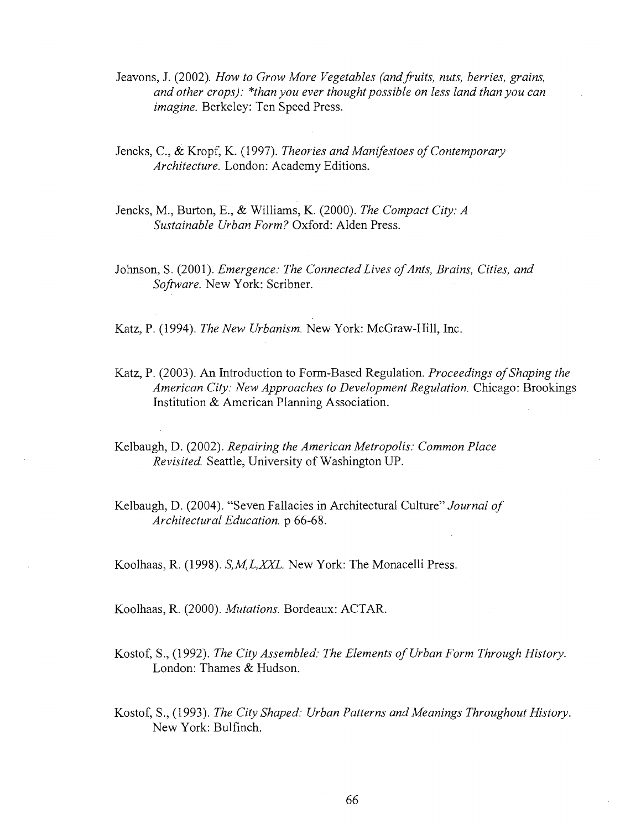- Jeavons, J. (2002). *How to Grow More Vegetables (and fruits, nuts, berries, grains, and other crops): \*than you ever thought possible on less land than you can imagine.* Berkeley: Ten Speed Press.
- Jencks, C, & Kropf, K. (1997). *Theories and Manifestoes of Contemporary Architecture.* London: Academy Editions.
- Jencks, M., Burton, E., & Williams, K. (2000). *The Compact City: A Sustainable Urban Form?* Oxford: Alden Press.
- Johnson, S. (2001). *Emergence: The Connected Lives of Ants, Brains, Cities, and Software.* New York: Scribner.

Katz, P. (1994). *The New Urbanism.* New York: McGraw-Hill, Inc.

- Katz, P. (2003). An Introduction to Form-Based Regulation. *Proceedings of Shaping the American City: New Approaches to Development Regulation.* Chicago: Brookings Institution & American Planning Association.
- Kelbaugh, D. (2002). *Repairing the American Metropolis: Common Place Revisited.* Seattle, University of Washington UP.

Kelbaugh, D. (2004). "Seven Fallacies in Architectural Culture" *Journal of Architectural Education,* p 66-68.

Koolhaas, R. (1998). *S,M,L,XXL.* New York: The Monacelli Press.

Koolhaas, R. (2000). *Mutations.* Bordeaux: ACTAR.

- Kostof, S., (1992). *The City Assembled: The Elements of Urban Form Through History.*  London: Thames & Hudson.
- Kostof, S., (1993). *The City Shaped: Urban Patterns and Meanings Throughout History.*  New York: Bulfinch.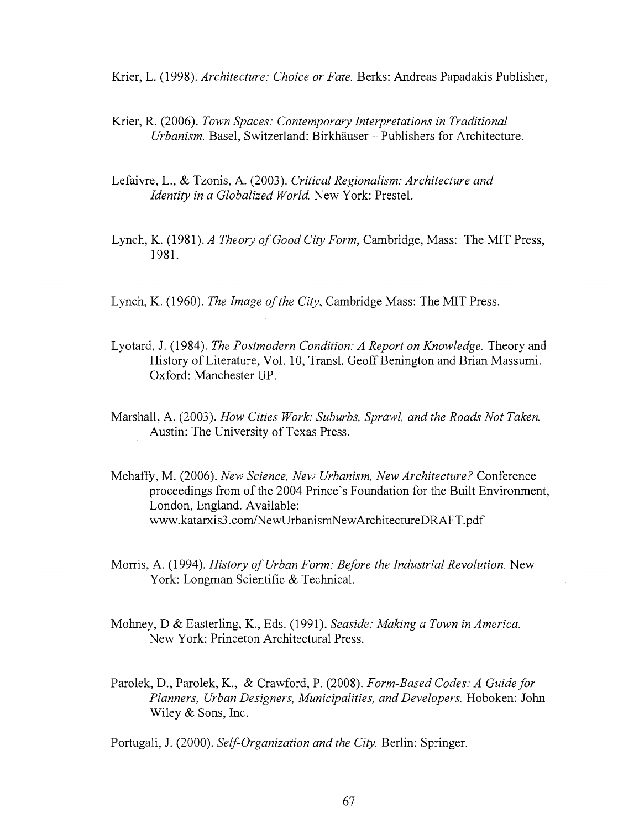Krier, L. (1998). *Architecture: Choice or Fate.* Berks: Andreas Papadakis Publisher,

- Krier, R. (2006). *Town Spaces: Contemporary Interpretations in Traditional Urbanism.* Basel, Switzerland: Birkhauser - Publishers for Architecture.
- Lefaivre, L., & Tzonis, A. (2003). *Critical Regionalism: Architecture and Identity in a Globalized World.* New York: Prestel.
- Lynch, K. (1981). *A Theory of Good City Form,* Cambridge, Mass: The MIT Press, 1981.
- Lynch, K. (1960). *The Image of the City,* Cambridge Mass: The MIT Press.
- Lyotard, J. (1984). *The Postmodern Condition: A Report on Knowledge.* Theory and History of Literature, Vol. 10, Transl. Geoff Benington and Brian Massumi. Oxford: Manchester UP.
- Marshall, A. (2003). *How Cities Work: Suburbs, Sprawl, and the Roads Not Taken.*  Austin: The University of Texas Press.
- Mehaffy, M. (2006). *New Science, New Urbanism, New Architecture?* Conference proceedings from of the 2004 Prince's Foundation for the Built Environment, London, England. Available: [www.katarxis3.com/NewUrbanismNewArchitectureDRAFT.pdf](http://www.katarxis3.com/NewUrbanismNewArchitectureDRAFT.pdf)
- Morris, A. (1994). *History of Urban Form: Before the Industrial Revolution.* New York: Longman Scientific & Technical.
- Mohney, D & Easterling, K., Eds. (1991). *Seaside: Making a Town in America.*  New York: Princeton Architectural Press.
- Parolek, D., Parolek, K., & Crawford, P. (2008). *Form-Based Codes: A Guide for Planners, Urban Designers, Municipalities, and Developers.* Hoboken: John Wiley & Sons, Inc.

Portugali, J. (2000). *Self-Organization and the City.* Berlin: Springer.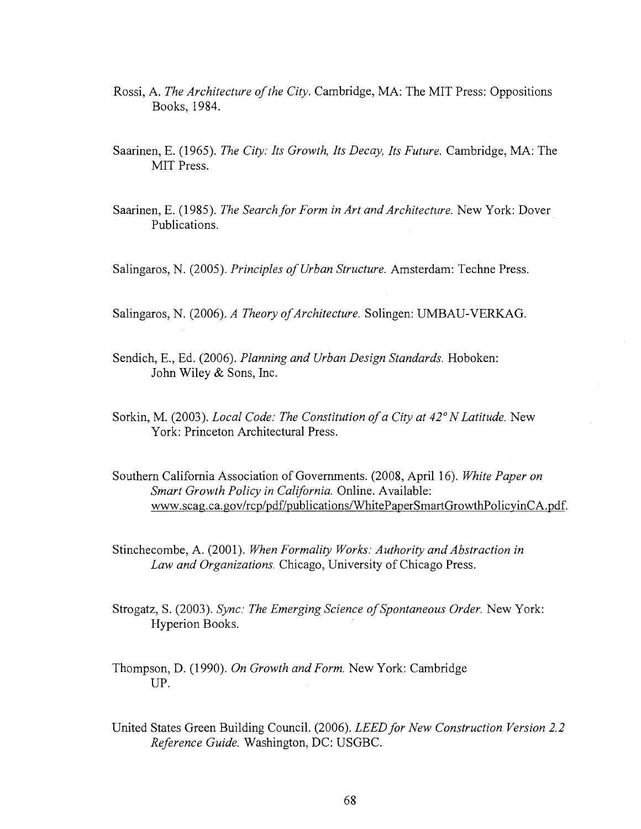- Rossi, A. *The Architecture of the City.* Cambridge, MA: The MIT Press: Oppositions Books, 1984.
- Saarinen, E. (1965). *The City: Its Growth, Its Decay, Its Future.* Cambridge, MA: The MIT Press.
- Saarinen, E. (1985). *The Search for Form in Art and Architecture.* New York: Dover Publications.
- Salingaros, N. (2005). *Principles of Urban Structure.* Amsterdam: Techne Press.
- Salingaros, N. (2006), *A Theory of Architecture.* Solingen: UMBAU-VERKAG.
- Sendich, E., Ed. (2006). *Planning and Urban Design Standards.* Hoboken: John Wiley & Sons, Inc.
- Sorkin, M. (2003). *Local Code: The Constitution of a City at 42° N Latitude.* New York: Princeton Architectural Press.
- Southern California Association of Governments. (2008, April 16). *White Paper on Smart Growth Policy in California.* Online. Available: [www.scag.ca.gov/rcp/pdf/publications/WhitePaperSmartGrowthPolicyinCA.pdf.](http://www.scag.ca.gov/rcp/pdf/publications/WhitePaperSmartGrowthPolicyinCA.pdf)
- Stinchecombe, A. (2001). *When Formality Works: Authority and Abstraction in Law and Organizations.* Chicago, University of Chicago Press.
- Strogatz, S. (2003). *Sync: The Emerging Science of Spontaneous Order.* New York: Hyperion Books.
- Thompson, D. (1990). *On Growth and Form.* New York: Cambridge UP.
- United States Green Building Council. (2006). *LEED for New Construction Version 2.2 Reference Guide.* Washington, DC: USGBC.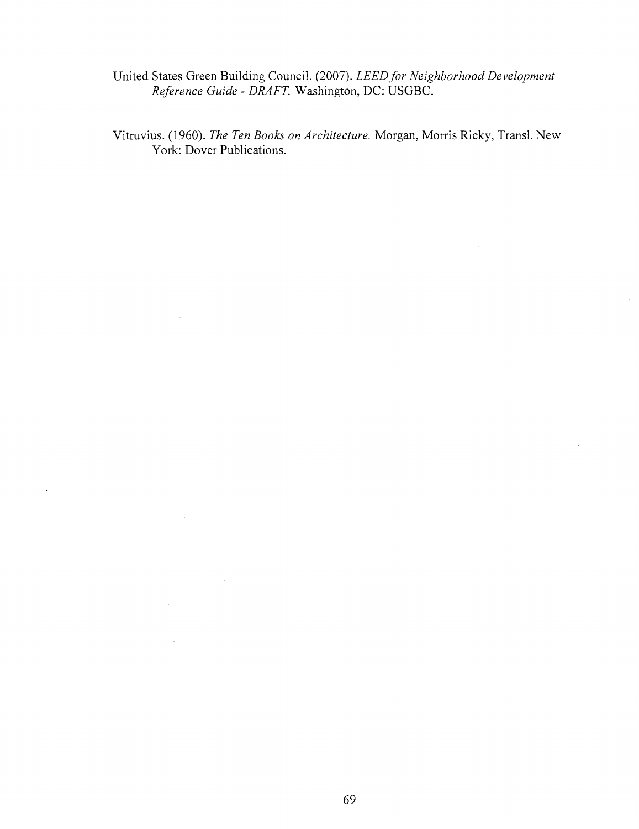United States Green Building Council. (2007). *LEED for Neighborhood Development Reference Guide - DRAFT.* Washington, DC: USGBC.

Vitruvius. (1960). *The Ten Books on Architecture.* Morgan, Morris Ricky, Transl. New York: Dover Publications.

69